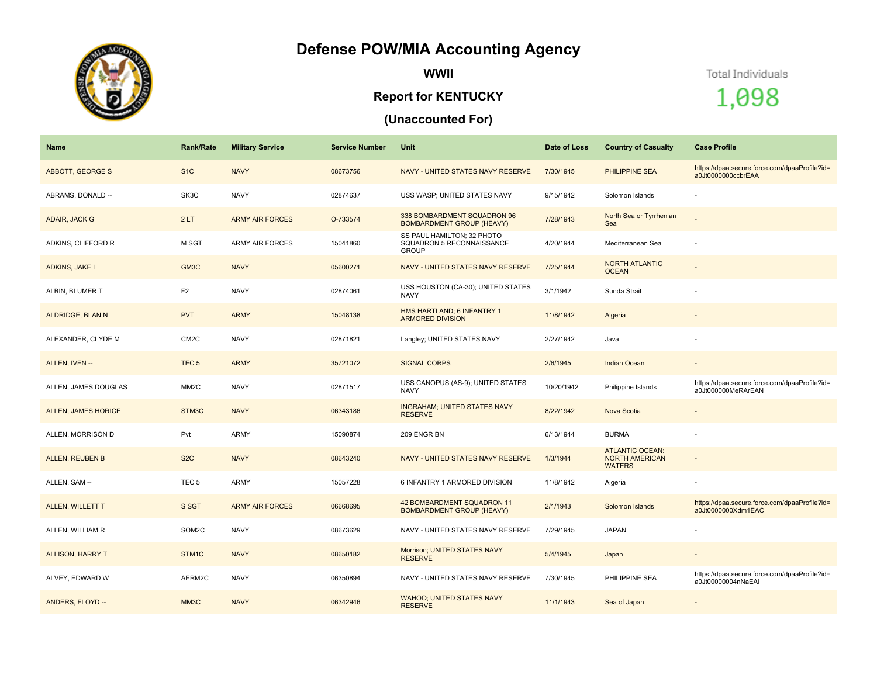## **Defense POW/MIA Accounting Agency**



**WWII**

## **Report for KENTUCKY**

## **(Unaccounted For)**

Total Individuals

1,098

| Name                       | <b>Rank/Rate</b>  | <b>Military Service</b> | <b>Service Number</b> | Unit                                                                    | Date of Loss | <b>Country of Casualty</b>                                       | <b>Case Profile</b>                                                 |
|----------------------------|-------------------|-------------------------|-----------------------|-------------------------------------------------------------------------|--------------|------------------------------------------------------------------|---------------------------------------------------------------------|
| ABBOTT, GEORGE S           | S <sub>1</sub> C  | <b>NAVY</b>             | 08673756              | NAVY - UNITED STATES NAVY RESERVE                                       | 7/30/1945    | PHILIPPINE SEA                                                   | https://dpaa.secure.force.com/dpaaProfile?id=<br>a0Jt0000000ccbrEAA |
| ABRAMS, DONALD --          | SK3C              | <b>NAVY</b>             | 02874637              | USS WASP; UNITED STATES NAVY                                            | 9/15/1942    | Solomon Islands                                                  |                                                                     |
| ADAIR, JACK G              | 2LT               | <b>ARMY AIR FORCES</b>  | O-733574              | 338 BOMBARDMENT SQUADRON 96<br><b>BOMBARDMENT GROUP (HEAVY)</b>         | 7/28/1943    | North Sea or Tyrrhenian<br>Sea                                   |                                                                     |
| ADKINS, CLIFFORD R         | M SGT             | <b>ARMY AIR FORCES</b>  | 15041860              | SS PAUL HAMILTON; 32 PHOTO<br>SQUADRON 5 RECONNAISSANCE<br><b>GROUP</b> | 4/20/1944    | Mediterranean Sea                                                |                                                                     |
| ADKINS, JAKE L             | GM <sub>3</sub> C | <b>NAVY</b>             | 05600271              | NAVY - UNITED STATES NAVY RESERVE                                       | 7/25/1944    | <b>NORTH ATLANTIC</b><br><b>OCEAN</b>                            |                                                                     |
| ALBIN, BLUMER T            | F <sub>2</sub>    | <b>NAVY</b>             | 02874061              | USS HOUSTON (CA-30); UNITED STATES<br><b>NAVY</b>                       | 3/1/1942     | Sunda Strait                                                     |                                                                     |
| ALDRIDGE, BLAN N           | <b>PVT</b>        | <b>ARMY</b>             | 15048138              | HMS HARTLAND; 6 INFANTRY 1<br><b>ARMORED DIVISION</b>                   | 11/8/1942    | Algeria                                                          |                                                                     |
| ALEXANDER, CLYDE M         | CM <sub>2</sub> C | <b>NAVY</b>             | 02871821              | Langley; UNITED STATES NAVY                                             | 2/27/1942    | Java                                                             | $\sim$                                                              |
| ALLEN, IVEN --             | TEC <sub>5</sub>  | <b>ARMY</b>             | 35721072              | <b>SIGNAL CORPS</b>                                                     | 2/6/1945     | <b>Indian Ocean</b>                                              | $\overline{\phantom{a}}$                                            |
| ALLEN, JAMES DOUGLAS       | MM <sub>2</sub> C | <b>NAVY</b>             | 02871517              | USS CANOPUS (AS-9); UNITED STATES<br><b>NAVY</b>                        | 10/20/1942   | Philippine Islands                                               | https://dpaa.secure.force.com/dpaaProfile?id=<br>a0Jt000000MeRArEAN |
| <b>ALLEN, JAMES HORICE</b> | STM3C             | <b>NAVY</b>             | 06343186              | <b>INGRAHAM; UNITED STATES NAVY</b><br><b>RESERVE</b>                   | 8/22/1942    | Nova Scotia                                                      | $\overline{\phantom{a}}$                                            |
| ALLEN, MORRISON D          | Pvt               | ARMY                    | 15090874              | 209 ENGR BN                                                             | 6/13/1944    | <b>BURMA</b>                                                     |                                                                     |
| <b>ALLEN, REUBEN B</b>     | S <sub>2</sub> C  | <b>NAVY</b>             | 08643240              | NAVY - UNITED STATES NAVY RESERVE                                       | 1/3/1944     | <b>ATLANTIC OCEAN:</b><br><b>NORTH AMERICAN</b><br><b>WATERS</b> |                                                                     |
| ALLEN, SAM --              | TEC <sub>5</sub>  | ARMY                    | 15057228              | 6 INFANTRY 1 ARMORED DIVISION                                           | 11/8/1942    | Algeria                                                          |                                                                     |
| <b>ALLEN, WILLETT T</b>    | S SGT             | <b>ARMY AIR FORCES</b>  | 06668695              | 42 BOMBARDMENT SQUADRON 11<br><b>BOMBARDMENT GROUP (HEAVY)</b>          | 2/1/1943     | Solomon Islands                                                  | https://dpaa.secure.force.com/dpaaProfile?id=<br>a0Jt0000000Xdm1EAC |
| ALLEN, WILLIAM R           | SOM2C             | <b>NAVY</b>             | 08673629              | NAVY - UNITED STATES NAVY RESERVE                                       | 7/29/1945    | <b>JAPAN</b>                                                     |                                                                     |
| <b>ALLISON, HARRY T</b>    | STM1C             | <b>NAVY</b>             | 08650182              | Morrison; UNITED STATES NAVY<br><b>RESERVE</b>                          | 5/4/1945     | Japan                                                            |                                                                     |
| ALVEY, EDWARD W            | AERM2C            | <b>NAVY</b>             | 06350894              | NAVY - UNITED STATES NAVY RESERVE                                       | 7/30/1945    | PHILIPPINE SEA                                                   | https://dpaa.secure.force.com/dpaaProfile?id=<br>a0Jt00000004nNaEAI |
| ANDERS, FLOYD --           | MM <sub>3</sub> C | <b>NAVY</b>             | 06342946              | <b>WAHOO; UNITED STATES NAVY</b><br><b>RESERVE</b>                      | 11/1/1943    | Sea of Japan                                                     |                                                                     |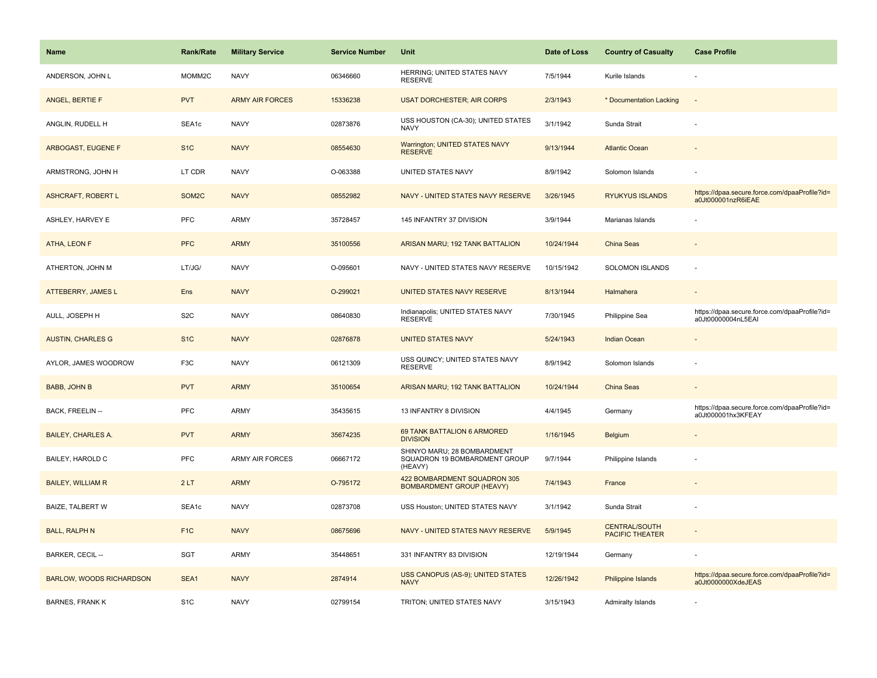| <b>Name</b>                     | <b>Rank/Rate</b>   | <b>Military Service</b> | <b>Service Number</b> | Unit                                                                    | Date of Loss | <b>Country of Casualty</b>                     | <b>Case Profile</b>                                                 |
|---------------------------------|--------------------|-------------------------|-----------------------|-------------------------------------------------------------------------|--------------|------------------------------------------------|---------------------------------------------------------------------|
| ANDERSON, JOHN L                | MOMM2C             | <b>NAVY</b>             | 06346660              | HERRING; UNITED STATES NAVY<br><b>RESERVE</b>                           | 7/5/1944     | Kurile Islands                                 |                                                                     |
| ANGEL, BERTIE F                 | <b>PVT</b>         | <b>ARMY AIR FORCES</b>  | 15336238              | <b>USAT DORCHESTER; AIR CORPS</b>                                       | 2/3/1943     | * Documentation Lacking                        | $\overline{\phantom{a}}$                                            |
| ANGLIN, RUDELL H                | SEA1c              | <b>NAVY</b>             | 02873876              | USS HOUSTON (CA-30); UNITED STATES<br><b>NAVY</b>                       | 3/1/1942     | Sunda Strait                                   |                                                                     |
| ARBOGAST, EUGENE F              | S <sub>1</sub> C   | <b>NAVY</b>             | 08554630              | Warrington; UNITED STATES NAVY<br><b>RESERVE</b>                        | 9/13/1944    | <b>Atlantic Ocean</b>                          |                                                                     |
| ARMSTRONG, JOHN H               | LT CDR             | <b>NAVY</b>             | O-063388              | <b>UNITED STATES NAVY</b>                                               | 8/9/1942     | Solomon Islands                                |                                                                     |
| <b>ASHCRAFT, ROBERT L</b>       | SOM <sub>2</sub> C | <b>NAVY</b>             | 08552982              | NAVY - UNITED STATES NAVY RESERVE                                       | 3/26/1945    | <b>RYUKYUS ISLANDS</b>                         | https://dpaa.secure.force.com/dpaaProfile?id=<br>a0Jt000001nzR6iEAE |
| ASHLEY, HARVEY E                | <b>PFC</b>         | <b>ARMY</b>             | 35728457              | 145 INFANTRY 37 DIVISION                                                | 3/9/1944     | Marianas Islands                               |                                                                     |
| ATHA, LEON F                    | <b>PFC</b>         | <b>ARMY</b>             | 35100556              | ARISAN MARU; 192 TANK BATTALION                                         | 10/24/1944   | <b>China Seas</b>                              |                                                                     |
| ATHERTON, JOHN M                | LT/JG/             | <b>NAVY</b>             | O-095601              | NAVY - UNITED STATES NAVY RESERVE                                       | 10/15/1942   | <b>SOLOMON ISLANDS</b>                         |                                                                     |
| ATTEBERRY, JAMES L              | Ens                | <b>NAVY</b>             | O-299021              | UNITED STATES NAVY RESERVE                                              | 8/13/1944    | Halmahera                                      |                                                                     |
| AULL, JOSEPH H                  | S <sub>2</sub> C   | <b>NAVY</b>             | 08640830              | Indianapolis; UNITED STATES NAVY<br><b>RESERVE</b>                      | 7/30/1945    | Philippine Sea                                 | https://dpaa.secure.force.com/dpaaProfile?id=<br>a0Jt00000004nL5EAI |
| <b>AUSTIN, CHARLES G</b>        | S <sub>1C</sub>    | <b>NAVY</b>             | 02876878              | <b>UNITED STATES NAVY</b>                                               | 5/24/1943    | <b>Indian Ocean</b>                            |                                                                     |
| AYLOR, JAMES WOODROW            | F <sub>3</sub> C   | <b>NAVY</b>             | 06121309              | USS QUINCY; UNITED STATES NAVY<br><b>RESERVE</b>                        | 8/9/1942     | Solomon Islands                                |                                                                     |
| <b>BABB, JOHN B</b>             | <b>PVT</b>         | <b>ARMY</b>             | 35100654              | ARISAN MARU; 192 TANK BATTALION                                         | 10/24/1944   | China Seas                                     |                                                                     |
| BACK, FREELIN --                | PFC                | <b>ARMY</b>             | 35435615              | 13 INFANTRY 8 DIVISION                                                  | 4/4/1945     | Germany                                        | https://dpaa.secure.force.com/dpaaProfile?id=<br>a0Jt000001hx3KFEAY |
| <b>BAILEY, CHARLES A.</b>       | <b>PVT</b>         | <b>ARMY</b>             | 35674235              | 69 TANK BATTALION 6 ARMORED<br><b>DIVISION</b>                          | 1/16/1945    | Belgium                                        |                                                                     |
| BAILEY, HAROLD C                | PFC                | <b>ARMY AIR FORCES</b>  | 06667172              | SHINYO MARU; 28 BOMBARDMENT<br>SQUADRON 19 BOMBARDMENT GROUP<br>(HEAVY) | 9/7/1944     | Philippine Islands                             |                                                                     |
| <b>BAILEY, WILLIAM R</b>        | 2LT                | <b>ARMY</b>             | O-795172              | 422 BOMBARDMENT SQUADRON 305<br><b>BOMBARDMENT GROUP (HEAVY)</b>        | 7/4/1943     | France                                         |                                                                     |
| BAIZE, TALBERT W                | SEA1c              | <b>NAVY</b>             | 02873708              | USS Houston; UNITED STATES NAVY                                         | 3/1/1942     | Sunda Strait                                   |                                                                     |
| <b>BALL, RALPH N</b>            | F <sub>1C</sub>    | <b>NAVY</b>             | 08675696              | NAVY - UNITED STATES NAVY RESERVE                                       | 5/9/1945     | <b>CENTRAL/SOUTH</b><br><b>PACIFIC THEATER</b> |                                                                     |
| BARKER, CECIL --                | <b>SGT</b>         | <b>ARMY</b>             | 35448651              | 331 INFANTRY 83 DIVISION                                                | 12/19/1944   | Germany                                        |                                                                     |
| <b>BARLOW, WOODS RICHARDSON</b> | SEA1               | <b>NAVY</b>             | 2874914               | USS CANOPUS (AS-9); UNITED STATES<br><b>NAVY</b>                        | 12/26/1942   | Philippine Islands                             | https://dpaa.secure.force.com/dpaaProfile?id=<br>a0Jt0000000XdeJEAS |
| <b>BARNES, FRANK K</b>          | S <sub>1</sub> C   | <b>NAVY</b>             | 02799154              | TRITON; UNITED STATES NAVY                                              | 3/15/1943    | Admiralty Islands                              |                                                                     |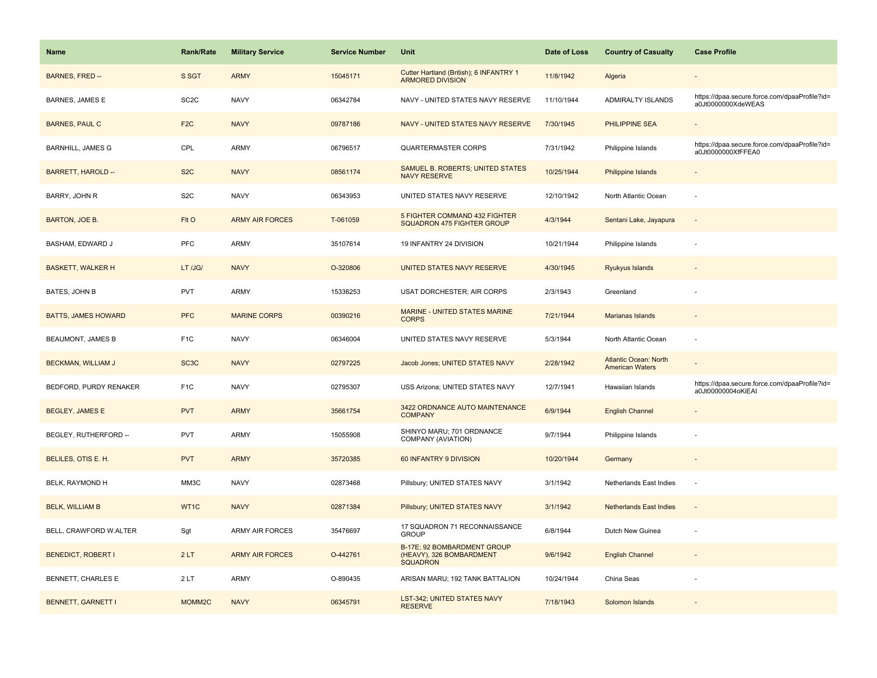| <b>Name</b>                | <b>Rank/Rate</b>   | <b>Military Service</b> | <b>Service Number</b> | Unit                                                                       | Date of Loss | <b>Country of Casualty</b>                             | <b>Case Profile</b>                                                 |
|----------------------------|--------------------|-------------------------|-----------------------|----------------------------------------------------------------------------|--------------|--------------------------------------------------------|---------------------------------------------------------------------|
| BARNES, FRED --            | S SGT              | <b>ARMY</b>             | 15045171              | Cutter Hartland (British); 6 INFANTRY 1<br><b>ARMORED DIVISION</b>         | 11/8/1942    | Algeria                                                |                                                                     |
| BARNES, JAMES E            | SC <sub>2</sub> C  | <b>NAVY</b>             | 06342784              | NAVY - UNITED STATES NAVY RESERVE                                          | 11/10/1944   | <b>ADMIRALTY ISLANDS</b>                               | https://dpaa.secure.force.com/dpaaProfile?id=<br>a0Jt0000000XdeWEAS |
| <b>BARNES, PAUL C</b>      | F <sub>2</sub> C   | <b>NAVY</b>             | 09787186              | NAVY - UNITED STATES NAVY RESERVE                                          | 7/30/1945    | PHILIPPINE SEA                                         |                                                                     |
| <b>BARNHILL, JAMES G</b>   | CPL                | ARMY                    | 06796517              | <b>QUARTERMASTER CORPS</b>                                                 | 7/31/1942    | Philippine Islands                                     | https://dpaa.secure.force.com/dpaaProfile?id=<br>a0Jt0000000XfFFEA0 |
| <b>BARRETT, HAROLD --</b>  | S <sub>2</sub> C   | <b>NAVY</b>             | 08561174              | SAMUEL B. ROBERTS; UNITED STATES<br><b>NAVY RESERVE</b>                    | 10/25/1944   | Philippine Islands                                     |                                                                     |
| BARRY, JOHN R              | S <sub>2</sub> C   | <b>NAVY</b>             | 06343953              | UNITED STATES NAVY RESERVE                                                 | 12/10/1942   | North Atlantic Ocean                                   |                                                                     |
| BARTON, JOE B.             | FIt O              | <b>ARMY AIR FORCES</b>  | T-061059              | 5 FIGHTER COMMAND 432 FIGHTER<br>SQUADRON 475 FIGHTER GROUP                | 4/3/1944     | Sentani Lake, Jayapura                                 | $\overline{\phantom{a}}$                                            |
| BASHAM, EDWARD J           | PFC                | ARMY                    | 35107614              | 19 INFANTRY 24 DIVISION                                                    | 10/21/1944   | Philippine Islands                                     | ÷,                                                                  |
| <b>BASKETT, WALKER H</b>   | LT /JG/            | <b>NAVY</b>             | O-320806              | UNITED STATES NAVY RESERVE                                                 | 4/30/1945    | Ryukyus Islands                                        |                                                                     |
| BATES, JOHN B              | PVT                | ARMY                    | 15336253              | USAT DORCHESTER; AIR CORPS                                                 | 2/3/1943     | Greenland                                              |                                                                     |
| <b>BATTS, JAMES HOWARD</b> | <b>PFC</b>         | <b>MARINE CORPS</b>     | 00390216              | MARINE - UNITED STATES MARINE<br><b>CORPS</b>                              | 7/21/1944    | <b>Marianas Islands</b>                                |                                                                     |
| <b>BEAUMONT, JAMES B</b>   | F <sub>1</sub> C   | <b>NAVY</b>             | 06346004              | UNITED STATES NAVY RESERVE                                                 | 5/3/1944     | North Atlantic Ocean                                   | ÷                                                                   |
| BECKMAN, WILLIAM J         | SC <sub>3</sub> C  | <b>NAVY</b>             | 02797225              | Jacob Jones; UNITED STATES NAVY                                            | 2/28/1942    | <b>Atlantic Ocean: North</b><br><b>American Waters</b> |                                                                     |
| BEDFORD, PURDY RENAKER     | F <sub>1</sub> C   | <b>NAVY</b>             | 02795307              | USS Arizona; UNITED STATES NAVY                                            | 12/7/1941    | Hawaiian Islands                                       | https://dpaa.secure.force.com/dpaaProfile?id=<br>a0Jt00000004oKiEAI |
| <b>BEGLEY, JAMES E</b>     | <b>PVT</b>         | <b>ARMY</b>             | 35661754              | 3422 ORDNANCE AUTO MAINTENANCE<br><b>COMPANY</b>                           | 6/9/1944     | <b>English Channel</b>                                 |                                                                     |
| BEGLEY, RUTHERFORD --      | <b>PVT</b>         | ARMY                    | 15055908              | SHINYO MARU; 701 ORDNANCE<br>COMPANY (AVIATION)                            | 9/7/1944     | Philippine Islands                                     |                                                                     |
| BELILES, OTIS E. H.        | <b>PVT</b>         | <b>ARMY</b>             | 35720385              | 60 INFANTRY 9 DIVISION                                                     | 10/20/1944   | Germany                                                |                                                                     |
| BELK, RAYMOND H            | MM3C               | <b>NAVY</b>             | 02873468              | Pillsbury; UNITED STATES NAVY                                              | 3/1/1942     | Netherlands East Indies                                | $\sim$                                                              |
| <b>BELK, WILLIAM B</b>     | WT1C               | <b>NAVY</b>             | 02871384              | Pillsbury; UNITED STATES NAVY                                              | 3/1/1942     | <b>Netherlands East Indies</b>                         |                                                                     |
| BELL, CRAWFORD W.ALTER     | Sgt                | <b>ARMY AIR FORCES</b>  | 35476697              | 17 SQUADRON 71 RECONNAISSANCE<br><b>GROUP</b>                              | 6/8/1944     | Dutch New Guinea                                       |                                                                     |
| <b>BENEDICT, ROBERT I</b>  | 2LT                | <b>ARMY AIR FORCES</b>  | O-442761              | B-17E; 92 BOMBARDMENT GROUP<br>(HEAVY), 326 BOMBARDMENT<br><b>SQUADRON</b> | 9/6/1942     | <b>English Channel</b>                                 |                                                                     |
| BENNETT, CHARLES E         | 2LT                | ARMY                    | O-890435              | ARISAN MARU; 192 TANK BATTALION                                            | 10/24/1944   | China Seas                                             |                                                                     |
| <b>BENNETT, GARNETT I</b>  | MOMM <sub>2C</sub> | <b>NAVY</b>             | 06345791              | <b>LST-342; UNITED STATES NAVY</b><br><b>RESERVE</b>                       | 7/18/1943    | Solomon Islands                                        |                                                                     |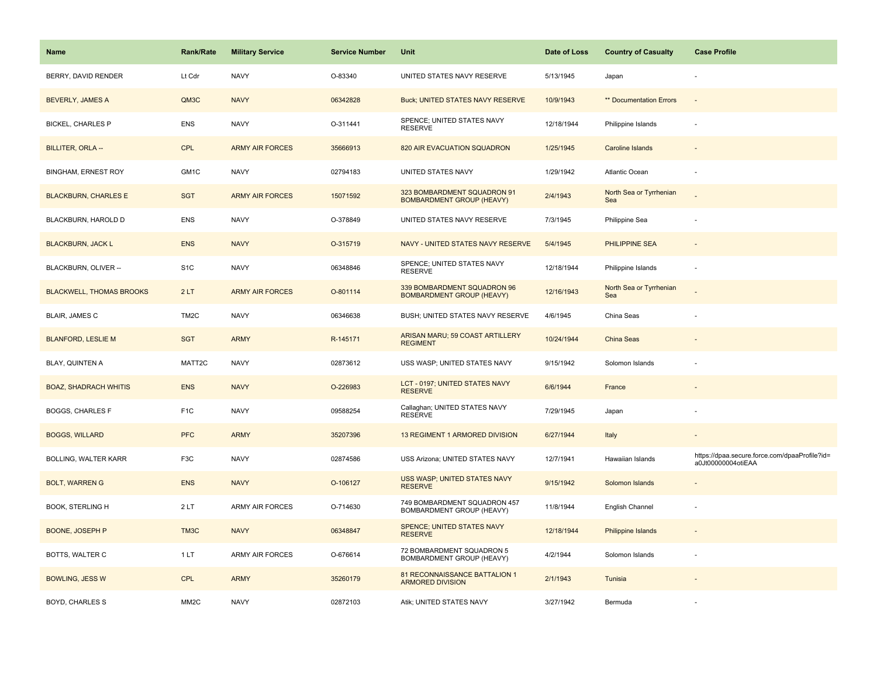| Name                            | <b>Rank/Rate</b>  | <b>Military Service</b> | <b>Service Number</b> | Unit                                                            | Date of Loss | <b>Country of Casualty</b>     | <b>Case Profile</b>                                                 |
|---------------------------------|-------------------|-------------------------|-----------------------|-----------------------------------------------------------------|--------------|--------------------------------|---------------------------------------------------------------------|
| BERRY, DAVID RENDER             | Lt Cdr            | <b>NAVY</b>             | O-83340               | UNITED STATES NAVY RESERVE                                      | 5/13/1945    | Japan                          |                                                                     |
| <b>BEVERLY, JAMES A</b>         | QM3C              | <b>NAVY</b>             | 06342828              | Buck; UNITED STATES NAVY RESERVE                                | 10/9/1943    | ** Documentation Errors        | $\sim$                                                              |
| <b>BICKEL, CHARLES P</b>        | <b>ENS</b>        | <b>NAVY</b>             | O-311441              | SPENCE; UNITED STATES NAVY<br><b>RESERVE</b>                    | 12/18/1944   | Philippine Islands             | $\overline{\phantom{a}}$                                            |
| BILLITER, ORLA --               | <b>CPL</b>        | <b>ARMY AIR FORCES</b>  | 35666913              | 820 AIR EVACUATION SQUADRON                                     | 1/25/1945    | <b>Caroline Islands</b>        |                                                                     |
| <b>BINGHAM, ERNEST ROY</b>      | GM1C              | <b>NAVY</b>             | 02794183              | UNITED STATES NAVY                                              | 1/29/1942    | <b>Atlantic Ocean</b>          |                                                                     |
| <b>BLACKBURN, CHARLES E</b>     | <b>SGT</b>        | <b>ARMY AIR FORCES</b>  | 15071592              | 323 BOMBARDMENT SQUADRON 91<br><b>BOMBARDMENT GROUP (HEAVY)</b> | 2/4/1943     | North Sea or Tyrrhenian<br>Sea |                                                                     |
| BLACKBURN, HAROLD D             | <b>ENS</b>        | <b>NAVY</b>             | O-378849              | UNITED STATES NAVY RESERVE                                      | 7/3/1945     | Philippine Sea                 |                                                                     |
| <b>BLACKBURN, JACK L</b>        | <b>ENS</b>        | <b>NAVY</b>             | O-315719              | NAVY - UNITED STATES NAVY RESERVE                               | 5/4/1945     | PHILIPPINE SEA                 |                                                                     |
| BLACKBURN, OLIVER --            | S <sub>1</sub> C  | <b>NAVY</b>             | 06348846              | SPENCE; UNITED STATES NAVY<br><b>RESERVE</b>                    | 12/18/1944   | Philippine Islands             | $\overline{\phantom{a}}$                                            |
| <b>BLACKWELL, THOMAS BROOKS</b> | 2LT               | <b>ARMY AIR FORCES</b>  | O-801114              | 339 BOMBARDMENT SQUADRON 96<br><b>BOMBARDMENT GROUP (HEAVY)</b> | 12/16/1943   | North Sea or Tyrrhenian<br>Sea |                                                                     |
| <b>BLAIR, JAMES C</b>           | TM <sub>2</sub> C | <b>NAVY</b>             | 06346638              | BUSH; UNITED STATES NAVY RESERVE                                | 4/6/1945     | China Seas                     |                                                                     |
| <b>BLANFORD, LESLIE M</b>       | <b>SGT</b>        | <b>ARMY</b>             | R-145171              | ARISAN MARU; 59 COAST ARTILLERY<br><b>REGIMENT</b>              | 10/24/1944   | China Seas                     |                                                                     |
| BLAY, QUINTEN A                 | MATT2C            | <b>NAVY</b>             | 02873612              | USS WASP; UNITED STATES NAVY                                    | 9/15/1942    | Solomon Islands                |                                                                     |
| <b>BOAZ, SHADRACH WHITIS</b>    | <b>ENS</b>        | <b>NAVY</b>             | O-226983              | LCT - 0197; UNITED STATES NAVY<br><b>RESERVE</b>                | 6/6/1944     | France                         |                                                                     |
| <b>BOGGS, CHARLES F</b>         | F <sub>1</sub> C  | <b>NAVY</b>             | 09588254              | Callaghan; UNITED STATES NAVY<br><b>RESERVE</b>                 | 7/29/1945    | Japan                          |                                                                     |
| <b>BOGGS, WILLARD</b>           | <b>PFC</b>        | <b>ARMY</b>             | 35207396              | 13 REGIMENT 1 ARMORED DIVISION                                  | 6/27/1944    | Italy                          |                                                                     |
| BOLLING, WALTER KARR            | F <sub>3</sub> C  | <b>NAVY</b>             | 02874586              | USS Arizona; UNITED STATES NAVY                                 | 12/7/1941    | Hawaiian Islands               | https://dpaa.secure.force.com/dpaaProfile?id=<br>a0Jt00000004otiEAA |
| <b>BOLT, WARREN G</b>           | <b>ENS</b>        | <b>NAVY</b>             | O-106127              | USS WASP; UNITED STATES NAVY<br><b>RESERVE</b>                  | 9/15/1942    | Solomon Islands                |                                                                     |
| <b>BOOK, STERLING H</b>         | 2LT               | <b>ARMY AIR FORCES</b>  | O-714630              | 749 BOMBARDMENT SQUADRON 457<br>BOMBARDMENT GROUP (HEAVY)       | 11/8/1944    | English Channel                | $\overline{\phantom{a}}$                                            |
| BOONE, JOSEPH P                 | TM3C              | <b>NAVY</b>             | 06348847              | SPENCE; UNITED STATES NAVY<br><b>RESERVE</b>                    | 12/18/1944   | Philippine Islands             |                                                                     |
| <b>BOTTS, WALTER C</b>          | 1LT               | <b>ARMY AIR FORCES</b>  | O-676614              | 72 BOMBARDMENT SQUADRON 5<br><b>BOMBARDMENT GROUP (HEAVY)</b>   | 4/2/1944     | Solomon Islands                |                                                                     |
| <b>BOWLING, JESS W</b>          | <b>CPL</b>        | <b>ARMY</b>             | 35260179              | 81 RECONNAISSANCE BATTALION 1<br><b>ARMORED DIVISION</b>        | 2/1/1943     | Tunisia                        |                                                                     |
| <b>BOYD, CHARLES S</b>          | MM <sub>2</sub> C | <b>NAVY</b>             | 02872103              | Atik; UNITED STATES NAVY                                        | 3/27/1942    | Bermuda                        |                                                                     |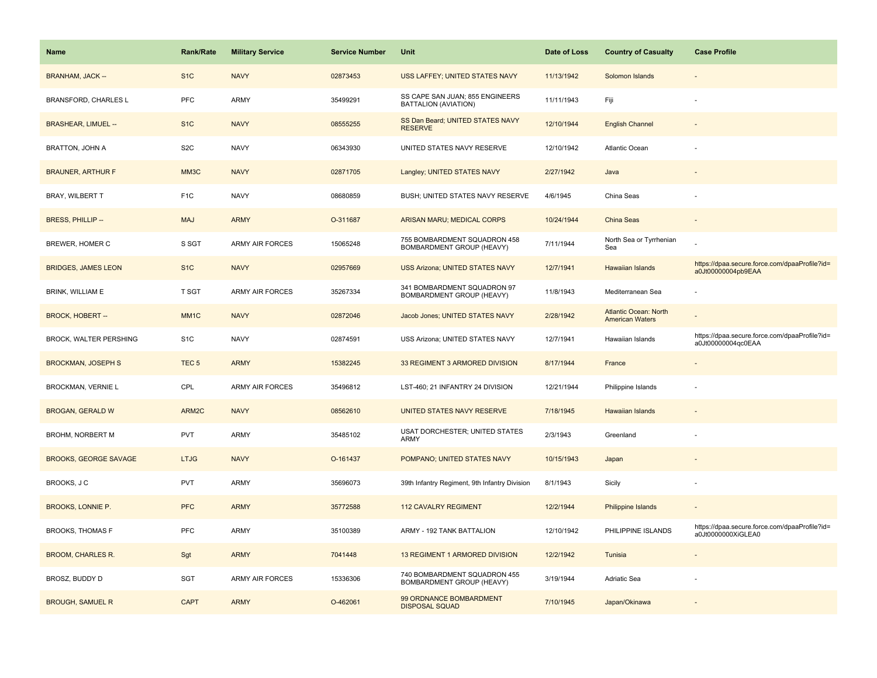| Name                         | <b>Rank/Rate</b>  | <b>Military Service</b> | <b>Service Number</b> | Unit                                                      | Date of Loss | <b>Country of Casualty</b>                      | <b>Case Profile</b>                                                 |
|------------------------------|-------------------|-------------------------|-----------------------|-----------------------------------------------------------|--------------|-------------------------------------------------|---------------------------------------------------------------------|
| <b>BRANHAM, JACK --</b>      | S <sub>1</sub> C  | <b>NAVY</b>             | 02873453              | USS LAFFEY; UNITED STATES NAVY                            | 11/13/1942   | Solomon Islands                                 |                                                                     |
| BRANSFORD, CHARLES L         | <b>PFC</b>        | ARMY                    | 35499291              | SS CAPE SAN JUAN; 855 ENGINEERS<br>BATTALION (AVIATION)   | 11/11/1943   | Fiji                                            |                                                                     |
| <b>BRASHEAR, LIMUEL --</b>   | S <sub>1</sub> C  | <b>NAVY</b>             | 08555255              | SS Dan Beard; UNITED STATES NAVY<br><b>RESERVE</b>        | 12/10/1944   | <b>English Channel</b>                          |                                                                     |
| <b>BRATTON, JOHN A</b>       | S <sub>2</sub> C  | <b>NAVY</b>             | 06343930              | UNITED STATES NAVY RESERVE                                | 12/10/1942   | Atlantic Ocean                                  |                                                                     |
| <b>BRAUNER, ARTHUR F</b>     | MM3C              | <b>NAVY</b>             | 02871705              | Langley; UNITED STATES NAVY                               | 2/27/1942    | Java                                            |                                                                     |
| BRAY, WILBERT T              | F <sub>1</sub> C  | <b>NAVY</b>             | 08680859              | BUSH; UNITED STATES NAVY RESERVE                          | 4/6/1945     | China Seas                                      |                                                                     |
| <b>BRESS, PHILLIP--</b>      | <b>MAJ</b>        | <b>ARMY</b>             | O-311687              | ARISAN MARU; MEDICAL CORPS                                | 10/24/1944   | China Seas                                      |                                                                     |
| BREWER, HOMER C              | S SGT             | <b>ARMY AIR FORCES</b>  | 15065248              | 755 BOMBARDMENT SQUADRON 458<br>BOMBARDMENT GROUP (HEAVY) | 7/11/1944    | North Sea or Tyrrhenian<br>Sea                  |                                                                     |
| <b>BRIDGES, JAMES LEON</b>   | S <sub>1</sub> C  | <b>NAVY</b>             | 02957669              | <b>USS Arizona; UNITED STATES NAVY</b>                    | 12/7/1941    | <b>Hawaiian Islands</b>                         | https://dpaa.secure.force.com/dpaaProfile?id=<br>a0Jt00000004pb9EAA |
| BRINK, WILLIAM E             | T SGT             | <b>ARMY AIR FORCES</b>  | 35267334              | 341 BOMBARDMENT SQUADRON 97<br>BOMBARDMENT GROUP (HEAVY)  | 11/8/1943    | Mediterranean Sea                               |                                                                     |
| <b>BROCK, HOBERT--</b>       | MM <sub>1</sub> C | <b>NAVY</b>             | 02872046              | Jacob Jones; UNITED STATES NAVY                           | 2/28/1942    | Atlantic Ocean: North<br><b>American Waters</b> |                                                                     |
| BROCK, WALTER PERSHING       | S <sub>1</sub> C  | <b>NAVY</b>             | 02874591              | USS Arizona; UNITED STATES NAVY                           | 12/7/1941    | Hawaiian Islands                                | https://dpaa.secure.force.com/dpaaProfile?id=<br>a0Jt00000004qc0EAA |
| <b>BROCKMAN, JOSEPH S</b>    | TEC <sub>5</sub>  | <b>ARMY</b>             | 15382245              | 33 REGIMENT 3 ARMORED DIVISION                            | 8/17/1944    | France                                          |                                                                     |
| BROCKMAN, VERNIE L           | CPL               | ARMY AIR FORCES         | 35496812              | LST-460; 21 INFANTRY 24 DIVISION                          | 12/21/1944   | Philippine Islands                              |                                                                     |
| <b>BROGAN, GERALD W</b>      | ARM2C             | <b>NAVY</b>             | 08562610              | UNITED STATES NAVY RESERVE                                | 7/18/1945    | <b>Hawaiian Islands</b>                         |                                                                     |
| BROHM, NORBERT M             | <b>PVT</b>        | ARMY                    | 35485102              | USAT DORCHESTER; UNITED STATES<br>ARMY                    | 2/3/1943     | Greenland                                       |                                                                     |
| <b>BROOKS, GEORGE SAVAGE</b> | <b>LTJG</b>       | <b>NAVY</b>             | O-161437              | POMPANO; UNITED STATES NAVY                               | 10/15/1943   | Japan                                           |                                                                     |
| BROOKS, J C                  | <b>PVT</b>        | ARMY                    | 35696073              | 39th Infantry Regiment, 9th Infantry Division             | 8/1/1943     | Sicily                                          |                                                                     |
| BROOKS, LONNIE P.            | <b>PFC</b>        | <b>ARMY</b>             | 35772588              | <b>112 CAVALRY REGIMENT</b>                               | 12/2/1944    | Philippine Islands                              |                                                                     |
| <b>BROOKS, THOMAS F</b>      | <b>PFC</b>        | ARMY                    | 35100389              | ARMY - 192 TANK BATTALION                                 | 12/10/1942   | PHILIPPINE ISLANDS                              | https://dpaa.secure.force.com/dpaaProfile?id=<br>a0Jt0000000XiGLEA0 |
| <b>BROOM, CHARLES R.</b>     | Sgt               | <b>ARMY</b>             | 7041448               | 13 REGIMENT 1 ARMORED DIVISION                            | 12/2/1942    | Tunisia                                         |                                                                     |
| BROSZ, BUDDY D               | SGT               | <b>ARMY AIR FORCES</b>  | 15336306              | 740 BOMBARDMENT SQUADRON 455<br>BOMBARDMENT GROUP (HEAVY) | 3/19/1944    | Adriatic Sea                                    |                                                                     |
| <b>BROUGH, SAMUEL R</b>      | <b>CAPT</b>       | <b>ARMY</b>             | O-462061              | 99 ORDNANCE BOMBARDMENT<br><b>DISPOSAL SQUAD</b>          | 7/10/1945    | Japan/Okinawa                                   |                                                                     |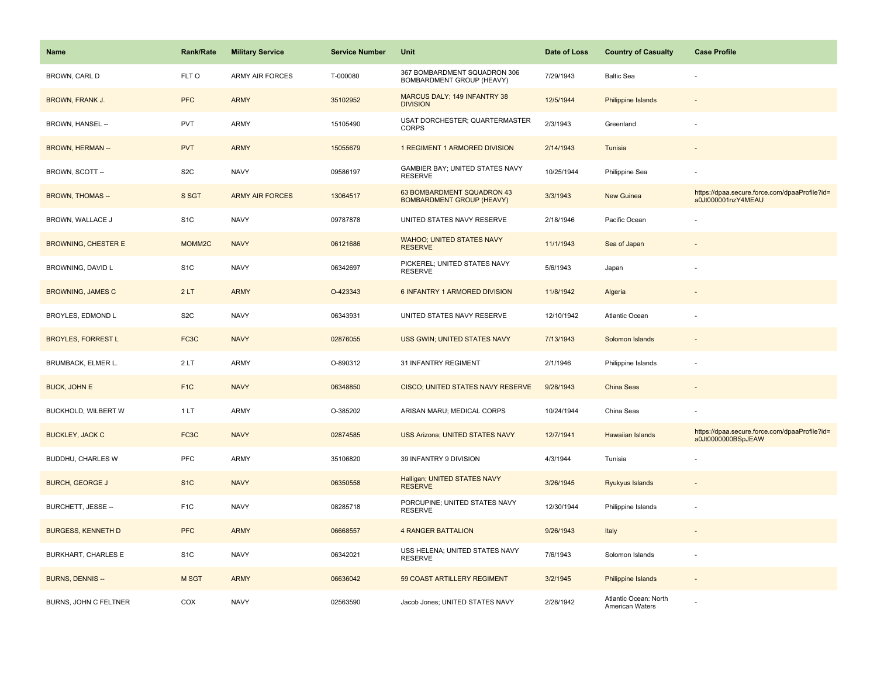| Name                       | <b>Rank/Rate</b>   | <b>Military Service</b> | <b>Service Number</b> | Unit                                                           | Date of Loss | <b>Country of Casualty</b>               | <b>Case Profile</b>                                                 |
|----------------------------|--------------------|-------------------------|-----------------------|----------------------------------------------------------------|--------------|------------------------------------------|---------------------------------------------------------------------|
| <b>BROWN, CARL D</b>       | FLT O              | <b>ARMY AIR FORCES</b>  | T-000080              | 367 BOMBARDMENT SQUADRON 306<br>BOMBARDMENT GROUP (HEAVY)      | 7/29/1943    | <b>Baltic Sea</b>                        |                                                                     |
| <b>BROWN, FRANK J.</b>     | <b>PFC</b>         | <b>ARMY</b>             | 35102952              | MARCUS DALY; 149 INFANTRY 38<br><b>DIVISION</b>                | 12/5/1944    | <b>Philippine Islands</b>                |                                                                     |
| BROWN, HANSEL --           | <b>PVT</b>         | ARMY                    | 15105490              | USAT DORCHESTER; QUARTERMASTER<br><b>CORPS</b>                 | 2/3/1943     | Greenland                                |                                                                     |
| <b>BROWN, HERMAN--</b>     | <b>PVT</b>         | <b>ARMY</b>             | 15055679              | 1 REGIMENT 1 ARMORED DIVISION                                  | 2/14/1943    | Tunisia                                  |                                                                     |
| BROWN, SCOTT --            | S <sub>2</sub> C   | <b>NAVY</b>             | 09586197              | GAMBIER BAY; UNITED STATES NAVY<br><b>RESERVE</b>              | 10/25/1944   | Philippine Sea                           |                                                                     |
| <b>BROWN, THOMAS --</b>    | S SGT              | <b>ARMY AIR FORCES</b>  | 13064517              | 63 BOMBARDMENT SQUADRON 43<br><b>BOMBARDMENT GROUP (HEAVY)</b> | 3/3/1943     | New Guinea                               | https://dpaa.secure.force.com/dpaaProfile?id=<br>a0Jt000001nzY4MEAU |
| BROWN, WALLACE J           | S <sub>1</sub> C   | <b>NAVY</b>             | 09787878              | UNITED STATES NAVY RESERVE                                     | 2/18/1946    | Pacific Ocean                            |                                                                     |
| <b>BROWNING, CHESTER E</b> | MOMM <sub>2C</sub> | <b>NAVY</b>             | 06121686              | <b>WAHOO; UNITED STATES NAVY</b><br><b>RESERVE</b>             | 11/1/1943    | Sea of Japan                             |                                                                     |
| BROWNING, DAVID L          | S <sub>1</sub> C   | <b>NAVY</b>             | 06342697              | PICKEREL; UNITED STATES NAVY<br><b>RESERVE</b>                 | 5/6/1943     | Japan                                    |                                                                     |
| <b>BROWNING, JAMES C</b>   | 2LT                | <b>ARMY</b>             | O-423343              | 6 INFANTRY 1 ARMORED DIVISION                                  | 11/8/1942    | Algeria                                  |                                                                     |
| <b>BROYLES, EDMOND L</b>   | S <sub>2</sub> C   | <b>NAVY</b>             | 06343931              | UNITED STATES NAVY RESERVE                                     | 12/10/1942   | <b>Atlantic Ocean</b>                    |                                                                     |
| <b>BROYLES, FORREST L</b>  | FC3C               | <b>NAVY</b>             | 02876055              | USS GWIN; UNITED STATES NAVY                                   | 7/13/1943    | Solomon Islands                          | $\overline{\phantom{a}}$                                            |
| BRUMBACK, ELMER L.         | 2LT                | ARMY                    | O-890312              | 31 INFANTRY REGIMENT                                           | 2/1/1946     | Philippine Islands                       |                                                                     |
| <b>BUCK, JOHN E</b>        | F <sub>1C</sub>    | <b>NAVY</b>             | 06348850              | <b>CISCO; UNITED STATES NAVY RESERVE</b>                       | 9/28/1943    | China Seas                               |                                                                     |
| BUCKHOLD, WILBERT W        | 1 LT               | ARMY                    | O-385202              | ARISAN MARU; MEDICAL CORPS                                     | 10/24/1944   | China Seas                               |                                                                     |
| <b>BUCKLEY, JACK C</b>     | FC3C               | <b>NAVY</b>             | 02874585              | <b>USS Arizona; UNITED STATES NAVY</b>                         | 12/7/1941    | Hawaiian Islands                         | https://dpaa.secure.force.com/dpaaProfile?id=<br>a0Jt0000000BSpJEAW |
| BUDDHU, CHARLES W          | <b>PFC</b>         | ARMY                    | 35106820              | 39 INFANTRY 9 DIVISION                                         | 4/3/1944     | Tunisia                                  |                                                                     |
| <b>BURCH, GEORGE J</b>     | S <sub>1</sub> C   | <b>NAVY</b>             | 06350558              | Halligan; UNITED STATES NAVY<br><b>RESERVE</b>                 | 3/26/1945    | Ryukyus Islands                          |                                                                     |
| BURCHETT, JESSE --         | F <sub>1</sub> C   | <b>NAVY</b>             | 08285718              | PORCUPINE; UNITED STATES NAVY<br><b>RESERVE</b>                | 12/30/1944   | Philippine Islands                       |                                                                     |
| <b>BURGESS, KENNETH D</b>  | <b>PFC</b>         | <b>ARMY</b>             | 06668557              | <b>4 RANGER BATTALION</b>                                      | 9/26/1943    | Italy                                    |                                                                     |
| BURKHART, CHARLES E        | S <sub>1</sub> C   | <b>NAVY</b>             | 06342021              | USS HELENA; UNITED STATES NAVY<br><b>RESERVE</b>               | 7/6/1943     | Solomon Islands                          |                                                                     |
| <b>BURNS, DENNIS --</b>    | M SGT              | <b>ARMY</b>             | 06636042              | 59 COAST ARTILLERY REGIMENT                                    | 3/2/1945     | Philippine Islands                       |                                                                     |
| BURNS, JOHN C FELTNER      | COX                | <b>NAVY</b>             | 02563590              | Jacob Jones; UNITED STATES NAVY                                | 2/28/1942    | Atlantic Ocean: North<br>American Waters |                                                                     |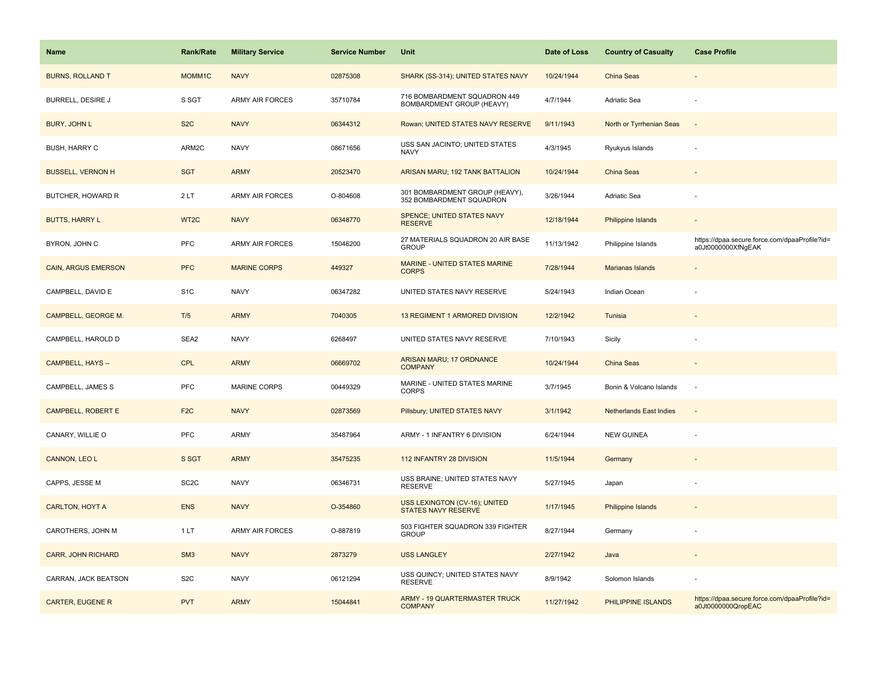| <b>Name</b>                | <b>Rank/Rate</b>  | <b>Military Service</b> | <b>Service Number</b> | Unit                                                        | Date of Loss | <b>Country of Casualty</b>     | <b>Case Profile</b>                                                 |
|----------------------------|-------------------|-------------------------|-----------------------|-------------------------------------------------------------|--------------|--------------------------------|---------------------------------------------------------------------|
| <b>BURNS, ROLLAND T</b>    | MOMM1C            | <b>NAVY</b>             | 02875308              | SHARK (SS-314); UNITED STATES NAVY                          | 10/24/1944   | China Seas                     |                                                                     |
| BURRELL, DESIRE J          | S SGT             | ARMY AIR FORCES         | 35710784              | 716 BOMBARDMENT SQUADRON 449<br>BOMBARDMENT GROUP (HEAVY)   | 4/7/1944     | Adriatic Sea                   |                                                                     |
| <b>BURY, JOHN L</b>        | S <sub>2</sub> C  | <b>NAVY</b>             | 06344312              | Rowan; UNITED STATES NAVY RESERVE                           | 9/11/1943    | North or Tyrrhenian Seas       |                                                                     |
| <b>BUSH, HARRY C</b>       | ARM2C             | <b>NAVY</b>             | 08671656              | USS SAN JACINTO; UNITED STATES<br><b>NAVY</b>               | 4/3/1945     | Ryukyus Islands                |                                                                     |
| <b>BUSSELL, VERNON H</b>   | <b>SGT</b>        | <b>ARMY</b>             | 20523470              | ARISAN MARU; 192 TANK BATTALION                             | 10/24/1944   | <b>China Seas</b>              |                                                                     |
| BUTCHER, HOWARD R          | 2LT               | <b>ARMY AIR FORCES</b>  | O-804608              | 301 BOMBARDMENT GROUP (HEAVY),<br>352 BOMBARDMENT SQUADRON  | 3/26/1944    | Adriatic Sea                   |                                                                     |
| <b>BUTTS, HARRY L</b>      | WT <sub>2</sub> C | <b>NAVY</b>             | 06348770              | <b>SPENCE; UNITED STATES NAVY</b><br><b>RESERVE</b>         | 12/18/1944   | Philippine Islands             |                                                                     |
| BYRON, JOHN C              | <b>PFC</b>        | <b>ARMY AIR FORCES</b>  | 15046200              | 27 MATERIALS SQUADRON 20 AIR BASE<br><b>GROUP</b>           | 11/13/1942   | Philippine Islands             | https://dpaa.secure.force.com/dpaaProfile?id=<br>a0Jt0000000XfNgEAK |
| <b>CAIN, ARGUS EMERSON</b> | <b>PFC</b>        | <b>MARINE CORPS</b>     | 449327                | MARINE - UNITED STATES MARINE<br><b>CORPS</b>               | 7/28/1944    | Marianas Islands               |                                                                     |
| CAMPBELL, DAVID E          | S <sub>1</sub> C  | <b>NAVY</b>             | 06347282              | UNITED STATES NAVY RESERVE                                  | 5/24/1943    | Indian Ocean                   |                                                                     |
| CAMPBELL, GEORGE M.        | T/5               | <b>ARMY</b>             | 7040305               | 13 REGIMENT 1 ARMORED DIVISION                              | 12/2/1942    | Tunisia                        |                                                                     |
| CAMPBELL, HAROLD D         | SEA2              | <b>NAVY</b>             | 6268497               | UNITED STATES NAVY RESERVE                                  | 7/10/1943    | Sicily                         |                                                                     |
| CAMPBELL, HAYS --          | <b>CPL</b>        | <b>ARMY</b>             | 06669702              | ARISAN MARU; 17 ORDNANCE<br><b>COMPANY</b>                  | 10/24/1944   | <b>China Seas</b>              |                                                                     |
| CAMPBELL, JAMES S          | <b>PFC</b>        | <b>MARINE CORPS</b>     | 00449329              | MARINE - UNITED STATES MARINE<br><b>CORPS</b>               | 3/7/1945     | Bonin & Volcano Islands        | ÷.                                                                  |
| CAMPBELL, ROBERT E         | F <sub>2</sub> C  | <b>NAVY</b>             | 02873569              | Pillsbury; UNITED STATES NAVY                               | 3/1/1942     | <b>Netherlands East Indies</b> | $\overline{\phantom{a}}$                                            |
| CANARY, WILLIE O           | <b>PFC</b>        | ARMY                    | 35487964              | ARMY - 1 INFANTRY 6 DIVISION                                | 6/24/1944    | <b>NEW GUINEA</b>              |                                                                     |
| CANNON, LEO L              | S SGT             | <b>ARMY</b>             | 35475235              | 112 INFANTRY 28 DIVISION                                    | 11/5/1944    | Germany                        |                                                                     |
| CAPPS, JESSE M             | SC <sub>2</sub> C | <b>NAVY</b>             | 06346731              | USS BRAINE; UNITED STATES NAVY<br><b>RESERVE</b>            | 5/27/1945    | Japan                          |                                                                     |
| <b>CARLTON, HOYT A</b>     | <b>ENS</b>        | <b>NAVY</b>             | O-354860              | USS LEXINGTON (CV-16); UNITED<br><b>STATES NAVY RESERVE</b> | 1/17/1945    | Philippine Islands             |                                                                     |
| CAROTHERS, JOHN M          | 1 LT              | <b>ARMY AIR FORCES</b>  | O-887819              | 503 FIGHTER SQUADRON 339 FIGHTER<br><b>GROUP</b>            | 8/27/1944    | Germany                        |                                                                     |
| <b>CARR, JOHN RICHARD</b>  | SM <sub>3</sub>   | <b>NAVY</b>             | 2873279               | <b>USS LANGLEY</b>                                          | 2/27/1942    | Java                           |                                                                     |
| CARRAN, JACK BEATSON       | S <sub>2</sub> C  | <b>NAVY</b>             | 06121294              | USS QUINCY; UNITED STATES NAVY<br><b>RESERVE</b>            | 8/9/1942     | Solomon Islands                |                                                                     |
| <b>CARTER, EUGENE R</b>    | <b>PVT</b>        | <b>ARMY</b>             | 15044841              | <b>ARMY - 19 QUARTERMASTER TRUCK</b><br><b>COMPANY</b>      | 11/27/1942   | PHILIPPINE ISLANDS             | https://dpaa.secure.force.com/dpaaProfile?id=<br>a0Jt0000000QropEAC |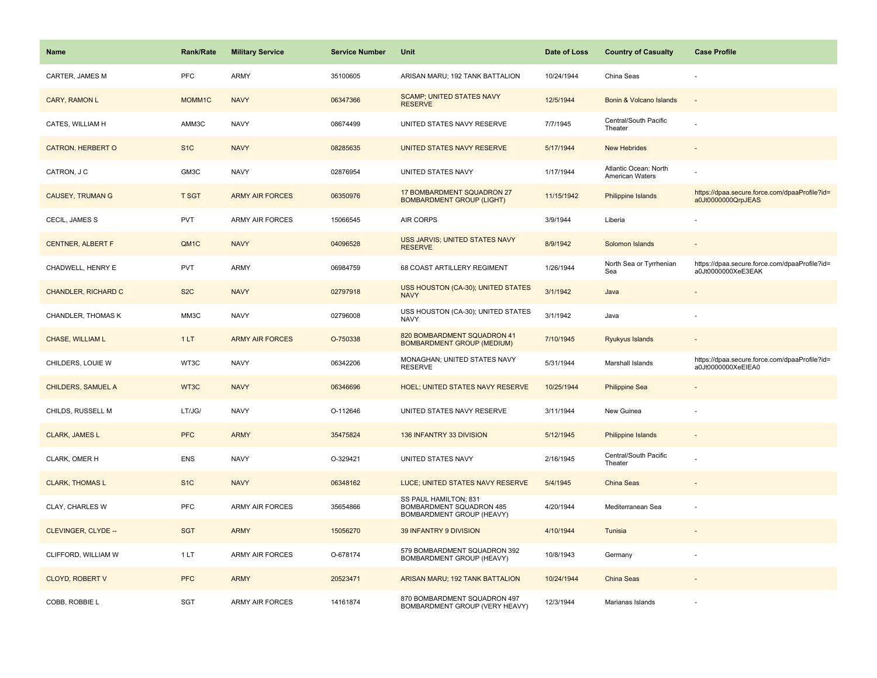| <b>Name</b>                | <b>Rank/Rate</b> | <b>Military Service</b> | <b>Service Number</b> | Unit                                                                           | Date of Loss | <b>Country of Casualty</b>               | <b>Case Profile</b>                                                 |
|----------------------------|------------------|-------------------------|-----------------------|--------------------------------------------------------------------------------|--------------|------------------------------------------|---------------------------------------------------------------------|
| CARTER, JAMES M            | <b>PFC</b>       | ARMY                    | 35100605              | ARISAN MARU; 192 TANK BATTALION                                                | 10/24/1944   | China Seas                               |                                                                     |
| CARY, RAMON L              | MOMM1C           | <b>NAVY</b>             | 06347366              | <b>SCAMP; UNITED STATES NAVY</b><br><b>RESERVE</b>                             | 12/5/1944    | Bonin & Volcano Islands                  |                                                                     |
| CATES, WILLIAM H           | AMM3C            | <b>NAVY</b>             | 08674499              | UNITED STATES NAVY RESERVE                                                     | 7/7/1945     | Central/South Pacific<br>Theater         |                                                                     |
| <b>CATRON, HERBERT O</b>   | S <sub>1</sub> C | <b>NAVY</b>             | 08285635              | UNITED STATES NAVY RESERVE                                                     | 5/17/1944    | <b>New Hebrides</b>                      |                                                                     |
| CATRON, J C                | GM3C             | <b>NAVY</b>             | 02876954              | UNITED STATES NAVY                                                             | 1/17/1944    | Atlantic Ocean: North<br>American Waters |                                                                     |
| <b>CAUSEY, TRUMAN G</b>    | <b>T SGT</b>     | <b>ARMY AIR FORCES</b>  | 06350976              | 17 BOMBARDMENT SQUADRON 27<br><b>BOMBARDMENT GROUP (LIGHT)</b>                 | 11/15/1942   | Philippine Islands                       | https://dpaa.secure.force.com/dpaaProfile?id=<br>a0Jt0000000QrpJEAS |
| CECIL, JAMES S             | <b>PVT</b>       | ARMY AIR FORCES         | 15066545              | AIR CORPS                                                                      | 3/9/1944     | Liberia                                  |                                                                     |
| <b>CENTNER, ALBERT F</b>   | QM1C             | <b>NAVY</b>             | 04096528              | USS JARVIS; UNITED STATES NAVY<br><b>RESERVE</b>                               | 8/9/1942     | Solomon Islands                          |                                                                     |
| CHADWELL, HENRY E          | <b>PVT</b>       | ARMY                    | 06984759              | 68 COAST ARTILLERY REGIMENT                                                    | 1/26/1944    | North Sea or Tyrrhenian<br>Sea           | https://dpaa.secure.force.com/dpaaProfile?id=<br>a0Jt0000000XeE3EAK |
| <b>CHANDLER, RICHARD C</b> | S <sub>2</sub> C | <b>NAVY</b>             | 02797918              | USS HOUSTON (CA-30); UNITED STATES<br><b>NAVY</b>                              | 3/1/1942     | Java                                     |                                                                     |
| <b>CHANDLER, THOMAS K</b>  | MM3C             | <b>NAVY</b>             | 02796008              | USS HOUSTON (CA-30); UNITED STATES<br><b>NAVY</b>                              | 3/1/1942     | Java                                     |                                                                     |
| CHASE, WILLIAM L           | 1LT              | <b>ARMY AIR FORCES</b>  | O-750338              | 820 BOMBARDMENT SQUADRON 41<br><b>BOMBARDMENT GROUP (MEDIUM)</b>               | 7/10/1945    | Ryukyus Islands                          |                                                                     |
| CHILDERS, LOUIE W          | WT3C             | <b>NAVY</b>             | 06342206              | MONAGHAN; UNITED STATES NAVY<br><b>RESERVE</b>                                 | 5/31/1944    | Marshall Islands                         | https://dpaa.secure.force.com/dpaaProfile?id=<br>a0Jt0000000XeEIEA0 |
| CHILDERS, SAMUEL A         | WT3C             | <b>NAVY</b>             | 06346696              | <b>HOEL; UNITED STATES NAVY RESERVE</b>                                        | 10/25/1944   | <b>Philippine Sea</b>                    |                                                                     |
| CHILDS, RUSSELL M          | LT/JG/           | <b>NAVY</b>             | O-112646              | UNITED STATES NAVY RESERVE                                                     | 3/11/1944    | New Guinea                               |                                                                     |
| <b>CLARK, JAMES L</b>      | <b>PFC</b>       | <b>ARMY</b>             | 35475824              | 136 INFANTRY 33 DIVISION                                                       | 5/12/1945    | <b>Philippine Islands</b>                |                                                                     |
| CLARK, OMER H              | <b>ENS</b>       | <b>NAVY</b>             | O-329421              | UNITED STATES NAVY                                                             | 2/16/1945    | Central/South Pacific<br>Theater         |                                                                     |
| <b>CLARK, THOMAS L</b>     | S <sub>1</sub> C | <b>NAVY</b>             | 06348162              | LUCE; UNITED STATES NAVY RESERVE                                               | 5/4/1945     | <b>China Seas</b>                        |                                                                     |
| CLAY, CHARLES W            | <b>PFC</b>       | <b>ARMY AIR FORCES</b>  | 35654866              | SS PAUL HAMILTON; 831<br>BOMBARDMENT SQUADRON 485<br>BOMBARDMENT GROUP (HEAVY) | 4/20/1944    | Mediterranean Sea                        |                                                                     |
| CLEVINGER, CLYDE --        | <b>SGT</b>       | <b>ARMY</b>             | 15056270              | 39 INFANTRY 9 DIVISION                                                         | 4/10/1944    | Tunisia                                  |                                                                     |
| CLIFFORD, WILLIAM W        | 1 LT             | ARMY AIR FORCES         | O-678174              | 579 BOMBARDMENT SQUADRON 392<br>BOMBARDMENT GROUP (HEAVY)                      | 10/8/1943    | Germany                                  |                                                                     |
| CLOYD, ROBERT V            | <b>PFC</b>       | <b>ARMY</b>             | 20523471              | ARISAN MARU; 192 TANK BATTALION                                                | 10/24/1944   | China Seas                               |                                                                     |
| COBB, ROBBIE L             | <b>SGT</b>       | <b>ARMY AIR FORCES</b>  | 14161874              | 870 BOMBARDMENT SQUADRON 497<br>BOMBARDMENT GROUP (VERY HEAVY)                 | 12/3/1944    | Marianas Islands                         |                                                                     |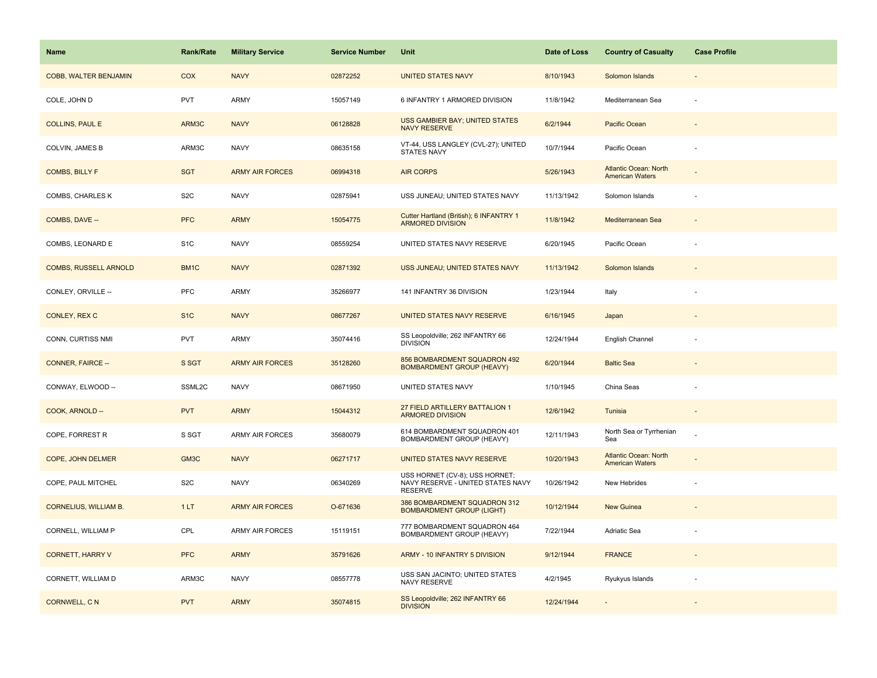| Name                         | Rank/Rate         | <b>Military Service</b> | <b>Service Number</b> | Unit                                                                                  | Date of Loss | <b>Country of Casualty</b>                             | <b>Case Profile</b>      |
|------------------------------|-------------------|-------------------------|-----------------------|---------------------------------------------------------------------------------------|--------------|--------------------------------------------------------|--------------------------|
| COBB, WALTER BENJAMIN        | <b>COX</b>        | <b>NAVY</b>             | 02872252              | <b>UNITED STATES NAVY</b>                                                             | 8/10/1943    | Solomon Islands                                        |                          |
| COLE, JOHN D                 | <b>PVT</b>        | ARMY                    | 15057149              | 6 INFANTRY 1 ARMORED DIVISION                                                         | 11/8/1942    | Mediterranean Sea                                      | ÷,                       |
| <b>COLLINS, PAUL E</b>       | ARM3C             | <b>NAVY</b>             | 06128828              | <b>USS GAMBIER BAY; UNITED STATES</b><br><b>NAVY RESERVE</b>                          | 6/2/1944     | Pacific Ocean                                          |                          |
| <b>COLVIN, JAMES B</b>       | ARM3C             | <b>NAVY</b>             | 08635158              | VT-44, USS LANGLEY (CVL-27); UNITED<br><b>STATES NAVY</b>                             | 10/7/1944    | Pacific Ocean                                          |                          |
| <b>COMBS, BILLY F</b>        | <b>SGT</b>        | <b>ARMY AIR FORCES</b>  | 06994318              | <b>AIR CORPS</b>                                                                      | 5/26/1943    | <b>Atlantic Ocean: North</b><br><b>American Waters</b> |                          |
| COMBS, CHARLES K             | S <sub>2</sub> C  | <b>NAVY</b>             | 02875941              | USS JUNEAU; UNITED STATES NAVY                                                        | 11/13/1942   | Solomon Islands                                        |                          |
| COMBS, DAVE --               | <b>PFC</b>        | <b>ARMY</b>             | 15054775              | Cutter Hartland (British); 6 INFANTRY 1<br><b>ARMORED DIVISION</b>                    | 11/8/1942    | Mediterranean Sea                                      | $\overline{\phantom{a}}$ |
| COMBS, LEONARD E             | S <sub>1</sub> C  | <b>NAVY</b>             | 08559254              | UNITED STATES NAVY RESERVE                                                            | 6/20/1945    | Pacific Ocean                                          |                          |
| <b>COMBS, RUSSELL ARNOLD</b> | BM <sub>1</sub> C | <b>NAVY</b>             | 02871392              | USS JUNEAU; UNITED STATES NAVY                                                        | 11/13/1942   | Solomon Islands                                        |                          |
| CONLEY, ORVILLE --           | PFC               | ARMY                    | 35266977              | 141 INFANTRY 36 DIVISION                                                              | 1/23/1944    | Italy                                                  |                          |
| CONLEY, REX C                | S <sub>1</sub> C  | <b>NAVY</b>             | 08677267              | UNITED STATES NAVY RESERVE                                                            | 6/16/1945    | Japan                                                  |                          |
| CONN, CURTISS NMI            | <b>PVT</b>        | ARMY                    | 35074416              | SS Leopoldville; 262 INFANTRY 66<br><b>DIVISION</b>                                   | 12/24/1944   | English Channel                                        |                          |
| <b>CONNER, FAIRCE --</b>     | S SGT             | <b>ARMY AIR FORCES</b>  | 35128260              | 856 BOMBARDMENT SQUADRON 492<br><b>BOMBARDMENT GROUP (HEAVY)</b>                      | 6/20/1944    | <b>Baltic Sea</b>                                      |                          |
| CONWAY, ELWOOD --            | SSML2C            | <b>NAVY</b>             | 08671950              | UNITED STATES NAVY                                                                    | 1/10/1945    | China Seas                                             |                          |
| COOK, ARNOLD --              | <b>PVT</b>        | <b>ARMY</b>             | 15044312              | 27 FIELD ARTILLERY BATTALION 1<br><b>ARMORED DIVISION</b>                             | 12/6/1942    | Tunisia                                                | $\blacksquare$           |
| COPE, FORREST R              | S SGT             | <b>ARMY AIR FORCES</b>  | 35680079              | 614 BOMBARDMENT SQUADRON 401<br><b>BOMBARDMENT GROUP (HEAVY)</b>                      | 12/11/1943   | North Sea or Tyrrhenian<br>Sea                         |                          |
| COPE, JOHN DELMER            | GM3C              | <b>NAVY</b>             | 06271717              | UNITED STATES NAVY RESERVE                                                            | 10/20/1943   | <b>Atlantic Ocean: North</b><br><b>American Waters</b> |                          |
| COPE, PAUL MITCHEL           | S <sub>2</sub> C  | <b>NAVY</b>             | 06340269              | USS HORNET (CV-8); USS HORNET;<br>NAVY RESERVE - UNITED STATES NAVY<br><b>RESERVE</b> | 10/26/1942   | New Hebrides                                           |                          |
| <b>CORNELIUS, WILLIAM B.</b> | 1LT               | <b>ARMY AIR FORCES</b>  | O-671636              | 386 BOMBARDMENT SQUADRON 312<br><b>BOMBARDMENT GROUP (LIGHT)</b>                      | 10/12/1944   | <b>New Guinea</b>                                      |                          |
| CORNELL, WILLIAM P           | CPL               | <b>ARMY AIR FORCES</b>  | 15119151              | 777 BOMBARDMENT SQUADRON 464<br>BOMBARDMENT GROUP (HEAVY)                             | 7/22/1944    | Adriatic Sea                                           |                          |
| <b>CORNETT, HARRY V</b>      | <b>PFC</b>        | <b>ARMY</b>             | 35791626              | ARMY - 10 INFANTRY 5 DIVISION                                                         | 9/12/1944    | <b>FRANCE</b>                                          |                          |
| CORNETT, WILLIAM D           | ARM3C             | <b>NAVY</b>             | 08557778              | USS SAN JACINTO; UNITED STATES<br>NAVY RESERVE                                        | 4/2/1945     | Ryukyus Islands                                        |                          |
| <b>CORNWELL, CN</b>          | <b>PVT</b>        | <b>ARMY</b>             | 35074815              | SS Leopoldville; 262 INFANTRY 66<br><b>DIVISION</b>                                   | 12/24/1944   |                                                        |                          |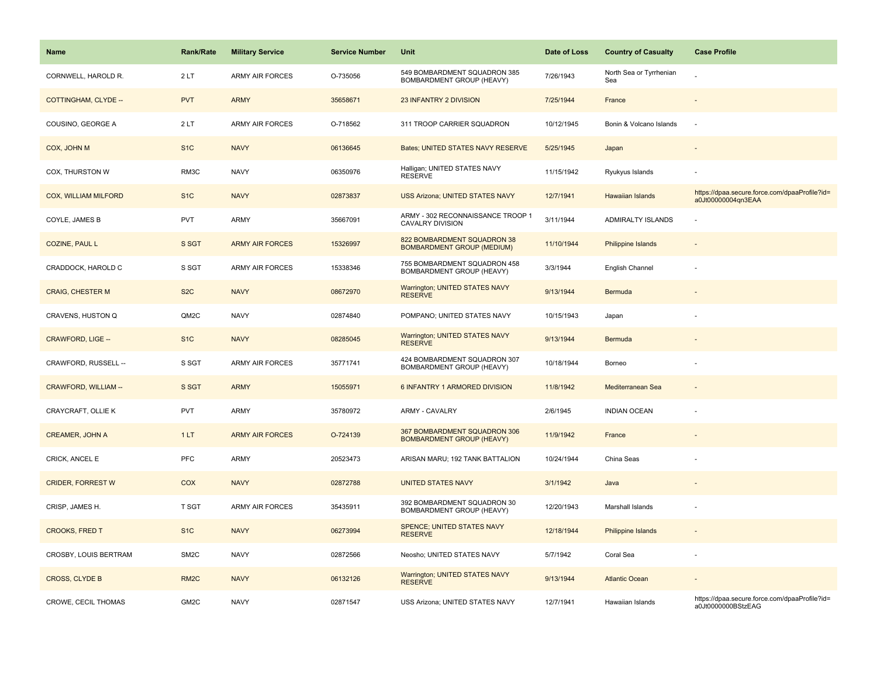| Name                        | <b>Rank/Rate</b>  | <b>Military Service</b> | <b>Service Number</b> | Unit                                                             | Date of Loss | <b>Country of Casualty</b>     | <b>Case Profile</b>                                                 |
|-----------------------------|-------------------|-------------------------|-----------------------|------------------------------------------------------------------|--------------|--------------------------------|---------------------------------------------------------------------|
| CORNWELL, HAROLD R.         | 2LT               | <b>ARMY AIR FORCES</b>  | O-735056              | 549 BOMBARDMENT SQUADRON 385<br>BOMBARDMENT GROUP (HEAVY)        | 7/26/1943    | North Sea or Tyrrhenian<br>Sea |                                                                     |
| COTTINGHAM, CLYDE --        | <b>PVT</b>        | <b>ARMY</b>             | 35658671              | 23 INFANTRY 2 DIVISION                                           | 7/25/1944    | France                         |                                                                     |
| COUSINO, GEORGE A           | 2LT               | ARMY AIR FORCES         | O-718562              | 311 TROOP CARRIER SQUADRON                                       | 10/12/1945   | Bonin & Volcano Islands        | ÷,                                                                  |
| COX, JOHN M                 | S <sub>1</sub> C  | <b>NAVY</b>             | 06136645              | Bates; UNITED STATES NAVY RESERVE                                | 5/25/1945    | Japan                          |                                                                     |
| COX, THURSTON W             | RM3C              | <b>NAVY</b>             | 06350976              | Halligan; UNITED STATES NAVY<br><b>RESERVE</b>                   | 11/15/1942   | Ryukyus Islands                |                                                                     |
| <b>COX, WILLIAM MILFORD</b> | S <sub>1</sub> C  | <b>NAVY</b>             | 02873837              | USS Arizona; UNITED STATES NAVY                                  | 12/7/1941    | Hawaiian Islands               | https://dpaa.secure.force.com/dpaaProfile?id=<br>a0Jt00000004qn3EAA |
| COYLE, JAMES B              | <b>PVT</b>        | <b>ARMY</b>             | 35667091              | ARMY - 302 RECONNAISSANCE TROOP 1<br><b>CAVALRY DIVISION</b>     | 3/11/1944    | ADMIRALTY ISLANDS              | ÷,                                                                  |
| <b>COZINE, PAUL L</b>       | S SGT             | <b>ARMY AIR FORCES</b>  | 15326997              | 822 BOMBARDMENT SQUADRON 38<br><b>BOMBARDMENT GROUP (MEDIUM)</b> | 11/10/1944   | <b>Philippine Islands</b>      |                                                                     |
| CRADDOCK, HAROLD C          | S SGT             | <b>ARMY AIR FORCES</b>  | 15338346              | 755 BOMBARDMENT SQUADRON 458<br>BOMBARDMENT GROUP (HEAVY)        | 3/3/1944     | English Channel                |                                                                     |
| <b>CRAIG, CHESTER M</b>     | S <sub>2</sub> C  | <b>NAVY</b>             | 08672970              | <b>Warrington; UNITED STATES NAVY</b><br><b>RESERVE</b>          | 9/13/1944    | Bermuda                        |                                                                     |
| CRAVENS, HUSTON Q           | QM2C              | <b>NAVY</b>             | 02874840              | POMPANO; UNITED STATES NAVY                                      | 10/15/1943   | Japan                          |                                                                     |
| CRAWFORD, LIGE --           | S <sub>1C</sub>   | <b>NAVY</b>             | 08285045              | Warrington; UNITED STATES NAVY<br><b>RESERVE</b>                 | 9/13/1944    | Bermuda                        |                                                                     |
| CRAWFORD, RUSSELL --        | S SGT             | <b>ARMY AIR FORCES</b>  | 35771741              | 424 BOMBARDMENT SQUADRON 307<br>BOMBARDMENT GROUP (HEAVY)        | 10/18/1944   | Borneo                         |                                                                     |
| CRAWFORD, WILLIAM --        | S SGT             | <b>ARMY</b>             | 15055971              | 6 INFANTRY 1 ARMORED DIVISION                                    | 11/8/1942    | Mediterranean Sea              |                                                                     |
| CRAYCRAFT, OLLIE K          | PVT               | <b>ARMY</b>             | 35780972              | ARMY - CAVALRY                                                   | 2/6/1945     | <b>INDIAN OCEAN</b>            |                                                                     |
| <b>CREAMER, JOHN A</b>      | 1LT               | <b>ARMY AIR FORCES</b>  | O-724139              | 367 BOMBARDMENT SQUADRON 306<br><b>BOMBARDMENT GROUP (HEAVY)</b> | 11/9/1942    | France                         |                                                                     |
| CRICK, ANCEL E              | <b>PFC</b>        | <b>ARMY</b>             | 20523473              | ARISAN MARU; 192 TANK BATTALION                                  | 10/24/1944   | China Seas                     |                                                                     |
| <b>CRIDER, FORREST W</b>    | <b>COX</b>        | <b>NAVY</b>             | 02872788              | <b>UNITED STATES NAVY</b>                                        | 3/1/1942     | Java                           |                                                                     |
| CRISP, JAMES H.             | T SGT             | <b>ARMY AIR FORCES</b>  | 35435911              | 392 BOMBARDMENT SQUADRON 30<br>BOMBARDMENT GROUP (HEAVY)         | 12/20/1943   | Marshall Islands               |                                                                     |
| <b>CROOKS, FRED T</b>       | S <sub>1</sub> C  | <b>NAVY</b>             | 06273994              | SPENCE; UNITED STATES NAVY<br><b>RESERVE</b>                     | 12/18/1944   | <b>Philippine Islands</b>      | $\overline{\phantom{a}}$                                            |
| CROSBY, LOUIS BERTRAM       | SM <sub>2</sub> C | <b>NAVY</b>             | 02872566              | Neosho; UNITED STATES NAVY                                       | 5/7/1942     | Coral Sea                      | ÷,                                                                  |
| <b>CROSS, CLYDE B</b>       | RM <sub>2</sub> C | <b>NAVY</b>             | 06132126              | Warrington; UNITED STATES NAVY<br><b>RESERVE</b>                 | 9/13/1944    | <b>Atlantic Ocean</b>          |                                                                     |
| CROWE, CECIL THOMAS         | GM2C              | <b>NAVY</b>             | 02871547              | USS Arizona; UNITED STATES NAVY                                  | 12/7/1941    | Hawaiian Islands               | https://dpaa.secure.force.com/dpaaProfile?id=<br>a0Jt0000000BStzEAG |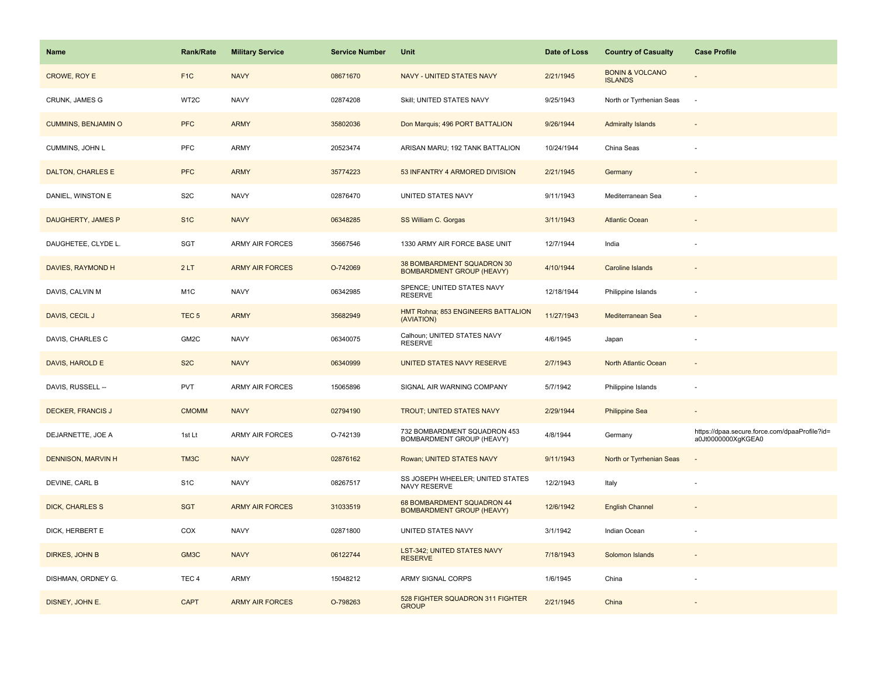| <b>Name</b>                | <b>Rank/Rate</b> | <b>Military Service</b> | <b>Service Number</b> | Unit                                                           | Date of Loss | <b>Country of Casualty</b>                   | <b>Case Profile</b>                                                 |
|----------------------------|------------------|-------------------------|-----------------------|----------------------------------------------------------------|--------------|----------------------------------------------|---------------------------------------------------------------------|
| CROWE, ROY E               | F <sub>1</sub> C | <b>NAVY</b>             | 08671670              | NAVY - UNITED STATES NAVY                                      | 2/21/1945    | <b>BONIN &amp; VOLCANO</b><br><b>ISLANDS</b> |                                                                     |
| CRUNK, JAMES G             | WT2C             | <b>NAVY</b>             | 02874208              | Skill; UNITED STATES NAVY                                      | 9/25/1943    | North or Tyrrhenian Seas                     | $\sim$                                                              |
| <b>CUMMINS, BENJAMIN O</b> | <b>PFC</b>       | <b>ARMY</b>             | 35802036              | Don Marquis; 496 PORT BATTALION                                | 9/26/1944    | <b>Admiralty Islands</b>                     |                                                                     |
| CUMMINS, JOHN L            | <b>PFC</b>       | ARMY                    | 20523474              | ARISAN MARU; 192 TANK BATTALION                                | 10/24/1944   | China Seas                                   |                                                                     |
| <b>DALTON, CHARLES E</b>   | <b>PFC</b>       | <b>ARMY</b>             | 35774223              | 53 INFANTRY 4 ARMORED DIVISION                                 | 2/21/1945    | Germany                                      |                                                                     |
| DANIEL, WINSTON E          | S <sub>2</sub> C | <b>NAVY</b>             | 02876470              | UNITED STATES NAVY                                             | 9/11/1943    | Mediterranean Sea                            |                                                                     |
| DAUGHERTY, JAMES P         | S <sub>1</sub> C | <b>NAVY</b>             | 06348285              | SS William C. Gorgas                                           | 3/11/1943    | <b>Atlantic Ocean</b>                        |                                                                     |
| DAUGHETEE, CLYDE L.        | SGT              | ARMY AIR FORCES         | 35667546              | 1330 ARMY AIR FORCE BASE UNIT                                  | 12/7/1944    | India                                        |                                                                     |
| DAVIES, RAYMOND H          | 2LT              | <b>ARMY AIR FORCES</b>  | O-742069              | 38 BOMBARDMENT SQUADRON 30<br><b>BOMBARDMENT GROUP (HEAVY)</b> | 4/10/1944    | <b>Caroline Islands</b>                      |                                                                     |
| DAVIS, CALVIN M            | M <sub>1</sub> C | <b>NAVY</b>             | 06342985              | SPENCE; UNITED STATES NAVY<br><b>RESERVE</b>                   | 12/18/1944   | Philippine Islands                           |                                                                     |
| DAVIS, CECIL J             | TEC <sub>5</sub> | <b>ARMY</b>             | 35682949              | HMT Rohna; 853 ENGINEERS BATTALION<br>(AVIATION)               | 11/27/1943   | Mediterranean Sea                            |                                                                     |
| DAVIS, CHARLES C           | GM2C             | <b>NAVY</b>             | 06340075              | Calhoun; UNITED STATES NAVY<br><b>RESERVE</b>                  | 4/6/1945     | Japan                                        |                                                                     |
| DAVIS, HAROLD E            | S <sub>2</sub> C | <b>NAVY</b>             | 06340999              | UNITED STATES NAVY RESERVE                                     | 2/7/1943     | North Atlantic Ocean                         |                                                                     |
| DAVIS, RUSSELL --          | <b>PVT</b>       | ARMY AIR FORCES         | 15065896              | SIGNAL AIR WARNING COMPANY                                     | 5/7/1942     | Philippine Islands                           |                                                                     |
| <b>DECKER, FRANCIS J</b>   | <b>CMOMM</b>     | <b>NAVY</b>             | 02794190              | TROUT; UNITED STATES NAVY                                      | 2/29/1944    | <b>Philippine Sea</b>                        |                                                                     |
| DEJARNETTE, JOE A          | 1st Lt           | ARMY AIR FORCES         | O-742139              | 732 BOMBARDMENT SQUADRON 453<br>BOMBARDMENT GROUP (HEAVY)      | 4/8/1944     | Germany                                      | https://dpaa.secure.force.com/dpaaProfile?id=<br>a0Jt0000000XgKGEA0 |
| <b>DENNISON, MARVIN H</b>  | TM3C             | <b>NAVY</b>             | 02876162              | Rowan; UNITED STATES NAVY                                      | 9/11/1943    | North or Tyrrhenian Seas                     |                                                                     |
| DEVINE, CARL B             | S <sub>1</sub> C | <b>NAVY</b>             | 08267517              | SS JOSEPH WHEELER; UNITED STATES<br>NAVY RESERVE               | 12/2/1943    | Italy                                        |                                                                     |
| <b>DICK, CHARLES S</b>     | <b>SGT</b>       | <b>ARMY AIR FORCES</b>  | 31033519              | 68 BOMBARDMENT SQUADRON 44<br><b>BOMBARDMENT GROUP (HEAVY)</b> | 12/6/1942    | <b>English Channel</b>                       |                                                                     |
| DICK, HERBERT E            | COX              | <b>NAVY</b>             | 02871800              | UNITED STATES NAVY                                             | 3/1/1942     | Indian Ocean                                 |                                                                     |
| DIRKES, JOHN B             | GM3C             | <b>NAVY</b>             | 06122744              | LST-342; UNITED STATES NAVY<br><b>RESERVE</b>                  | 7/18/1943    | Solomon Islands                              |                                                                     |
| DISHMAN, ORDNEY G.         | TEC <sub>4</sub> | ARMY                    | 15048212              | ARMY SIGNAL CORPS                                              | 1/6/1945     | China                                        |                                                                     |
| DISNEY, JOHN E.            | <b>CAPT</b>      | <b>ARMY AIR FORCES</b>  | O-798263              | 528 FIGHTER SQUADRON 311 FIGHTER<br><b>GROUP</b>               | 2/21/1945    | China                                        |                                                                     |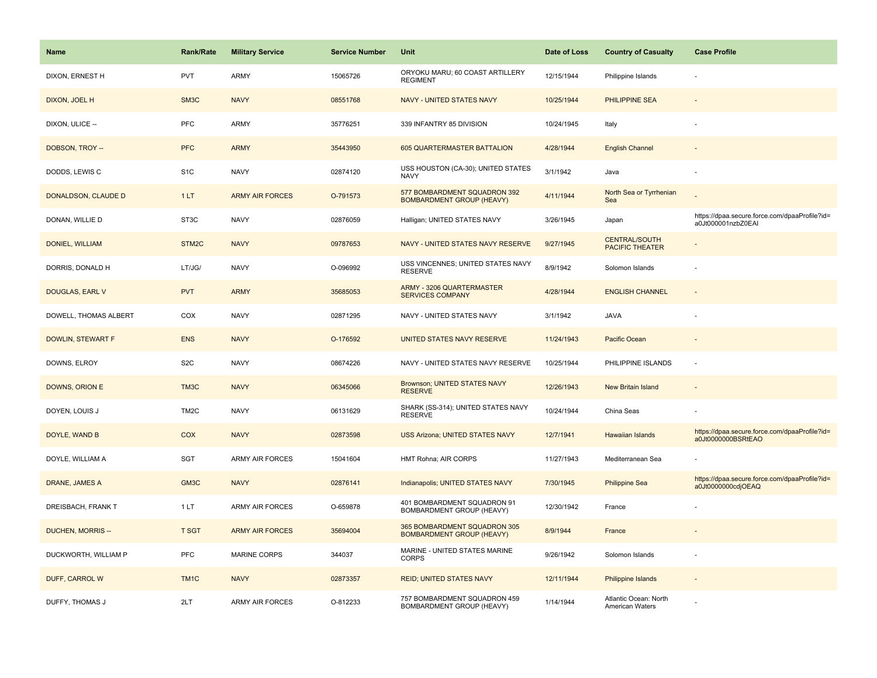| <b>Name</b>           | <b>Rank/Rate</b>  | <b>Military Service</b> | <b>Service Number</b> | Unit                                                             | Date of Loss | <b>Country of Casualty</b>                     | <b>Case Profile</b>                                                 |
|-----------------------|-------------------|-------------------------|-----------------------|------------------------------------------------------------------|--------------|------------------------------------------------|---------------------------------------------------------------------|
| DIXON, ERNEST H       | <b>PVT</b>        | <b>ARMY</b>             | 15065726              | ORYOKU MARU; 60 COAST ARTILLERY<br><b>REGIMENT</b>               | 12/15/1944   | Philippine Islands                             |                                                                     |
| DIXON, JOEL H         | SM3C              | <b>NAVY</b>             | 08551768              | NAVY - UNITED STATES NAVY                                        | 10/25/1944   | PHILIPPINE SEA                                 |                                                                     |
| DIXON, ULICE --       | PFC               | <b>ARMY</b>             | 35776251              | 339 INFANTRY 85 DIVISION                                         | 10/24/1945   | Italy                                          |                                                                     |
| DOBSON, TROY --       | <b>PFC</b>        | <b>ARMY</b>             | 35443950              | 605 QUARTERMASTER BATTALION                                      | 4/28/1944    | <b>English Channel</b>                         |                                                                     |
| DODDS, LEWIS C        | S <sub>1</sub> C  | <b>NAVY</b>             | 02874120              | USS HOUSTON (CA-30); UNITED STATES<br><b>NAVY</b>                | 3/1/1942     | Java                                           |                                                                     |
| DONALDSON, CLAUDE D   | 1LT               | <b>ARMY AIR FORCES</b>  | O-791573              | 577 BOMBARDMENT SQUADRON 392<br><b>BOMBARDMENT GROUP (HEAVY)</b> | 4/11/1944    | North Sea or Tyrrhenian<br>Sea                 |                                                                     |
| DONAN, WILLIE D       | ST3C              | <b>NAVY</b>             | 02876059              | Halligan; UNITED STATES NAVY                                     | 3/26/1945    | Japan                                          | https://dpaa.secure.force.com/dpaaProfile?id=<br>a0Jt000001nzbZ0EAI |
| DONIEL, WILLIAM       | STM2C             | <b>NAVY</b>             | 09787653              | NAVY - UNITED STATES NAVY RESERVE                                | 9/27/1945    | <b>CENTRAL/SOUTH</b><br><b>PACIFIC THEATER</b> |                                                                     |
| DORRIS, DONALD H      | LT/JG/            | <b>NAVY</b>             | O-096992              | USS VINCENNES; UNITED STATES NAVY<br><b>RESERVE</b>              | 8/9/1942     | Solomon Islands                                |                                                                     |
| DOUGLAS, EARL V       | <b>PVT</b>        | <b>ARMY</b>             | 35685053              | ARMY - 3206 QUARTERMASTER<br><b>SERVICES COMPANY</b>             | 4/28/1944    | <b>ENGLISH CHANNEL</b>                         |                                                                     |
| DOWELL, THOMAS ALBERT | COX               | <b>NAVY</b>             | 02871295              | NAVY - UNITED STATES NAVY                                        | 3/1/1942     | <b>JAVA</b>                                    |                                                                     |
| DOWLIN, STEWART F     | <b>ENS</b>        | <b>NAVY</b>             | O-176592              | UNITED STATES NAVY RESERVE                                       | 11/24/1943   | Pacific Ocean                                  |                                                                     |
| DOWNS, ELROY          | S <sub>2</sub> C  | <b>NAVY</b>             | 08674226              | NAVY - UNITED STATES NAVY RESERVE                                | 10/25/1944   | PHILIPPINE ISLANDS                             |                                                                     |
| DOWNS, ORION E        | TM3C              | <b>NAVY</b>             | 06345066              | Brownson; UNITED STATES NAVY<br><b>RESERVE</b>                   | 12/26/1943   | New Britain Island                             |                                                                     |
| DOYEN, LOUIS J        | TM <sub>2</sub> C | <b>NAVY</b>             | 06131629              | SHARK (SS-314); UNITED STATES NAVY<br><b>RESERVE</b>             | 10/24/1944   | China Seas                                     |                                                                     |
| DOYLE, WAND B         | COX               | <b>NAVY</b>             | 02873598              | <b>USS Arizona; UNITED STATES NAVY</b>                           | 12/7/1941    | <b>Hawaiian Islands</b>                        | https://dpaa.secure.force.com/dpaaProfile?id=<br>a0Jt0000000BSRtEAO |
| DOYLE, WILLIAM A      | SGT               | <b>ARMY AIR FORCES</b>  | 15041604              | HMT Rohna; AIR CORPS                                             | 11/27/1943   | Mediterranean Sea                              |                                                                     |
| DRANE, JAMES A        | GM3C              | <b>NAVY</b>             | 02876141              | Indianapolis; UNITED STATES NAVY                                 | 7/30/1945    | <b>Philippine Sea</b>                          | https://dpaa.secure.force.com/dpaaProfile?id=<br>a0Jt0000000cdjOEAQ |
| DREISBACH, FRANK T    | 1LT               | <b>ARMY AIR FORCES</b>  | O-659878              | 401 BOMBARDMENT SQUADRON 91<br>BOMBARDMENT GROUP (HEAVY)         | 12/30/1942   | France                                         |                                                                     |
| DUCHEN, MORRIS --     | <b>T SGT</b>      | <b>ARMY AIR FORCES</b>  | 35694004              | 365 BOMBARDMENT SQUADRON 305<br><b>BOMBARDMENT GROUP (HEAVY)</b> | 8/9/1944     | France                                         |                                                                     |
| DUCKWORTH, WILLIAM P  | <b>PFC</b>        | <b>MARINE CORPS</b>     | 344037                | MARINE - UNITED STATES MARINE<br><b>CORPS</b>                    | 9/26/1942    | Solomon Islands                                |                                                                     |
| DUFF, CARROL W        | TM <sub>1</sub> C | <b>NAVY</b>             | 02873357              | <b>REID; UNITED STATES NAVY</b>                                  | 12/11/1944   | <b>Philippine Islands</b>                      |                                                                     |
| DUFFY, THOMAS J       | 2LT               | <b>ARMY AIR FORCES</b>  | O-812233              | 757 BOMBARDMENT SQUADRON 459<br>BOMBARDMENT GROUP (HEAVY)        | 1/14/1944    | Atlantic Ocean: North<br>American Waters       |                                                                     |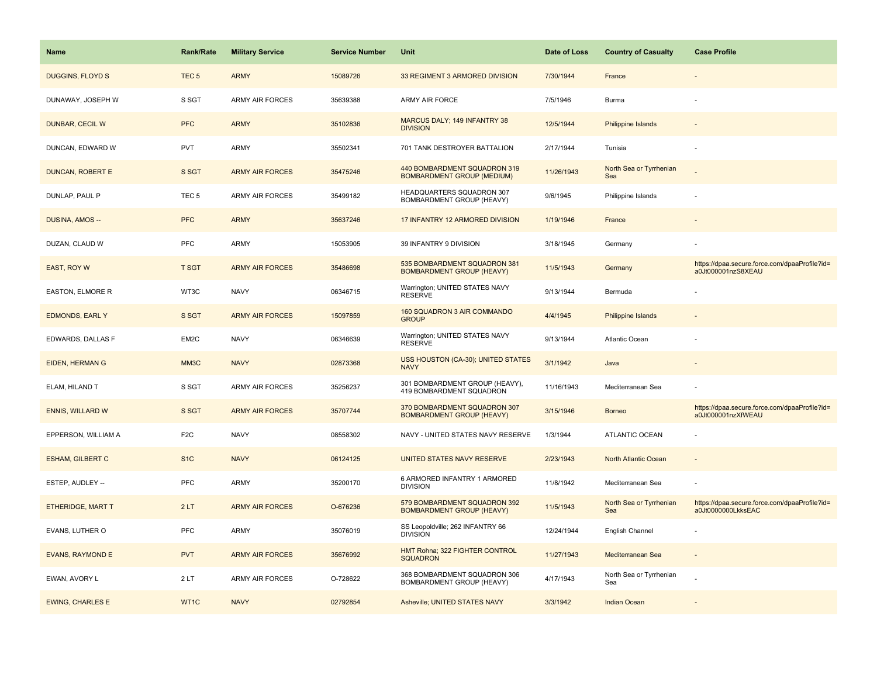| <b>Name</b>             | <b>Rank/Rate</b>  | <b>Military Service</b> | <b>Service Number</b> | Unit                                                              | Date of Loss | <b>Country of Casualty</b>     | <b>Case Profile</b>                                                 |
|-------------------------|-------------------|-------------------------|-----------------------|-------------------------------------------------------------------|--------------|--------------------------------|---------------------------------------------------------------------|
| <b>DUGGINS, FLOYD S</b> | TEC <sub>5</sub>  | <b>ARMY</b>             | 15089726              | 33 REGIMENT 3 ARMORED DIVISION                                    | 7/30/1944    | France                         |                                                                     |
| DUNAWAY, JOSEPH W       | S SGT             | ARMY AIR FORCES         | 35639388              | ARMY AIR FORCE                                                    | 7/5/1946     | Burma                          |                                                                     |
| DUNBAR, CECIL W         | <b>PFC</b>        | <b>ARMY</b>             | 35102836              | MARCUS DALY; 149 INFANTRY 38<br><b>DIVISION</b>                   | 12/5/1944    | <b>Philippine Islands</b>      |                                                                     |
| DUNCAN, EDWARD W        | <b>PVT</b>        | ARMY                    | 35502341              | 701 TANK DESTROYER BATTALION                                      | 2/17/1944    | Tunisia                        |                                                                     |
| <b>DUNCAN, ROBERT E</b> | S SGT             | <b>ARMY AIR FORCES</b>  | 35475246              | 440 BOMBARDMENT SQUADRON 319<br><b>BOMBARDMENT GROUP (MEDIUM)</b> | 11/26/1943   | North Sea or Tyrrhenian<br>Sea |                                                                     |
| DUNLAP, PAUL P          | TEC <sub>5</sub>  | ARMY AIR FORCES         | 35499182              | HEADQUARTERS SQUADRON 307<br>BOMBARDMENT GROUP (HEAVY)            | 9/6/1945     | Philippine Islands             |                                                                     |
| DUSINA, AMOS --         | <b>PFC</b>        | <b>ARMY</b>             | 35637246              | 17 INFANTRY 12 ARMORED DIVISION                                   | 1/19/1946    | France                         |                                                                     |
| DUZAN, CLAUD W          | <b>PFC</b>        | ARMY                    | 15053905              | 39 INFANTRY 9 DIVISION                                            | 3/18/1945    | Germany                        |                                                                     |
| <b>EAST, ROY W</b>      | <b>T SGT</b>      | <b>ARMY AIR FORCES</b>  | 35486698              | 535 BOMBARDMENT SQUADRON 381<br><b>BOMBARDMENT GROUP (HEAVY)</b>  | 11/5/1943    | Germany                        | https://dpaa.secure.force.com/dpaaProfile?id=<br>a0Jt000001nzS8XEAU |
| EASTON, ELMORE R        | WT3C              | <b>NAVY</b>             | 06346715              | Warrington; UNITED STATES NAVY<br><b>RESERVE</b>                  | 9/13/1944    | Bermuda                        |                                                                     |
| <b>EDMONDS, EARL Y</b>  | S SGT             | <b>ARMY AIR FORCES</b>  | 15097859              | 160 SQUADRON 3 AIR COMMANDO<br><b>GROUP</b>                       | 4/4/1945     | Philippine Islands             |                                                                     |
| EDWARDS, DALLAS F       | EM2C              | <b>NAVY</b>             | 06346639              | Warrington; UNITED STATES NAVY<br><b>RESERVE</b>                  | 9/13/1944    | Atlantic Ocean                 |                                                                     |
| <b>EIDEN, HERMAN G</b>  | MM <sub>3</sub> C | <b>NAVY</b>             | 02873368              | USS HOUSTON (CA-30); UNITED STATES<br><b>NAVY</b>                 | 3/1/1942     | Java                           |                                                                     |
| ELAM, HILAND T          | S SGT             | ARMY AIR FORCES         | 35256237              | 301 BOMBARDMENT GROUP (HEAVY),<br>419 BOMBARDMENT SQUADRON        | 11/16/1943   | Mediterranean Sea              |                                                                     |
| <b>ENNIS, WILLARD W</b> | S SGT             | <b>ARMY AIR FORCES</b>  | 35707744              | 370 BOMBARDMENT SQUADRON 307<br><b>BOMBARDMENT GROUP (HEAVY)</b>  | 3/15/1946    | <b>Borneo</b>                  | https://dpaa.secure.force.com/dpaaProfile?id=<br>a0Jt000001nzXfWEAU |
| EPPERSON, WILLIAM A     | F <sub>2</sub> C  | <b>NAVY</b>             | 08558302              | NAVY - UNITED STATES NAVY RESERVE                                 | 1/3/1944     | ATLANTIC OCEAN                 |                                                                     |
| <b>ESHAM, GILBERT C</b> | S <sub>1</sub> C  | <b>NAVY</b>             | 06124125              | UNITED STATES NAVY RESERVE                                        | 2/23/1943    | North Atlantic Ocean           |                                                                     |
| ESTEP, AUDLEY --        | <b>PFC</b>        | ARMY                    | 35200170              | 6 ARMORED INFANTRY 1 ARMORED<br><b>DIVISION</b>                   | 11/8/1942    | Mediterranean Sea              |                                                                     |
| ETHERIDGE, MART T       | 2LT               | <b>ARMY AIR FORCES</b>  | O-676236              | 579 BOMBARDMENT SQUADRON 392<br><b>BOMBARDMENT GROUP (HEAVY)</b>  | 11/5/1943    | North Sea or Tyrrhenian<br>Sea | https://dpaa.secure.force.com/dpaaProfile?id=<br>a0Jt0000000LkksEAC |
| EVANS, LUTHER O         | <b>PFC</b>        | ARMY                    | 35076019              | SS Leopoldville; 262 INFANTRY 66<br><b>DIVISION</b>               | 12/24/1944   | English Channel                |                                                                     |
| <b>EVANS, RAYMOND E</b> | <b>PVT</b>        | <b>ARMY AIR FORCES</b>  | 35676992              | HMT Rohna; 322 FIGHTER CONTROL<br><b>SQUADRON</b>                 | 11/27/1943   | Mediterranean Sea              |                                                                     |
| EWAN, AVORY L           | 2LT               | <b>ARMY AIR FORCES</b>  | O-728622              | 368 BOMBARDMENT SQUADRON 306<br>BOMBARDMENT GROUP (HEAVY)         | 4/17/1943    | North Sea or Tyrrhenian<br>Sea |                                                                     |
| <b>EWING, CHARLES E</b> | WT1C              | <b>NAVY</b>             | 02792854              | Asheville; UNITED STATES NAVY                                     | 3/3/1942     | <b>Indian Ocean</b>            |                                                                     |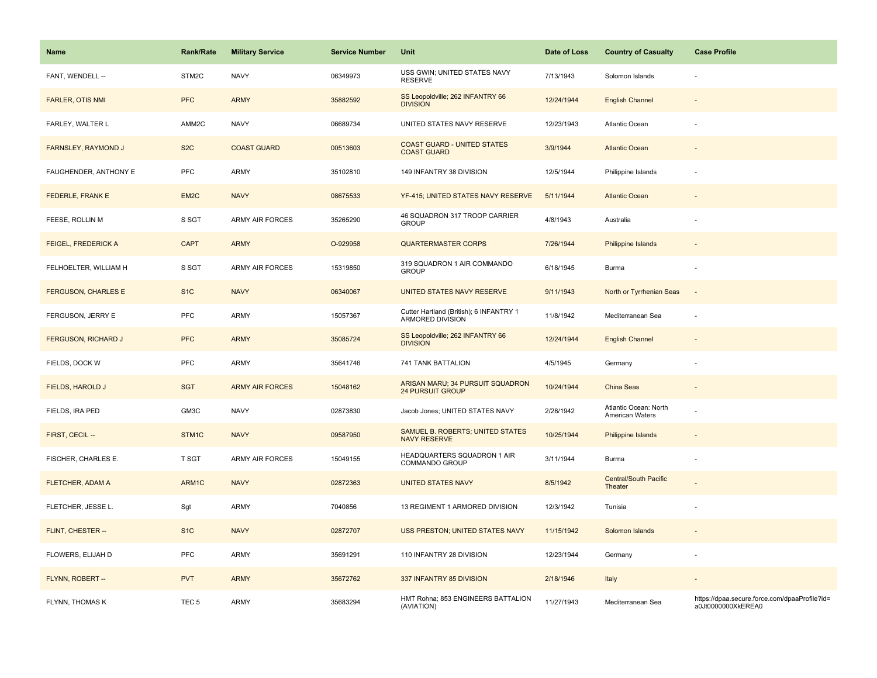| Name                       | <b>Rank/Rate</b>  | <b>Military Service</b> | <b>Service Number</b> | Unit                                                        | Date of Loss | <b>Country of Casualty</b>               | <b>Case Profile</b>                                                 |
|----------------------------|-------------------|-------------------------|-----------------------|-------------------------------------------------------------|--------------|------------------------------------------|---------------------------------------------------------------------|
| FANT, WENDELL --           | STM2C             | <b>NAVY</b>             | 06349973              | USS GWIN; UNITED STATES NAVY<br><b>RESERVE</b>              | 7/13/1943    | Solomon Islands                          |                                                                     |
| <b>FARLER, OTIS NMI</b>    | <b>PFC</b>        | <b>ARMY</b>             | 35882592              | SS Leopoldville; 262 INFANTRY 66<br><b>DIVISION</b>         | 12/24/1944   | <b>English Channel</b>                   |                                                                     |
| FARLEY, WALTER L           | AMM2C             | <b>NAVY</b>             | 06689734              | UNITED STATES NAVY RESERVE                                  | 12/23/1943   | Atlantic Ocean                           |                                                                     |
| FARNSLEY, RAYMOND J        | S <sub>2</sub> C  | <b>COAST GUARD</b>      | 00513603              | <b>COAST GUARD - UNITED STATES</b><br><b>COAST GUARD</b>    | 3/9/1944     | <b>Atlantic Ocean</b>                    |                                                                     |
| FAUGHENDER, ANTHONY E      | PFC               | <b>ARMY</b>             | 35102810              | 149 INFANTRY 38 DIVISION                                    | 12/5/1944    | Philippine Islands                       |                                                                     |
| <b>FEDERLE, FRANK E</b>    | EM <sub>2</sub> C | <b>NAVY</b>             | 08675533              | YF-415; UNITED STATES NAVY RESERVE                          | 5/11/1944    | <b>Atlantic Ocean</b>                    | $\sim$                                                              |
| FEESE, ROLLIN M            | S SGT             | <b>ARMY AIR FORCES</b>  | 35265290              | 46 SQUADRON 317 TROOP CARRIER<br><b>GROUP</b>               | 4/8/1943     | Australia                                |                                                                     |
| FEIGEL, FREDERICK A        | <b>CAPT</b>       | <b>ARMY</b>             | O-929958              | <b>QUARTERMASTER CORPS</b>                                  | 7/26/1944    | Philippine Islands                       |                                                                     |
| FELHOELTER, WILLIAM H      | S SGT             | <b>ARMY AIR FORCES</b>  | 15319850              | 319 SQUADRON 1 AIR COMMANDO<br><b>GROUP</b>                 | 6/18/1945    | Burma                                    |                                                                     |
| <b>FERGUSON, CHARLES E</b> | S <sub>1C</sub>   | <b>NAVY</b>             | 06340067              | UNITED STATES NAVY RESERVE                                  | 9/11/1943    | North or Tyrrhenian Seas                 | $\overline{\phantom{a}}$                                            |
| FERGUSON, JERRY E          | <b>PFC</b>        | <b>ARMY</b>             | 15057367              | Cutter Hartland (British); 6 INFANTRY 1<br>ARMORED DIVISION | 11/8/1942    | Mediterranean Sea                        |                                                                     |
| <b>FERGUSON, RICHARD J</b> | <b>PFC</b>        | <b>ARMY</b>             | 35085724              | SS Leopoldville; 262 INFANTRY 66<br><b>DIVISION</b>         | 12/24/1944   | <b>English Channel</b>                   |                                                                     |
| FIELDS, DOCK W             | PFC               | <b>ARMY</b>             | 35641746              | 741 TANK BATTALION                                          | 4/5/1945     | Germany                                  |                                                                     |
| FIELDS, HAROLD J           | <b>SGT</b>        | <b>ARMY AIR FORCES</b>  | 15048162              | ARISAN MARU; 34 PURSUIT SQUADRON<br><b>24 PURSUIT GROUP</b> | 10/24/1944   | China Seas                               | $\blacksquare$                                                      |
| FIELDS, IRA PED            | GM3C              | <b>NAVY</b>             | 02873830              | Jacob Jones; UNITED STATES NAVY                             | 2/28/1942    | Atlantic Ocean: North<br>American Waters |                                                                     |
| FIRST, CECIL --            | STM1C             | <b>NAVY</b>             | 09587950              | SAMUEL B. ROBERTS; UNITED STATES<br><b>NAVY RESERVE</b>     | 10/25/1944   | <b>Philippine Islands</b>                |                                                                     |
| FISCHER, CHARLES E.        | T SGT             | ARMY AIR FORCES         | 15049155              | HEADQUARTERS SQUADRON 1 AIR<br>COMMANDO GROUP               | 3/11/1944    | Burma                                    | ÷.                                                                  |
| FLETCHER, ADAM A           | ARM1C             | <b>NAVY</b>             | 02872363              | <b>UNITED STATES NAVY</b>                                   | 8/5/1942     | <b>Central/South Pacific</b><br>Theater  |                                                                     |
| FLETCHER, JESSE L.         | Sgt               | <b>ARMY</b>             | 7040856               | 13 REGIMENT 1 ARMORED DIVISION                              | 12/3/1942    | Tunisia                                  |                                                                     |
| FLINT, CHESTER --          | S <sub>1</sub> C  | <b>NAVY</b>             | 02872707              | <b>USS PRESTON; UNITED STATES NAVY</b>                      | 11/15/1942   | Solomon Islands                          |                                                                     |
| FLOWERS, ELIJAH D          | PFC               | <b>ARMY</b>             | 35691291              | 110 INFANTRY 28 DIVISION                                    | 12/23/1944   | Germany                                  |                                                                     |
| FLYNN, ROBERT --           | <b>PVT</b>        | <b>ARMY</b>             | 35672762              | 337 INFANTRY 85 DIVISION                                    | 2/18/1946    | Italy                                    | $\blacksquare$                                                      |
| FLYNN, THOMAS K            | TEC <sub>5</sub>  | <b>ARMY</b>             | 35683294              | HMT Rohna; 853 ENGINEERS BATTALION<br>(AVIATION)            | 11/27/1943   | Mediterranean Sea                        | https://dpaa.secure.force.com/dpaaProfile?id=<br>a0Jt0000000XkEREA0 |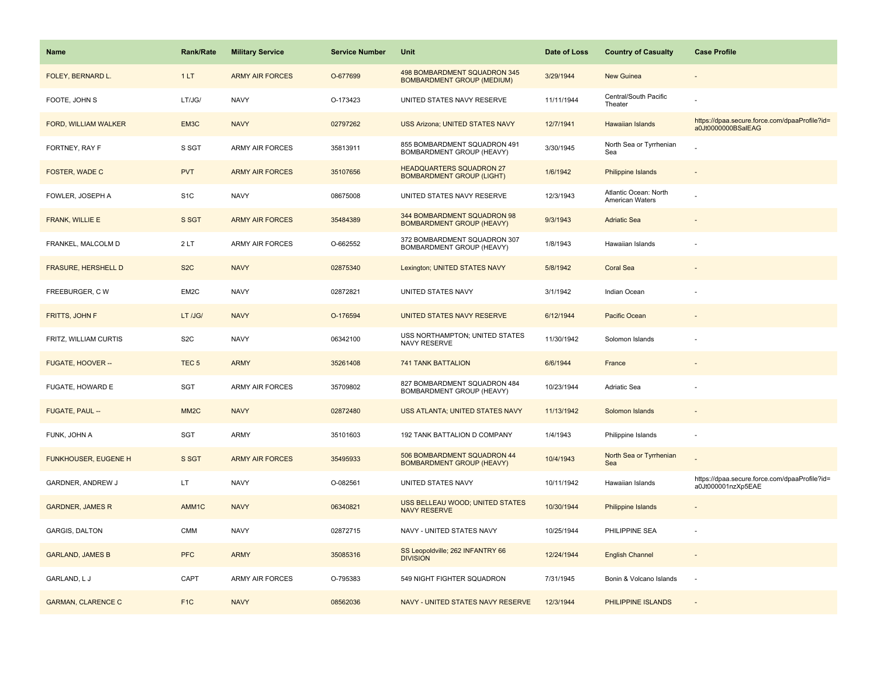| <b>Name</b>                 | <b>Rank/Rate</b>  | <b>Military Service</b> | <b>Service Number</b> | Unit                                                                | Date of Loss | <b>Country of Casualty</b>                      | <b>Case Profile</b>                                                 |
|-----------------------------|-------------------|-------------------------|-----------------------|---------------------------------------------------------------------|--------------|-------------------------------------------------|---------------------------------------------------------------------|
| FOLEY, BERNARD L.           | 1LT               | <b>ARMY AIR FORCES</b>  | O-677699              | 498 BOMBARDMENT SQUADRON 345<br><b>BOMBARDMENT GROUP (MEDIUM)</b>   | 3/29/1944    | New Guinea                                      |                                                                     |
| FOOTE, JOHN S               | LT/JG/            | <b>NAVY</b>             | O-173423              | UNITED STATES NAVY RESERVE                                          | 11/11/1944   | Central/South Pacific<br>Theater                |                                                                     |
| FORD, WILLIAM WALKER        | EM3C              | <b>NAVY</b>             | 02797262              | <b>USS Arizona; UNITED STATES NAVY</b>                              | 12/7/1941    | Hawaiian Islands                                | https://dpaa.secure.force.com/dpaaProfile?id=<br>a0Jt0000000BSalEAG |
| FORTNEY, RAY F              | S SGT             | ARMY AIR FORCES         | 35813911              | 855 BOMBARDMENT SQUADRON 491<br>BOMBARDMENT GROUP (HEAVY)           | 3/30/1945    | North Sea or Tyrrhenian<br>Sea                  |                                                                     |
| FOSTER, WADE C              | <b>PVT</b>        | <b>ARMY AIR FORCES</b>  | 35107656              | <b>HEADQUARTERS SQUADRON 27</b><br><b>BOMBARDMENT GROUP (LIGHT)</b> | 1/6/1942     | Philippine Islands                              |                                                                     |
| FOWLER, JOSEPH A            | S <sub>1</sub> C  | <b>NAVY</b>             | 08675008              | UNITED STATES NAVY RESERVE                                          | 12/3/1943    | Atlantic Ocean: North<br><b>American Waters</b> |                                                                     |
| FRANK, WILLIE E             | S SGT             | <b>ARMY AIR FORCES</b>  | 35484389              | 344 BOMBARDMENT SQUADRON 98<br><b>BOMBARDMENT GROUP (HEAVY)</b>     | 9/3/1943     | <b>Adriatic Sea</b>                             |                                                                     |
| FRANKEL, MALCOLM D          | 2LT               | ARMY AIR FORCES         | O-662552              | 372 BOMBARDMENT SQUADRON 307<br>BOMBARDMENT GROUP (HEAVY)           | 1/8/1943     | Hawaiian Islands                                |                                                                     |
| <b>FRASURE, HERSHELL D</b>  | S <sub>2</sub> C  | <b>NAVY</b>             | 02875340              | Lexington; UNITED STATES NAVY                                       | 5/8/1942     | <b>Coral Sea</b>                                |                                                                     |
| FREEBURGER, CW              | EM2C              | <b>NAVY</b>             | 02872821              | UNITED STATES NAVY                                                  | 3/1/1942     | Indian Ocean                                    |                                                                     |
| <b>FRITTS, JOHN F</b>       | LT /JG/           | <b>NAVY</b>             | O-176594              | UNITED STATES NAVY RESERVE                                          | 6/12/1944    | Pacific Ocean                                   |                                                                     |
| FRITZ, WILLIAM CURTIS       | S <sub>2</sub> C  | <b>NAVY</b>             | 06342100              | USS NORTHAMPTON; UNITED STATES<br>NAVY RESERVE                      | 11/30/1942   | Solomon Islands                                 |                                                                     |
| FUGATE, HOOVER --           | TEC <sub>5</sub>  | <b>ARMY</b>             | 35261408              | <b>741 TANK BATTALION</b>                                           | 6/6/1944     | France                                          |                                                                     |
| FUGATE, HOWARD E            | SGT               | ARMY AIR FORCES         | 35709802              | 827 BOMBARDMENT SQUADRON 484<br>BOMBARDMENT GROUP (HEAVY)           | 10/23/1944   | Adriatic Sea                                    |                                                                     |
| FUGATE, PAUL --             | MM <sub>2</sub> C | <b>NAVY</b>             | 02872480              | USS ATLANTA; UNITED STATES NAVY                                     | 11/13/1942   | Solomon Islands                                 |                                                                     |
| FUNK, JOHN A                | SGT               | ARMY                    | 35101603              | 192 TANK BATTALION D COMPANY                                        | 1/4/1943     | Philippine Islands                              |                                                                     |
| <b>FUNKHOUSER, EUGENE H</b> | S SGT             | <b>ARMY AIR FORCES</b>  | 35495933              | 506 BOMBARDMENT SQUADRON 44<br><b>BOMBARDMENT GROUP (HEAVY)</b>     | 10/4/1943    | North Sea or Tyrrhenian<br>Sea                  |                                                                     |
| GARDNER, ANDREW J           | LT.               | <b>NAVY</b>             | O-082561              | UNITED STATES NAVY                                                  | 10/11/1942   | Hawaiian Islands                                | https://dpaa.secure.force.com/dpaaProfile?id=<br>a0Jt000001nzXp5EAE |
| <b>GARDNER, JAMES R</b>     | AMM1C             | <b>NAVY</b>             | 06340821              | USS BELLEAU WOOD; UNITED STATES<br><b>NAVY RESERVE</b>              | 10/30/1944   | Philippine Islands                              |                                                                     |
| <b>GARGIS, DALTON</b>       | CMM               | <b>NAVY</b>             | 02872715              | NAVY - UNITED STATES NAVY                                           | 10/25/1944   | PHILIPPINE SEA                                  |                                                                     |
| <b>GARLAND, JAMES B</b>     | <b>PFC</b>        | <b>ARMY</b>             | 35085316              | SS Leopoldville; 262 INFANTRY 66<br><b>DIVISION</b>                 | 12/24/1944   | <b>English Channel</b>                          | $\overline{\phantom{a}}$                                            |
| GARLAND, L J                | CAPT              | ARMY AIR FORCES         | O-795383              | 549 NIGHT FIGHTER SQUADRON                                          | 7/31/1945    | Bonin & Volcano Islands                         | $\sim$                                                              |
| <b>GARMAN, CLARENCE C</b>   | F <sub>1C</sub>   | <b>NAVY</b>             | 08562036              | NAVY - UNITED STATES NAVY RESERVE                                   | 12/3/1944    | PHILIPPINE ISLANDS                              |                                                                     |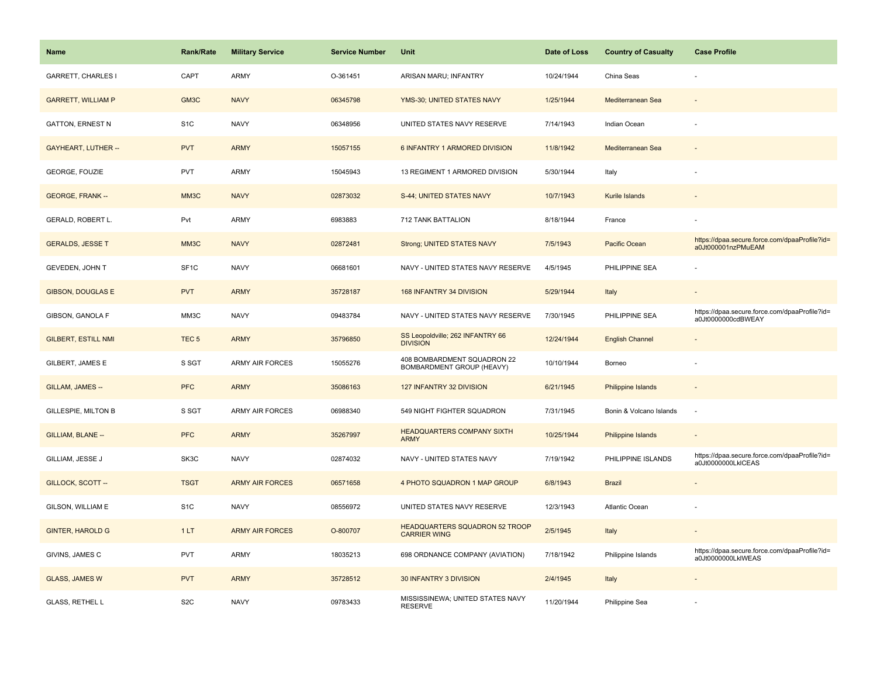| <b>Name</b>                | <b>Rank/Rate</b>  | <b>Military Service</b> | <b>Service Number</b> | Unit                                                         | Date of Loss | <b>Country of Casualty</b> | <b>Case Profile</b>                                                 |
|----------------------------|-------------------|-------------------------|-----------------------|--------------------------------------------------------------|--------------|----------------------------|---------------------------------------------------------------------|
| <b>GARRETT, CHARLES I</b>  | CAPT              | <b>ARMY</b>             | O-361451              | ARISAN MARU; INFANTRY                                        | 10/24/1944   | China Seas                 |                                                                     |
| <b>GARRETT, WILLIAM P</b>  | GM3C              | <b>NAVY</b>             | 06345798              | YMS-30; UNITED STATES NAVY                                   | 1/25/1944    | Mediterranean Sea          |                                                                     |
| <b>GATTON, ERNEST N</b>    | S <sub>1</sub> C  | <b>NAVY</b>             | 06348956              | UNITED STATES NAVY RESERVE                                   | 7/14/1943    | Indian Ocean               |                                                                     |
| <b>GAYHEART, LUTHER --</b> | <b>PVT</b>        | <b>ARMY</b>             | 15057155              | 6 INFANTRY 1 ARMORED DIVISION                                | 11/8/1942    | Mediterranean Sea          |                                                                     |
| <b>GEORGE, FOUZIE</b>      | <b>PVT</b>        | <b>ARMY</b>             | 15045943              | 13 REGIMENT 1 ARMORED DIVISION                               | 5/30/1944    | Italy                      |                                                                     |
| <b>GEORGE, FRANK --</b>    | MM3C              | <b>NAVY</b>             | 02873032              | S-44; UNITED STATES NAVY                                     | 10/7/1943    | Kurile Islands             |                                                                     |
| GERALD, ROBERT L.          | Pvt               | <b>ARMY</b>             | 6983883               | 712 TANK BATTALION                                           | 8/18/1944    | France                     |                                                                     |
| <b>GERALDS, JESSE T</b>    | MM3C              | <b>NAVY</b>             | 02872481              | Strong; UNITED STATES NAVY                                   | 7/5/1943     | Pacific Ocean              | https://dpaa.secure.force.com/dpaaProfile?id=<br>a0Jt000001nzPMuEAM |
| GEVEDEN, JOHN T            | SF <sub>1</sub> C | <b>NAVY</b>             | 06681601              | NAVY - UNITED STATES NAVY RESERVE                            | 4/5/1945     | PHILIPPINE SEA             |                                                                     |
| <b>GIBSON, DOUGLAS E</b>   | <b>PVT</b>        | <b>ARMY</b>             | 35728187              | 168 INFANTRY 34 DIVISION                                     | 5/29/1944    | Italy                      |                                                                     |
| GIBSON, GANOLA F           | MM3C              | <b>NAVY</b>             | 09483784              | NAVY - UNITED STATES NAVY RESERVE                            | 7/30/1945    | PHILIPPINE SEA             | https://dpaa.secure.force.com/dpaaProfile?id=<br>a0Jt0000000cdBWEAY |
| <b>GILBERT, ESTILL NMI</b> | TEC <sub>5</sub>  | <b>ARMY</b>             | 35796850              | SS Leopoldville; 262 INFANTRY 66<br><b>DIVISION</b>          | 12/24/1944   | <b>English Channel</b>     |                                                                     |
| GILBERT, JAMES E           | S SGT             | <b>ARMY AIR FORCES</b>  | 15055276              | 408 BOMBARDMENT SQUADRON 22<br>BOMBARDMENT GROUP (HEAVY)     | 10/10/1944   | Borneo                     |                                                                     |
| GILLAM, JAMES --           | <b>PFC</b>        | <b>ARMY</b>             | 35086163              | 127 INFANTRY 32 DIVISION                                     | 6/21/1945    | Philippine Islands         | $\sim$                                                              |
| GILLESPIE, MILTON B        | S SGT             | <b>ARMY AIR FORCES</b>  | 06988340              | 549 NIGHT FIGHTER SQUADRON                                   | 7/31/1945    | Bonin & Volcano Islands    | ÷.                                                                  |
| GILLIAM, BLANE --          | <b>PFC</b>        | <b>ARMY</b>             | 35267997              | <b>HEADQUARTERS COMPANY SIXTH</b><br><b>ARMY</b>             | 10/25/1944   | <b>Philippine Islands</b>  |                                                                     |
| GILLIAM, JESSE J           | SK3C              | <b>NAVY</b>             | 02874032              | NAVY - UNITED STATES NAVY                                    | 7/19/1942    | PHILIPPINE ISLANDS         | https://dpaa.secure.force.com/dpaaProfile?id=<br>a0Jt0000000LkICEAS |
| GILLOCK, SCOTT-            | <b>TSGT</b>       | <b>ARMY AIR FORCES</b>  | 06571658              | 4 PHOTO SQUADRON 1 MAP GROUP                                 | 6/8/1943     | <b>Brazil</b>              |                                                                     |
| GILSON, WILLIAM E          | S <sub>1</sub> C  | <b>NAVY</b>             | 08556972              | UNITED STATES NAVY RESERVE                                   | 12/3/1943    | Atlantic Ocean             |                                                                     |
| <b>GINTER, HAROLD G</b>    | 1LT               | <b>ARMY AIR FORCES</b>  | O-800707              | <b>HEADQUARTERS SQUADRON 52 TROOP</b><br><b>CARRIER WING</b> | 2/5/1945     | Italy                      |                                                                     |
| GIVINS, JAMES C            | PVT               | <b>ARMY</b>             | 18035213              | 698 ORDNANCE COMPANY (AVIATION)                              | 7/18/1942    | Philippine Islands         | https://dpaa.secure.force.com/dpaaProfile?id=<br>a0Jt0000000LkIWEAS |
| <b>GLASS, JAMES W</b>      | <b>PVT</b>        | <b>ARMY</b>             | 35728512              | 30 INFANTRY 3 DIVISION                                       | 2/4/1945     | Italy                      |                                                                     |
| <b>GLASS, RETHEL L</b>     | S <sub>2</sub> C  | <b>NAVY</b>             | 09783433              | MISSISSINEWA; UNITED STATES NAVY<br><b>RESERVE</b>           | 11/20/1944   | Philippine Sea             |                                                                     |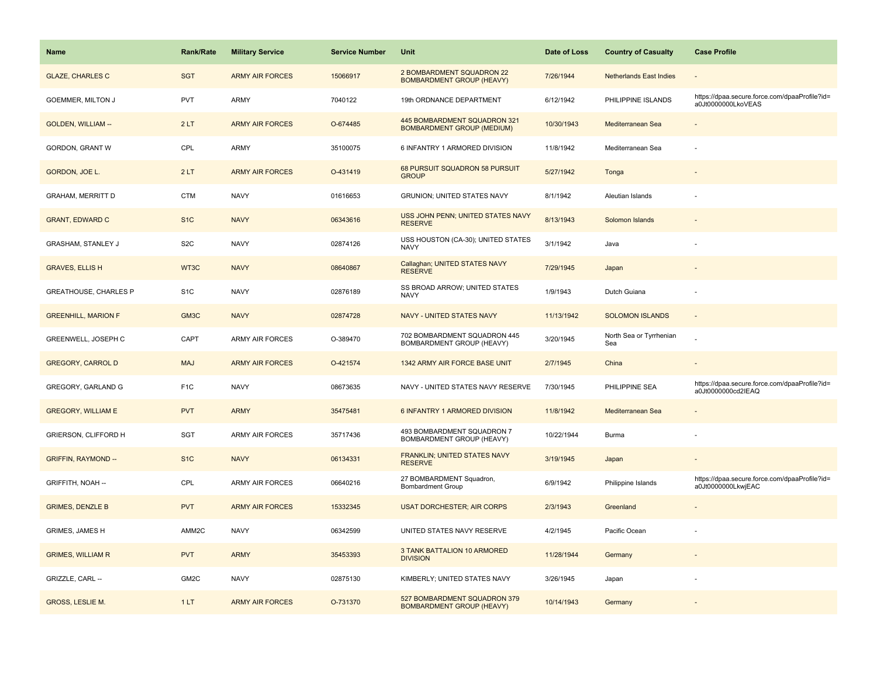| <b>Name</b>                | <b>Rank/Rate</b>  | <b>Military Service</b> | <b>Service Number</b> | Unit                                                              | Date of Loss | <b>Country of Casualty</b>     | <b>Case Profile</b>                                                 |
|----------------------------|-------------------|-------------------------|-----------------------|-------------------------------------------------------------------|--------------|--------------------------------|---------------------------------------------------------------------|
| <b>GLAZE, CHARLES C</b>    | <b>SGT</b>        | <b>ARMY AIR FORCES</b>  | 15066917              | 2 BOMBARDMENT SQUADRON 22<br><b>BOMBARDMENT GROUP (HEAVY)</b>     | 7/26/1944    | <b>Netherlands East Indies</b> |                                                                     |
| <b>GOEMMER, MILTON J</b>   | <b>PVT</b>        | ARMY                    | 7040122               | 19th ORDNANCE DEPARTMENT                                          | 6/12/1942    | PHILIPPINE ISLANDS             | https://dpaa.secure.force.com/dpaaProfile?id=<br>a0Jt0000000LkoVEAS |
| <b>GOLDEN, WILLIAM --</b>  | 2LT               | <b>ARMY AIR FORCES</b>  | O-674485              | 445 BOMBARDMENT SQUADRON 321<br><b>BOMBARDMENT GROUP (MEDIUM)</b> | 10/30/1943   | Mediterranean Sea              |                                                                     |
| GORDON, GRANT W            | CPL               | ARMY                    | 35100075              | 6 INFANTRY 1 ARMORED DIVISION                                     | 11/8/1942    | Mediterranean Sea              |                                                                     |
| GORDON, JOE L.             | 2LT               | <b>ARMY AIR FORCES</b>  | O-431419              | 68 PURSUIT SQUADRON 58 PURSUIT<br><b>GROUP</b>                    | 5/27/1942    | Tonga                          |                                                                     |
| <b>GRAHAM, MERRITT D</b>   | <b>CTM</b>        | <b>NAVY</b>             | 01616653              | GRUNION; UNITED STATES NAVY                                       | 8/1/1942     | Aleutian Islands               |                                                                     |
| <b>GRANT, EDWARD C</b>     | S <sub>1</sub> C  | <b>NAVY</b>             | 06343616              | USS JOHN PENN; UNITED STATES NAVY<br><b>RESERVE</b>               | 8/13/1943    | Solomon Islands                |                                                                     |
| GRASHAM, STANLEY J         | S <sub>2</sub> C  | <b>NAVY</b>             | 02874126              | USS HOUSTON (CA-30); UNITED STATES<br><b>NAVY</b>                 | 3/1/1942     | Java                           |                                                                     |
| <b>GRAVES, ELLIS H</b>     | WT3C              | <b>NAVY</b>             | 08640867              | Callaghan; UNITED STATES NAVY<br><b>RESERVE</b>                   | 7/29/1945    | Japan                          |                                                                     |
| GREATHOUSE, CHARLES P      | S <sub>1</sub> C  | <b>NAVY</b>             | 02876189              | SS BROAD ARROW; UNITED STATES<br><b>NAVY</b>                      | 1/9/1943     | Dutch Guiana                   |                                                                     |
| <b>GREENHILL, MARION F</b> | GM3C              | <b>NAVY</b>             | 02874728              | NAVY - UNITED STATES NAVY                                         | 11/13/1942   | <b>SOLOMON ISLANDS</b>         |                                                                     |
| GREENWELL, JOSEPH C        | CAPT              | ARMY AIR FORCES         | O-389470              | 702 BOMBARDMENT SQUADRON 445<br>BOMBARDMENT GROUP (HEAVY)         | 3/20/1945    | North Sea or Tyrrhenian<br>Sea |                                                                     |
| <b>GREGORY, CARROL D</b>   | <b>MAJ</b>        | <b>ARMY AIR FORCES</b>  | O-421574              | 1342 ARMY AIR FORCE BASE UNIT                                     | 2/7/1945     | China                          |                                                                     |
| GREGORY, GARLAND G         | F <sub>1</sub> C  | <b>NAVY</b>             | 08673635              | NAVY - UNITED STATES NAVY RESERVE                                 | 7/30/1945    | PHILIPPINE SEA                 | https://dpaa.secure.force.com/dpaaProfile?id=<br>a0Jt0000000cd2IEAQ |
| <b>GREGORY, WILLIAM E</b>  | <b>PVT</b>        | <b>ARMY</b>             | 35475481              | 6 INFANTRY 1 ARMORED DIVISION                                     | 11/8/1942    | Mediterranean Sea              |                                                                     |
| GRIERSON, CLIFFORD H       | SGT               | ARMY AIR FORCES         | 35717436              | 493 BOMBARDMENT SQUADRON 7<br>BOMBARDMENT GROUP (HEAVY)           | 10/22/1944   | <b>Burma</b>                   |                                                                     |
| <b>GRIFFIN, RAYMOND --</b> | S <sub>1</sub> C  | <b>NAVY</b>             | 06134331              | FRANKLIN; UNITED STATES NAVY<br><b>RESERVE</b>                    | 3/19/1945    | Japan                          |                                                                     |
| GRIFFITH, NOAH --          | CPL               | ARMY AIR FORCES         | 06640216              | 27 BOMBARDMENT Squadron,<br><b>Bombardment Group</b>              | 6/9/1942     | Philippine Islands             | https://dpaa.secure.force.com/dpaaProfile?id=<br>a0Jt0000000LkwjEAC |
| <b>GRIMES, DENZLE B</b>    | <b>PVT</b>        | <b>ARMY AIR FORCES</b>  | 15332345              | <b>USAT DORCHESTER; AIR CORPS</b>                                 | 2/3/1943     | Greenland                      |                                                                     |
| <b>GRIMES, JAMES H</b>     | AMM2C             | <b>NAVY</b>             | 06342599              | UNITED STATES NAVY RESERVE                                        | 4/2/1945     | Pacific Ocean                  |                                                                     |
| <b>GRIMES, WILLIAM R</b>   | <b>PVT</b>        | <b>ARMY</b>             | 35453393              | 3 TANK BATTALION 10 ARMORED<br><b>DIVISION</b>                    | 11/28/1944   | Germany                        |                                                                     |
| GRIZZLE, CARL --           | GM <sub>2</sub> C | <b>NAVY</b>             | 02875130              | KIMBERLY; UNITED STATES NAVY                                      | 3/26/1945    | Japan                          |                                                                     |
| <b>GROSS, LESLIE M.</b>    | 1LT               | <b>ARMY AIR FORCES</b>  | O-731370              | 527 BOMBARDMENT SQUADRON 379<br><b>BOMBARDMENT GROUP (HEAVY)</b>  | 10/14/1943   | Germany                        |                                                                     |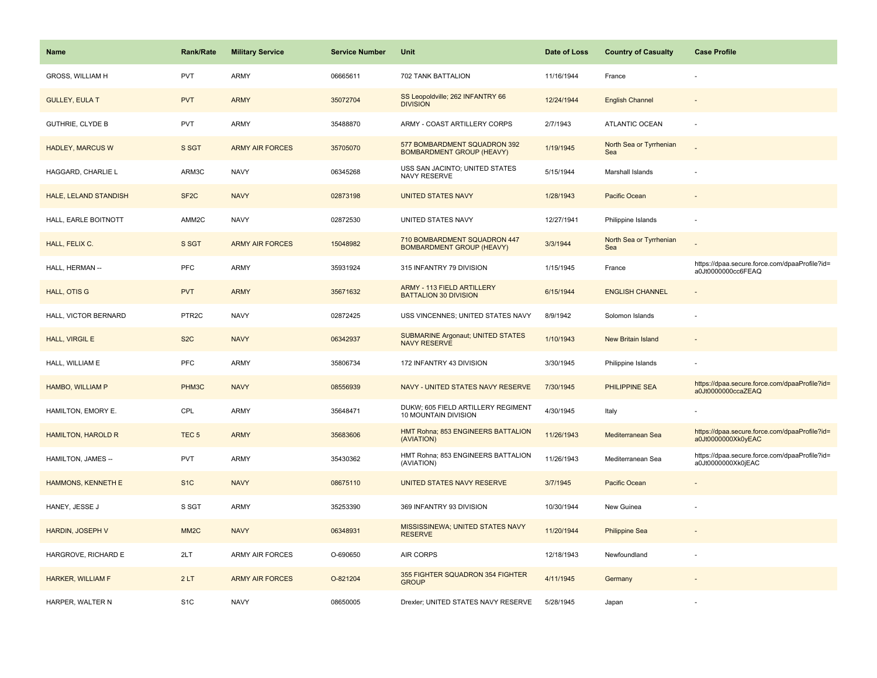| <b>Name</b>               | <b>Rank/Rate</b>  | <b>Military Service</b> | <b>Service Number</b> | Unit                                                             | Date of Loss | <b>Country of Casualty</b>     | <b>Case Profile</b>                                                 |
|---------------------------|-------------------|-------------------------|-----------------------|------------------------------------------------------------------|--------------|--------------------------------|---------------------------------------------------------------------|
| <b>GROSS, WILLIAM H</b>   | <b>PVT</b>        | ARMY                    | 06665611              | 702 TANK BATTALION                                               | 11/16/1944   | France                         |                                                                     |
| <b>GULLEY, EULA T</b>     | <b>PVT</b>        | <b>ARMY</b>             | 35072704              | SS Leopoldville; 262 INFANTRY 66<br><b>DIVISION</b>              | 12/24/1944   | <b>English Channel</b>         |                                                                     |
| <b>GUTHRIE, CLYDE B</b>   | <b>PVT</b>        | ARMY                    | 35488870              | ARMY - COAST ARTILLERY CORPS                                     | 2/7/1943     | ATLANTIC OCEAN                 |                                                                     |
| <b>HADLEY, MARCUS W</b>   | S SGT             | <b>ARMY AIR FORCES</b>  | 35705070              | 577 BOMBARDMENT SQUADRON 392<br><b>BOMBARDMENT GROUP (HEAVY)</b> | 1/19/1945    | North Sea or Tyrrhenian<br>Sea |                                                                     |
| HAGGARD, CHARLIE L        | ARM3C             | <b>NAVY</b>             | 06345268              | USS SAN JACINTO; UNITED STATES<br>NAVY RESERVE                   | 5/15/1944    | Marshall Islands               |                                                                     |
| HALE, LELAND STANDISH     | SF <sub>2</sub> C | <b>NAVY</b>             | 02873198              | <b>UNITED STATES NAVY</b>                                        | 1/28/1943    | Pacific Ocean                  |                                                                     |
| HALL, EARLE BOITNOTT      | AMM2C             | <b>NAVY</b>             | 02872530              | UNITED STATES NAVY                                               | 12/27/1941   | Philippine Islands             |                                                                     |
| HALL, FELIX C.            | S SGT             | <b>ARMY AIR FORCES</b>  | 15048982              | 710 BOMBARDMENT SQUADRON 447<br><b>BOMBARDMENT GROUP (HEAVY)</b> | 3/3/1944     | North Sea or Tyrrhenian<br>Sea |                                                                     |
| HALL, HERMAN --           | PFC               | ARMY                    | 35931924              | 315 INFANTRY 79 DIVISION                                         | 1/15/1945    | France                         | https://dpaa.secure.force.com/dpaaProfile?id=<br>a0Jt0000000cc6FEAQ |
| <b>HALL, OTIS G</b>       | <b>PVT</b>        | <b>ARMY</b>             | 35671632              | ARMY - 113 FIELD ARTILLERY<br><b>BATTALION 30 DIVISION</b>       | 6/15/1944    | <b>ENGLISH CHANNEL</b>         |                                                                     |
| HALL, VICTOR BERNARD      | PTR <sub>2C</sub> | <b>NAVY</b>             | 02872425              | USS VINCENNES; UNITED STATES NAVY                                | 8/9/1942     | Solomon Islands                |                                                                     |
| <b>HALL, VIRGIL E</b>     | S <sub>2</sub> C  | <b>NAVY</b>             | 06342937              | <b>SUBMARINE Argonaut; UNITED STATES</b><br><b>NAVY RESERVE</b>  | 1/10/1943    | <b>New Britain Island</b>      |                                                                     |
| HALL, WILLIAM E           | <b>PFC</b>        | ARMY                    | 35806734              | 172 INFANTRY 43 DIVISION                                         | 3/30/1945    | Philippine Islands             |                                                                     |
| HAMBO, WILLIAM P          | PHM3C             | <b>NAVY</b>             | 08556939              | NAVY - UNITED STATES NAVY RESERVE                                | 7/30/1945    | PHILIPPINE SEA                 | https://dpaa.secure.force.com/dpaaProfile?id=<br>a0Jt0000000ccaZEAQ |
| HAMILTON, EMORY E.        | CPL               | ARMY                    | 35648471              | DUKW; 605 FIELD ARTILLERY REGIMENT<br>10 MOUNTAIN DIVISION       | 4/30/1945    | Italy                          |                                                                     |
| <b>HAMILTON, HAROLD R</b> | TEC <sub>5</sub>  | <b>ARMY</b>             | 35683606              | HMT Rohna; 853 ENGINEERS BATTALION<br>(AVIATION)                 | 11/26/1943   | Mediterranean Sea              | https://dpaa.secure.force.com/dpaaProfile?id=<br>a0Jt0000000Xk0yEAC |
| HAMILTON, JAMES --        | <b>PVT</b>        | <b>ARMY</b>             | 35430362              | HMT Rohna; 853 ENGINEERS BATTALION<br>(AVIATION)                 | 11/26/1943   | Mediterranean Sea              | https://dpaa.secure.force.com/dpaaProfile?id=<br>a0Jt0000000Xk0jEAC |
| HAMMONS, KENNETH E        | S <sub>1C</sub>   | <b>NAVY</b>             | 08675110              | UNITED STATES NAVY RESERVE                                       | 3/7/1945     | Pacific Ocean                  |                                                                     |
| HANEY, JESSE J            | S SGT             | ARMY                    | 35253390              | 369 INFANTRY 93 DIVISION                                         | 10/30/1944   | New Guinea                     |                                                                     |
| <b>HARDIN, JOSEPH V</b>   | MM <sub>2</sub> C | <b>NAVY</b>             | 06348931              | MISSISSINEWA; UNITED STATES NAVY<br><b>RESERVE</b>               | 11/20/1944   | <b>Philippine Sea</b>          |                                                                     |
| HARGROVE, RICHARD E       | 2LT               | <b>ARMY AIR FORCES</b>  | O-690650              | AIR CORPS                                                        | 12/18/1943   | Newfoundland                   |                                                                     |
| HARKER, WILLIAM F         | 2LT               | <b>ARMY AIR FORCES</b>  | O-821204              | 355 FIGHTER SQUADRON 354 FIGHTER<br><b>GROUP</b>                 | 4/11/1945    | Germany                        |                                                                     |
| HARPER, WALTER N          | S <sub>1</sub> C  | <b>NAVY</b>             | 08650005              | Drexler; UNITED STATES NAVY RESERVE                              | 5/28/1945    | Japan                          |                                                                     |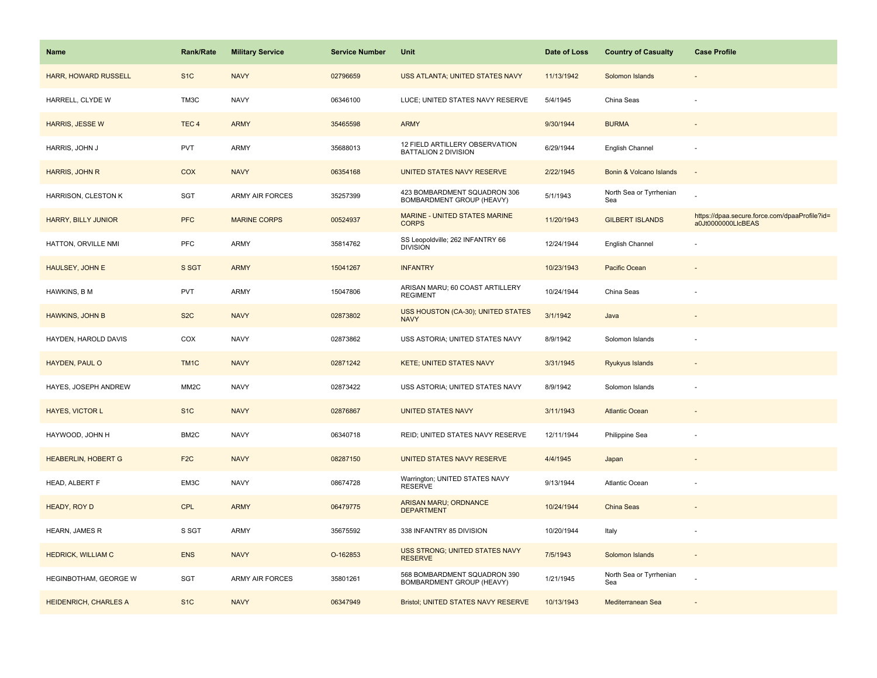| <b>Name</b>                 | Rank/Rate         | <b>Military Service</b> | <b>Service Number</b> | Unit                                                          | Date of Loss | <b>Country of Casualty</b>     | <b>Case Profile</b>                                                 |
|-----------------------------|-------------------|-------------------------|-----------------------|---------------------------------------------------------------|--------------|--------------------------------|---------------------------------------------------------------------|
| <b>HARR, HOWARD RUSSELL</b> | S <sub>1</sub> C  | <b>NAVY</b>             | 02796659              | USS ATLANTA; UNITED STATES NAVY                               | 11/13/1942   | Solomon Islands                |                                                                     |
| HARRELL, CLYDE W            | TM3C              | <b>NAVY</b>             | 06346100              | LUCE; UNITED STATES NAVY RESERVE                              | 5/4/1945     | China Seas                     |                                                                     |
| <b>HARRIS, JESSE W</b>      | TEC <sub>4</sub>  | <b>ARMY</b>             | 35465598              | <b>ARMY</b>                                                   | 9/30/1944    | <b>BURMA</b>                   |                                                                     |
| HARRIS, JOHN J              | <b>PVT</b>        | ARMY                    | 35688013              | 12 FIELD ARTILLERY OBSERVATION<br><b>BATTALION 2 DIVISION</b> | 6/29/1944    | English Channel                |                                                                     |
| HARRIS, JOHN R              | COX               | <b>NAVY</b>             | 06354168              | UNITED STATES NAVY RESERVE                                    | 2/22/1945    | Bonin & Volcano Islands        | $\overline{a}$                                                      |
| HARRISON, CLESTON K         | SGT               | ARMY AIR FORCES         | 35257399              | 423 BOMBARDMENT SQUADRON 306<br>BOMBARDMENT GROUP (HEAVY)     | 5/1/1943     | North Sea or Tyrrhenian<br>Sea |                                                                     |
| <b>HARRY, BILLY JUNIOR</b>  | <b>PFC</b>        | <b>MARINE CORPS</b>     | 00524937              | MARINE - UNITED STATES MARINE<br><b>CORPS</b>                 | 11/20/1943   | <b>GILBERT ISLANDS</b>         | https://dpaa.secure.force.com/dpaaProfile?id=<br>a0Jt0000000LlcBEAS |
| HATTON, ORVILLE NMI         | <b>PFC</b>        | ARMY                    | 35814762              | SS Leopoldville; 262 INFANTRY 66<br><b>DIVISION</b>           | 12/24/1944   | English Channel                |                                                                     |
| HAULSEY, JOHN E             | S SGT             | <b>ARMY</b>             | 15041267              | <b>INFANTRY</b>                                               | 10/23/1943   | Pacific Ocean                  |                                                                     |
| HAWKINS, B M                | <b>PVT</b>        | ARMY                    | 15047806              | ARISAN MARU; 60 COAST ARTILLERY<br><b>REGIMENT</b>            | 10/24/1944   | China Seas                     |                                                                     |
| <b>HAWKINS, JOHN B</b>      | S <sub>2</sub> C  | <b>NAVY</b>             | 02873802              | USS HOUSTON (CA-30); UNITED STATES<br><b>NAVY</b>             | 3/1/1942     | Java                           |                                                                     |
| HAYDEN, HAROLD DAVIS        | COX               | <b>NAVY</b>             | 02873862              | USS ASTORIA; UNITED STATES NAVY                               | 8/9/1942     | Solomon Islands                |                                                                     |
| HAYDEN, PAUL O              | TM <sub>1C</sub>  | <b>NAVY</b>             | 02871242              | <b>KETE; UNITED STATES NAVY</b>                               | 3/31/1945    | Ryukyus Islands                |                                                                     |
| HAYES, JOSEPH ANDREW        | MM <sub>2</sub> C | <b>NAVY</b>             | 02873422              | USS ASTORIA; UNITED STATES NAVY                               | 8/9/1942     | Solomon Islands                |                                                                     |
| <b>HAYES, VICTOR L</b>      | S <sub>1</sub> C  | <b>NAVY</b>             | 02876867              | <b>UNITED STATES NAVY</b>                                     | 3/11/1943    | <b>Atlantic Ocean</b>          |                                                                     |
| HAYWOOD, JOHN H             | BM2C              | <b>NAVY</b>             | 06340718              | REID; UNITED STATES NAVY RESERVE                              | 12/11/1944   | Philippine Sea                 |                                                                     |
| HEABERLIN, HOBERT G         | F <sub>2</sub> C  | <b>NAVY</b>             | 08287150              | UNITED STATES NAVY RESERVE                                    | 4/4/1945     | Japan                          |                                                                     |
| HEAD, ALBERT F              | EM3C              | <b>NAVY</b>             | 08674728              | Warrington; UNITED STATES NAVY<br>RESERVE                     | 9/13/1944    | Atlantic Ocean                 |                                                                     |
| HEADY, ROY D                | CPL               | <b>ARMY</b>             | 06479775              | <b>ARISAN MARU; ORDNANCE</b><br><b>DEPARTMENT</b>             | 10/24/1944   | China Seas                     |                                                                     |
| HEARN, JAMES R              | S SGT             | <b>ARMY</b>             | 35675592              | 338 INFANTRY 85 DIVISION                                      | 10/20/1944   | Italy                          |                                                                     |
| <b>HEDRICK, WILLIAM C</b>   | <b>ENS</b>        | <b>NAVY</b>             | O-162853              | USS STRONG; UNITED STATES NAVY<br><b>RESERVE</b>              | 7/5/1943     | Solomon Islands                | $\overline{\phantom{a}}$                                            |
| HEGINBOTHAM, GEORGE W       | SGT               | <b>ARMY AIR FORCES</b>  | 35801261              | 568 BOMBARDMENT SQUADRON 390<br>BOMBARDMENT GROUP (HEAVY)     | 1/21/1945    | North Sea or Tyrrhenian<br>Sea |                                                                     |
| HEIDENRICH, CHARLES A       | S <sub>1</sub> C  | <b>NAVY</b>             | 06347949              | <b>Bristol; UNITED STATES NAVY RESERVE</b>                    | 10/13/1943   | Mediterranean Sea              |                                                                     |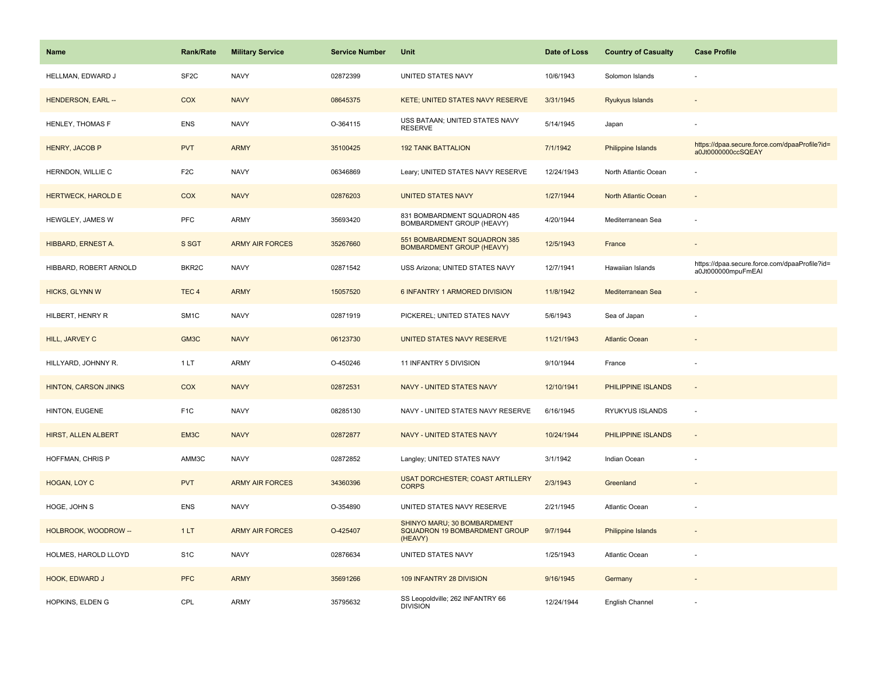| <b>Name</b>                 | Rank/Rate         | <b>Military Service</b> | <b>Service Number</b> | Unit                                                                    | Date of Loss | <b>Country of Casualty</b> | <b>Case Profile</b>                                                 |
|-----------------------------|-------------------|-------------------------|-----------------------|-------------------------------------------------------------------------|--------------|----------------------------|---------------------------------------------------------------------|
| HELLMAN, EDWARD J           | SF <sub>2</sub> C | <b>NAVY</b>             | 02872399              | UNITED STATES NAVY                                                      | 10/6/1943    | Solomon Islands            |                                                                     |
| <b>HENDERSON, EARL --</b>   | COX               | <b>NAVY</b>             | 08645375              | KETE; UNITED STATES NAVY RESERVE                                        | 3/31/1945    | Ryukyus Islands            |                                                                     |
| HENLEY, THOMAS F            | ENS               | <b>NAVY</b>             | O-364115              | USS BATAAN; UNITED STATES NAVY<br><b>RESERVE</b>                        | 5/14/1945    | Japan                      |                                                                     |
| HENRY, JACOB P              | <b>PVT</b>        | <b>ARMY</b>             | 35100425              | <b>192 TANK BATTALION</b>                                               | 7/1/1942     | Philippine Islands         | https://dpaa.secure.force.com/dpaaProfile?id=<br>a0Jt0000000ccSQEAY |
| HERNDON, WILLIE C           | F <sub>2</sub> C  | <b>NAVY</b>             | 06346869              | Leary; UNITED STATES NAVY RESERVE                                       | 12/24/1943   | North Atlantic Ocean       |                                                                     |
| <b>HERTWECK, HAROLD E</b>   | COX               | <b>NAVY</b>             | 02876203              | <b>UNITED STATES NAVY</b>                                               | 1/27/1944    | North Atlantic Ocean       | $\blacksquare$                                                      |
| HEWGLEY, JAMES W            | <b>PFC</b>        | ARMY                    | 35693420              | 831 BOMBARDMENT SQUADRON 485<br>BOMBARDMENT GROUP (HEAVY)               | 4/20/1944    | Mediterranean Sea          | ÷,                                                                  |
| HIBBARD, ERNEST A.          | S SGT             | <b>ARMY AIR FORCES</b>  | 35267660              | 551 BOMBARDMENT SQUADRON 385<br><b>BOMBARDMENT GROUP (HEAVY)</b>        | 12/5/1943    | France                     |                                                                     |
| HIBBARD, ROBERT ARNOLD      | BKR2C             | <b>NAVY</b>             | 02871542              | USS Arizona; UNITED STATES NAVY                                         | 12/7/1941    | Hawaiian Islands           | https://dpaa.secure.force.com/dpaaProfile?id=<br>a0Jt000000mpuFmEAI |
| HICKS, GLYNN W              | TEC <sub>4</sub>  | <b>ARMY</b>             | 15057520              | 6 INFANTRY 1 ARMORED DIVISION                                           | 11/8/1942    | Mediterranean Sea          |                                                                     |
| HILBERT, HENRY R            | SM <sub>1</sub> C | <b>NAVY</b>             | 02871919              | PICKEREL; UNITED STATES NAVY                                            | 5/6/1943     | Sea of Japan               |                                                                     |
| HILL, JARVEY C              | GM3C              | <b>NAVY</b>             | 06123730              | UNITED STATES NAVY RESERVE                                              | 11/21/1943   | <b>Atlantic Ocean</b>      | $\sim$                                                              |
| HILLYARD, JOHNNY R.         | 1LT               | <b>ARMY</b>             | O-450246              | 11 INFANTRY 5 DIVISION                                                  | 9/10/1944    | France                     |                                                                     |
| <b>HINTON, CARSON JINKS</b> | COX               | <b>NAVY</b>             | 02872531              | NAVY - UNITED STATES NAVY                                               | 12/10/1941   | PHILIPPINE ISLANDS         | $\sim$                                                              |
| HINTON, EUGENE              | F <sub>1</sub> C  | <b>NAVY</b>             | 08285130              | NAVY - UNITED STATES NAVY RESERVE                                       | 6/16/1945    | RYUKYUS ISLANDS            | ÷,                                                                  |
| <b>HIRST, ALLEN ALBERT</b>  | EM3C              | <b>NAVY</b>             | 02872877              | NAVY - UNITED STATES NAVY                                               | 10/24/1944   | PHILIPPINE ISLANDS         | $\blacksquare$                                                      |
| HOFFMAN, CHRIS P            | AMM3C             | <b>NAVY</b>             | 02872852              | Langley; UNITED STATES NAVY                                             | 3/1/1942     | Indian Ocean               |                                                                     |
| HOGAN, LOY C                | <b>PVT</b>        | <b>ARMY AIR FORCES</b>  | 34360396              | <b>USAT DORCHESTER; COAST ARTILLERY</b><br><b>CORPS</b>                 | 2/3/1943     | Greenland                  |                                                                     |
| HOGE, JOHN S                | <b>ENS</b>        | <b>NAVY</b>             | O-354890              | UNITED STATES NAVY RESERVE                                              | 2/21/1945    | Atlantic Ocean             |                                                                     |
| HOLBROOK, WOODROW --        | 1LT               | <b>ARMY AIR FORCES</b>  | O-425407              | SHINYO MARU; 30 BOMBARDMENT<br>SQUADRON 19 BOMBARDMENT GROUP<br>(HEAVY) | 9/7/1944     | Philippine Islands         |                                                                     |
| HOLMES, HAROLD LLOYD        | S <sub>1</sub> C  | <b>NAVY</b>             | 02876634              | UNITED STATES NAVY                                                      | 1/25/1943    | Atlantic Ocean             |                                                                     |
| HOOK, EDWARD J              | <b>PFC</b>        | <b>ARMY</b>             | 35691266              | 109 INFANTRY 28 DIVISION                                                | 9/16/1945    | Germany                    |                                                                     |
| HOPKINS, ELDEN G            | CPL               | <b>ARMY</b>             | 35795632              | SS Leopoldville; 262 INFANTRY 66<br><b>DIVISION</b>                     | 12/24/1944   | English Channel            |                                                                     |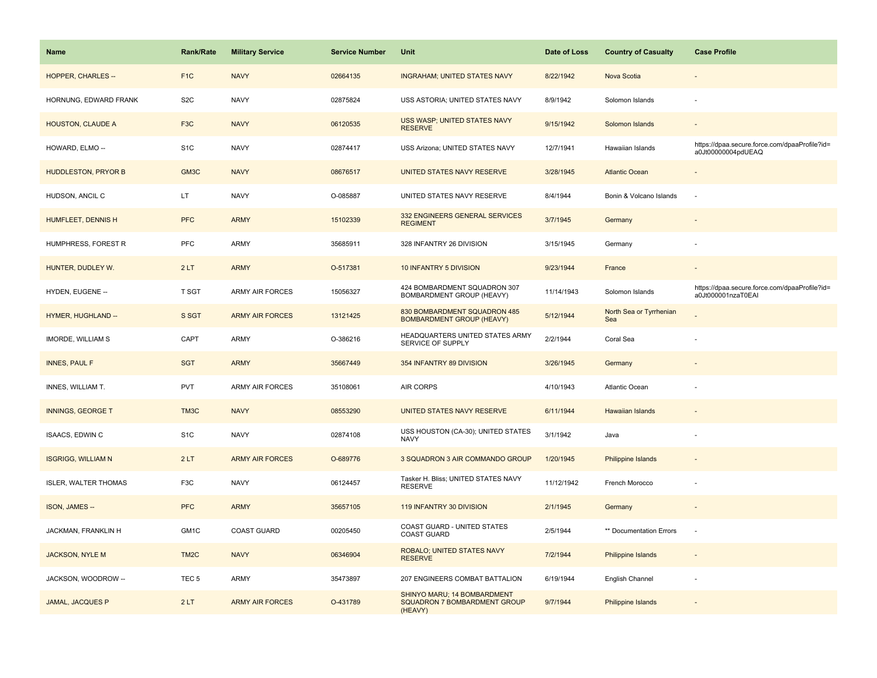| <b>Name</b>                 | <b>Rank/Rate</b>  | <b>Military Service</b> | <b>Service Number</b> | Unit                                                                          | Date of Loss | <b>Country of Casualty</b>     | <b>Case Profile</b>                                                 |
|-----------------------------|-------------------|-------------------------|-----------------------|-------------------------------------------------------------------------------|--------------|--------------------------------|---------------------------------------------------------------------|
| <b>HOPPER, CHARLES --</b>   | F <sub>1</sub> C  | <b>NAVY</b>             | 02664135              | <b>INGRAHAM; UNITED STATES NAVY</b>                                           | 8/22/1942    | Nova Scotia                    |                                                                     |
| HORNUNG, EDWARD FRANK       | S <sub>2</sub> C  | <b>NAVY</b>             | 02875824              | USS ASTORIA; UNITED STATES NAVY                                               | 8/9/1942     | Solomon Islands                | ÷                                                                   |
| <b>HOUSTON, CLAUDE A</b>    | F <sub>3</sub> C  | <b>NAVY</b>             | 06120535              | USS WASP; UNITED STATES NAVY<br><b>RESERVE</b>                                | 9/15/1942    | Solomon Islands                |                                                                     |
| HOWARD, ELMO --             | S <sub>1</sub> C  | <b>NAVY</b>             | 02874417              | USS Arizona; UNITED STATES NAVY                                               | 12/7/1941    | Hawaiian Islands               | https://dpaa.secure.force.com/dpaaProfile?id=<br>a0Jt00000004pdUEAQ |
| <b>HUDDLESTON, PRYOR B</b>  | GM3C              | <b>NAVY</b>             | 08676517              | UNITED STATES NAVY RESERVE                                                    | 3/28/1945    | <b>Atlantic Ocean</b>          |                                                                     |
| HUDSON, ANCIL C             | LT.               | <b>NAVY</b>             | O-085887              | UNITED STATES NAVY RESERVE                                                    | 8/4/1944     | Bonin & Volcano Islands        |                                                                     |
| HUMFLEET, DENNIS H          | <b>PFC</b>        | <b>ARMY</b>             | 15102339              | 332 ENGINEERS GENERAL SERVICES<br><b>REGIMENT</b>                             | 3/7/1945     | Germany                        | $\overline{\phantom{a}}$                                            |
| HUMPHRESS, FOREST R         | <b>PFC</b>        | <b>ARMY</b>             | 35685911              | 328 INFANTRY 26 DIVISION                                                      | 3/15/1945    | Germany                        |                                                                     |
| HUNTER, DUDLEY W.           | 2LT               | <b>ARMY</b>             | O-517381              | 10 INFANTRY 5 DIVISION                                                        | 9/23/1944    | France                         |                                                                     |
| HYDEN, EUGENE --            | <b>T SGT</b>      | <b>ARMY AIR FORCES</b>  | 15056327              | 424 BOMBARDMENT SQUADRON 307<br>BOMBARDMENT GROUP (HEAVY)                     | 11/14/1943   | Solomon Islands                | https://dpaa.secure.force.com/dpaaProfile?id=<br>a0Jt000001nzaT0EAI |
| HYMER, HUGHLAND --          | S SGT             | <b>ARMY AIR FORCES</b>  | 13121425              | 830 BOMBARDMENT SQUADRON 485<br><b>BOMBARDMENT GROUP (HEAVY)</b>              | 5/12/1944    | North Sea or Tyrrhenian<br>Sea |                                                                     |
| IMORDE, WILLIAM S           | CAPT              | <b>ARMY</b>             | O-386216              | HEADQUARTERS UNITED STATES ARMY<br>SERVICE OF SUPPLY                          | 2/2/1944     | Coral Sea                      |                                                                     |
| <b>INNES, PAUL F</b>        | <b>SGT</b>        | <b>ARMY</b>             | 35667449              | 354 INFANTRY 89 DIVISION                                                      | 3/26/1945    | Germany                        |                                                                     |
| INNES, WILLIAM T.           | <b>PVT</b>        | <b>ARMY AIR FORCES</b>  | 35108061              | AIR CORPS                                                                     | 4/10/1943    | Atlantic Ocean                 |                                                                     |
| <b>INNINGS, GEORGE T</b>    | TM3C              | <b>NAVY</b>             | 08553290              | UNITED STATES NAVY RESERVE                                                    | 6/11/1944    | <b>Hawaiian Islands</b>        |                                                                     |
| ISAACS, EDWIN C             | S <sub>1</sub> C  | <b>NAVY</b>             | 02874108              | USS HOUSTON (CA-30); UNITED STATES<br><b>NAVY</b>                             | 3/1/1942     | Java                           |                                                                     |
| <b>ISGRIGG, WILLIAM N</b>   | 2LT               | <b>ARMY AIR FORCES</b>  | O-689776              | 3 SQUADRON 3 AIR COMMANDO GROUP                                               | 1/20/1945    | Philippine Islands             |                                                                     |
| <b>ISLER, WALTER THOMAS</b> | F <sub>3</sub> C  | <b>NAVY</b>             | 06124457              | Tasker H. Bliss; UNITED STATES NAVY<br><b>RESERVE</b>                         | 11/12/1942   | French Morocco                 |                                                                     |
| ISON, JAMES --              | <b>PFC</b>        | <b>ARMY</b>             | 35657105              | 119 INFANTRY 30 DIVISION                                                      | 2/1/1945     | Germany                        |                                                                     |
| JACKMAN, FRANKLIN H         | GM1C              | COAST GUARD             | 00205450              | COAST GUARD - UNITED STATES<br><b>COAST GUARD</b>                             | 2/5/1944     | ** Documentation Errors        | ÷,                                                                  |
| <b>JACKSON, NYLE M</b>      | TM <sub>2</sub> C | <b>NAVY</b>             | 06346904              | ROBALO; UNITED STATES NAVY<br><b>RESERVE</b>                                  | 7/2/1944     | <b>Philippine Islands</b>      |                                                                     |
| JACKSON, WOODROW --         | TEC <sub>5</sub>  | <b>ARMY</b>             | 35473897              | 207 ENGINEERS COMBAT BATTALION                                                | 6/19/1944    | English Channel                |                                                                     |
| <b>JAMAL, JACQUES P</b>     | 2LT               | <b>ARMY AIR FORCES</b>  | O-431789              | SHINYO MARU; 14 BOMBARDMENT<br><b>SQUADRON 7 BOMBARDMENT GROUP</b><br>(HEAVY) | 9/7/1944     | Philippine Islands             |                                                                     |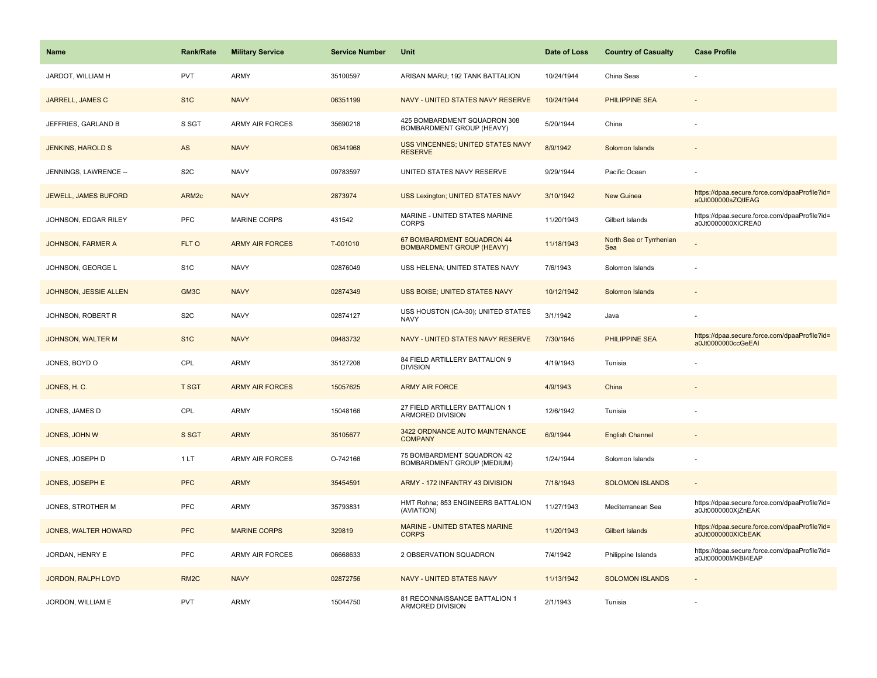| <b>Name</b>                 | <b>Rank/Rate</b>  | <b>Military Service</b> | <b>Service Number</b> | Unit                                                           | Date of Loss | <b>Country of Casualty</b>     | <b>Case Profile</b>                                                 |
|-----------------------------|-------------------|-------------------------|-----------------------|----------------------------------------------------------------|--------------|--------------------------------|---------------------------------------------------------------------|
| JARDOT, WILLIAM H           | <b>PVT</b>        | ARMY                    | 35100597              | ARISAN MARU; 192 TANK BATTALION                                | 10/24/1944   | China Seas                     |                                                                     |
| <b>JARRELL, JAMES C</b>     | S <sub>1</sub> C  | <b>NAVY</b>             | 06351199              | NAVY - UNITED STATES NAVY RESERVE                              | 10/24/1944   | PHILIPPINE SEA                 |                                                                     |
| JEFFRIES, GARLAND B         | S SGT             | <b>ARMY AIR FORCES</b>  | 35690218              | 425 BOMBARDMENT SQUADRON 308<br>BOMBARDMENT GROUP (HEAVY)      | 5/20/1944    | China                          |                                                                     |
| <b>JENKINS, HAROLD S</b>    | AS                | <b>NAVY</b>             | 06341968              | USS VINCENNES; UNITED STATES NAVY<br><b>RESERVE</b>            | 8/9/1942     | Solomon Islands                |                                                                     |
| JENNINGS, LAWRENCE --       | S <sub>2</sub> C  | <b>NAVY</b>             | 09783597              | UNITED STATES NAVY RESERVE                                     | 9/29/1944    | Pacific Ocean                  |                                                                     |
| <b>JEWELL, JAMES BUFORD</b> | ARM <sub>2c</sub> | <b>NAVY</b>             | 2873974               | USS Lexington; UNITED STATES NAVY                              | 3/10/1942    | New Guinea                     | https://dpaa.secure.force.com/dpaaProfile?id=<br>a0Jt000000sZQtlEAG |
| JOHNSON, EDGAR RILEY        | <b>PFC</b>        | <b>MARINE CORPS</b>     | 431542                | MARINE - UNITED STATES MARINE<br><b>CORPS</b>                  | 11/20/1943   | Gilbert Islands                | https://dpaa.secure.force.com/dpaaProfile?id=<br>a0Jt0000000XICREA0 |
| <b>JOHNSON, FARMER A</b>    | FLT O             | <b>ARMY AIR FORCES</b>  | T-001010              | 67 BOMBARDMENT SQUADRON 44<br><b>BOMBARDMENT GROUP (HEAVY)</b> | 11/18/1943   | North Sea or Tyrrhenian<br>Sea |                                                                     |
| JOHNSON, GEORGE L           | S <sub>1</sub> C  | <b>NAVY</b>             | 02876049              | USS HELENA; UNITED STATES NAVY                                 | 7/6/1943     | Solomon Islands                |                                                                     |
| JOHNSON, JESSIE ALLEN       | GM3C              | <b>NAVY</b>             | 02874349              | USS BOISE; UNITED STATES NAVY                                  | 10/12/1942   | Solomon Islands                |                                                                     |
| JOHNSON, ROBERT R           | S <sub>2</sub> C  | <b>NAVY</b>             | 02874127              | USS HOUSTON (CA-30); UNITED STATES<br><b>NAVY</b>              | 3/1/1942     | Java                           |                                                                     |
| JOHNSON, WALTER M           | S <sub>1</sub> C  | <b>NAVY</b>             | 09483732              | NAVY - UNITED STATES NAVY RESERVE                              | 7/30/1945    | <b>PHILIPPINE SEA</b>          | https://dpaa.secure.force.com/dpaaProfile?id=<br>a0Jt0000000ccGeEAI |
| JONES, BOYD O               | CPL               | <b>ARMY</b>             | 35127208              | 84 FIELD ARTILLERY BATTALION 9<br><b>DIVISION</b>              | 4/19/1943    | Tunisia                        |                                                                     |
| JONES, H. C.                | <b>T SGT</b>      | <b>ARMY AIR FORCES</b>  | 15057625              | <b>ARMY AIR FORCE</b>                                          | 4/9/1943     | China                          |                                                                     |
| JONES, JAMES D              | CPL               | <b>ARMY</b>             | 15048166              | 27 FIELD ARTILLERY BATTALION 1<br>ARMORED DIVISION             | 12/6/1942    | Tunisia                        |                                                                     |
| JONES, JOHN W               | S SGT             | <b>ARMY</b>             | 35105677              | 3422 ORDNANCE AUTO MAINTENANCE<br><b>COMPANY</b>               | 6/9/1944     | <b>English Channel</b>         |                                                                     |
| JONES, JOSEPH D             | 1LT               | <b>ARMY AIR FORCES</b>  | O-742166              | 75 BOMBARDMENT SQUADRON 42<br>BOMBARDMENT GROUP (MEDIUM)       | 1/24/1944    | Solomon Islands                |                                                                     |
| JONES, JOSEPH E             | <b>PFC</b>        | <b>ARMY</b>             | 35454591              | ARMY - 172 INFANTRY 43 DIVISION                                | 7/18/1943    | <b>SOLOMON ISLANDS</b>         |                                                                     |
| JONES, STROTHER M           | PFC               | ARMY                    | 35793831              | HMT Rohna; 853 ENGINEERS BATTALION<br>(AVIATION)               | 11/27/1943   | Mediterranean Sea              | https://dpaa.secure.force.com/dpaaProfile?id=<br>a0Jt0000000XjZnEAK |
| <b>JONES, WALTER HOWARD</b> | <b>PFC</b>        | <b>MARINE CORPS</b>     | 329819                | MARINE - UNITED STATES MARINE<br><b>CORPS</b>                  | 11/20/1943   | Gilbert Islands                | https://dpaa.secure.force.com/dpaaProfile?id=<br>a0Jt0000000XICbEAK |
| JORDAN, HENRY E             | PFC               | <b>ARMY AIR FORCES</b>  | 06668633              | 2 OBSERVATION SQUADRON                                         | 7/4/1942     | Philippine Islands             | https://dpaa.secure.force.com/dpaaProfile?id=<br>a0Jt000000MKBI4EAP |
| <b>JORDON, RALPH LOYD</b>   | RM <sub>2</sub> C | <b>NAVY</b>             | 02872756              | <b>NAVY - UNITED STATES NAVY</b>                               | 11/13/1942   | <b>SOLOMON ISLANDS</b>         |                                                                     |
| JORDON, WILLIAM E           | <b>PVT</b>        | <b>ARMY</b>             | 15044750              | 81 RECONNAISSANCE BATTALION 1<br>ARMORED DIVISION              | 2/1/1943     | Tunisia                        |                                                                     |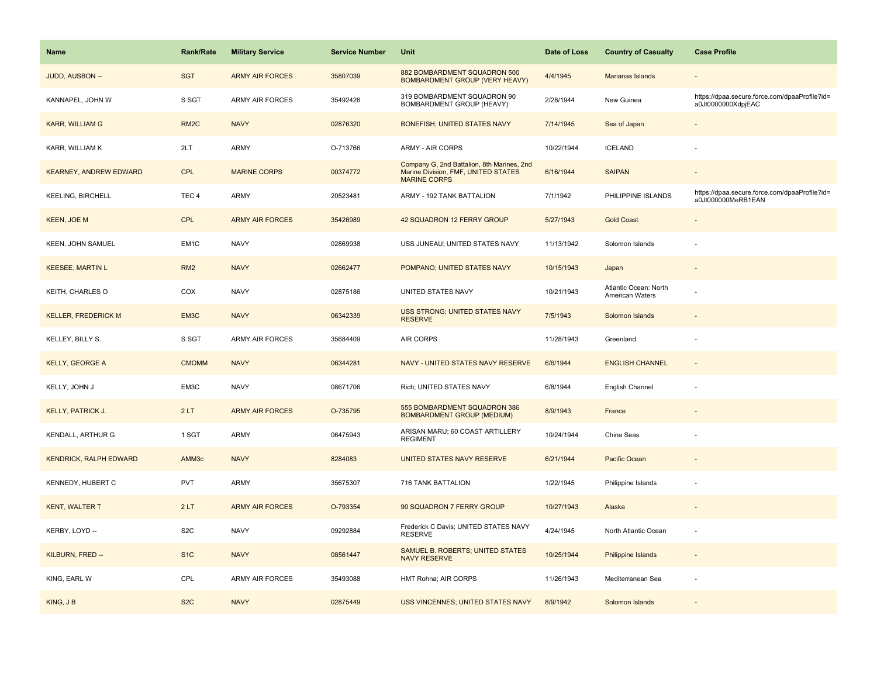| <b>Name</b>                   | Rank/Rate         | <b>Military Service</b> | <b>Service Number</b> | Unit                                                                                                     | Date of Loss | <b>Country of Casualty</b>               | <b>Case Profile</b>                                                 |
|-------------------------------|-------------------|-------------------------|-----------------------|----------------------------------------------------------------------------------------------------------|--------------|------------------------------------------|---------------------------------------------------------------------|
| JUDD, AUSBON --               | <b>SGT</b>        | <b>ARMY AIR FORCES</b>  | 35807039              | 882 BOMBARDMENT SQUADRON 500<br><b>BOMBARDMENT GROUP (VERY HEAVY)</b>                                    | 4/4/1945     | Marianas Islands                         |                                                                     |
| KANNAPEL, JOHN W              | S SGT             | <b>ARMY AIR FORCES</b>  | 35492426              | 319 BOMBARDMENT SQUADRON 90<br>BOMBARDMENT GROUP (HEAVY)                                                 | 2/28/1944    | New Guinea                               | https://dpaa.secure.force.com/dpaaProfile?id=<br>a0Jt0000000XdpjEAC |
| <b>KARR, WILLIAM G</b>        | RM <sub>2</sub> C | <b>NAVY</b>             | 02876320              | <b>BONEFISH; UNITED STATES NAVY</b>                                                                      | 7/14/1945    | Sea of Japan                             |                                                                     |
| KARR, WILLIAM K               | 2LT               | ARMY                    | O-713766              | <b>ARMY - AIR CORPS</b>                                                                                  | 10/22/1944   | <b>ICELAND</b>                           |                                                                     |
| <b>KEARNEY, ANDREW EDWARD</b> | <b>CPL</b>        | <b>MARINE CORPS</b>     | 00374772              | Company G, 2nd Battalion, 8th Marines, 2nd<br>Marine Division, FMF, UNITED STATES<br><b>MARINE CORPS</b> | 6/16/1944    | <b>SAIPAN</b>                            |                                                                     |
| <b>KEELING, BIRCHELL</b>      | TEC <sub>4</sub>  | ARMY                    | 20523481              | ARMY - 192 TANK BATTALION                                                                                | 7/1/1942     | PHILIPPINE ISLANDS                       | https://dpaa.secure.force.com/dpaaProfile?id=<br>a0Jt000000MeRB1EAN |
| KEEN, JOE M                   | <b>CPL</b>        | <b>ARMY AIR FORCES</b>  | 35426989              | 42 SQUADRON 12 FERRY GROUP                                                                               | 5/27/1943    | <b>Gold Coast</b>                        |                                                                     |
| KEEN, JOHN SAMUEL             | EM1C              | <b>NAVY</b>             | 02869938              | USS JUNEAU; UNITED STATES NAVY                                                                           | 11/13/1942   | Solomon Islands                          |                                                                     |
| <b>KEESEE, MARTIN L</b>       | RM <sub>2</sub>   | <b>NAVY</b>             | 02662477              | POMPANO; UNITED STATES NAVY                                                                              | 10/15/1943   | Japan                                    |                                                                     |
| KEITH, CHARLES O              | COX               | <b>NAVY</b>             | 02875186              | UNITED STATES NAVY                                                                                       | 10/21/1943   | Atlantic Ocean: North<br>American Waters |                                                                     |
| <b>KELLER, FREDERICK M</b>    | EM3C              | <b>NAVY</b>             | 06342339              | <b>USS STRONG; UNITED STATES NAVY</b><br><b>RESERVE</b>                                                  | 7/5/1943     | Solomon Islands                          |                                                                     |
| KELLEY, BILLY S.              | S SGT             | <b>ARMY AIR FORCES</b>  | 35684409              | AIR CORPS                                                                                                | 11/28/1943   | Greenland                                |                                                                     |
| <b>KELLY, GEORGE A</b>        | <b>CMOMM</b>      | <b>NAVY</b>             | 06344281              | NAVY - UNITED STATES NAVY RESERVE                                                                        | 6/6/1944     | <b>ENGLISH CHANNEL</b>                   |                                                                     |
| KELLY, JOHN J                 | EM3C              | <b>NAVY</b>             | 08671706              | Rich; UNITED STATES NAVY                                                                                 | 6/8/1944     | English Channel                          |                                                                     |
| <b>KELLY, PATRICK J.</b>      | 2LT               | <b>ARMY AIR FORCES</b>  | O-735795              | 555 BOMBARDMENT SQUADRON 386<br><b>BOMBARDMENT GROUP (MEDIUM)</b>                                        | 8/9/1943     | France                                   |                                                                     |
| KENDALL, ARTHUR G             | 1 SGT             | <b>ARMY</b>             | 06475943              | ARISAN MARU; 60 COAST ARTILLERY<br><b>REGIMENT</b>                                                       | 10/24/1944   | China Seas                               |                                                                     |
| <b>KENDRICK, RALPH EDWARD</b> | AMM3c             | <b>NAVY</b>             | 8284083               | UNITED STATES NAVY RESERVE                                                                               | 6/21/1944    | Pacific Ocean                            |                                                                     |
| KENNEDY, HUBERT C             | <b>PVT</b>        | <b>ARMY</b>             | 35675307              | 716 TANK BATTALION                                                                                       | 1/22/1945    | Philippine Islands                       |                                                                     |
| <b>KENT, WALTER T</b>         | 2LT               | <b>ARMY AIR FORCES</b>  | O-793354              | 90 SQUADRON 7 FERRY GROUP                                                                                | 10/27/1943   | Alaska                                   |                                                                     |
| KERBY, LOYD --                | S <sub>2</sub> C  | <b>NAVY</b>             | 09292884              | Frederick C Davis; UNITED STATES NAVY<br><b>RESERVE</b>                                                  | 4/24/1945    | North Atlantic Ocean                     |                                                                     |
| KILBURN, FRED --              | S <sub>1</sub> C  | <b>NAVY</b>             | 08561447              | SAMUEL B. ROBERTS; UNITED STATES<br><b>NAVY RESERVE</b>                                                  | 10/25/1944   | <b>Philippine Islands</b>                | $\sim$                                                              |
| KING, EARL W                  | CPL               | <b>ARMY AIR FORCES</b>  | 35493088              | HMT Rohna; AIR CORPS                                                                                     | 11/26/1943   | Mediterranean Sea                        |                                                                     |
| KING, JB                      | S <sub>2</sub> C  | <b>NAVY</b>             | 02875449              | USS VINCENNES; UNITED STATES NAVY                                                                        | 8/9/1942     | Solomon Islands                          |                                                                     |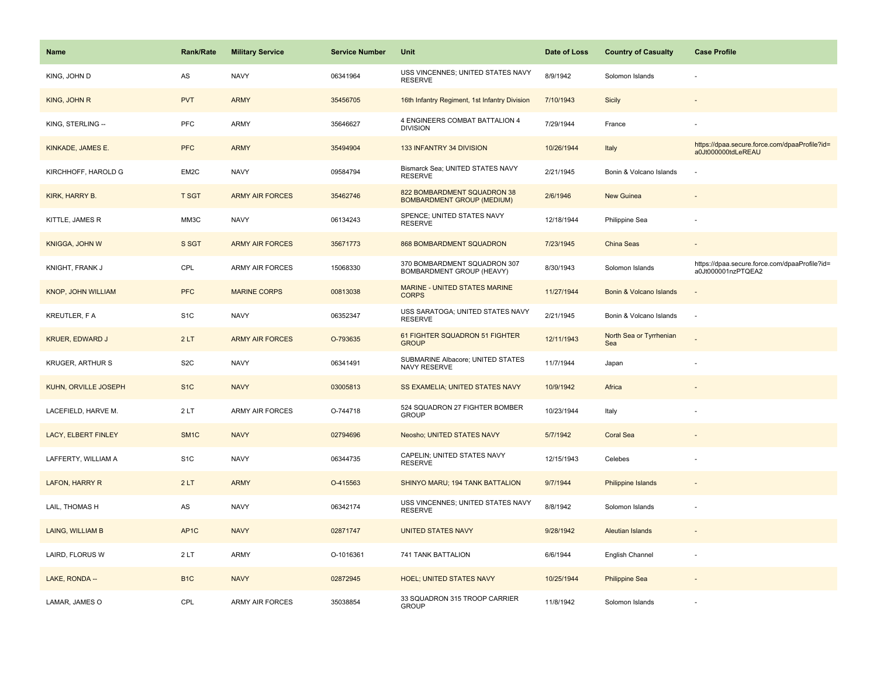| <b>Name</b>             | <b>Rank/Rate</b>  | <b>Military Service</b> | <b>Service Number</b> | Unit                                                             | Date of Loss | <b>Country of Casualty</b>     | <b>Case Profile</b>                                                 |
|-------------------------|-------------------|-------------------------|-----------------------|------------------------------------------------------------------|--------------|--------------------------------|---------------------------------------------------------------------|
| KING, JOHN D            | AS                | <b>NAVY</b>             | 06341964              | USS VINCENNES; UNITED STATES NAVY<br><b>RESERVE</b>              | 8/9/1942     | Solomon Islands                |                                                                     |
| KING, JOHN R            | <b>PVT</b>        | <b>ARMY</b>             | 35456705              | 16th Infantry Regiment, 1st Infantry Division                    | 7/10/1943    | Sicily                         |                                                                     |
| KING, STERLING --       | PFC               | <b>ARMY</b>             | 35646627              | 4 ENGINEERS COMBAT BATTALION 4<br><b>DIVISION</b>                | 7/29/1944    | France                         |                                                                     |
| KINKADE, JAMES E.       | <b>PFC</b>        | <b>ARMY</b>             | 35494904              | 133 INFANTRY 34 DIVISION                                         | 10/26/1944   | Italy                          | https://dpaa.secure.force.com/dpaaProfile?id=<br>a0Jt000000tdLeREAU |
| KIRCHHOFF, HAROLD G     | EM2C              | <b>NAVY</b>             | 09584794              | Bismarck Sea; UNITED STATES NAVY<br><b>RESERVE</b>               | 2/21/1945    | Bonin & Volcano Islands        |                                                                     |
| KIRK, HARRY B.          | <b>T SGT</b>      | <b>ARMY AIR FORCES</b>  | 35462746              | 822 BOMBARDMENT SQUADRON 38<br><b>BOMBARDMENT GROUP (MEDIUM)</b> | 2/6/1946     | New Guinea                     |                                                                     |
| KITTLE, JAMES R         | MM3C              | <b>NAVY</b>             | 06134243              | SPENCE; UNITED STATES NAVY<br><b>RESERVE</b>                     | 12/18/1944   | Philippine Sea                 |                                                                     |
| <b>KNIGGA, JOHN W</b>   | S SGT             | <b>ARMY AIR FORCES</b>  | 35671773              | <b>868 BOMBARDMENT SQUADRON</b>                                  | 7/23/1945    | China Seas                     |                                                                     |
| KNIGHT, FRANK J         | CPL               | <b>ARMY AIR FORCES</b>  | 15068330              | 370 BOMBARDMENT SQUADRON 307<br>BOMBARDMENT GROUP (HEAVY)        | 8/30/1943    | Solomon Islands                | https://dpaa.secure.force.com/dpaaProfile?id=<br>a0Jt000001nzPTQEA2 |
| KNOP, JOHN WILLIAM      | <b>PFC</b>        | <b>MARINE CORPS</b>     | 00813038              | <b>MARINE - UNITED STATES MARINE</b><br><b>CORPS</b>             | 11/27/1944   | Bonin & Volcano Islands        |                                                                     |
| <b>KREUTLER, F A</b>    | S <sub>1</sub> C  | <b>NAVY</b>             | 06352347              | USS SARATOGA; UNITED STATES NAVY<br><b>RESERVE</b>               | 2/21/1945    | Bonin & Volcano Islands        | ł,                                                                  |
| <b>KRUER, EDWARD J</b>  | 2LT               | <b>ARMY AIR FORCES</b>  | O-793635              | 61 FIGHTER SQUADRON 51 FIGHTER<br><b>GROUP</b>                   | 12/11/1943   | North Sea or Tyrrhenian<br>Sea |                                                                     |
| <b>KRUGER, ARTHUR S</b> | S <sub>2</sub> C  | <b>NAVY</b>             | 06341491              | SUBMARINE Albacore; UNITED STATES<br>NAVY RESERVE                | 11/7/1944    | Japan                          |                                                                     |
| KUHN, ORVILLE JOSEPH    | S <sub>1</sub> C  | <b>NAVY</b>             | 03005813              | SS EXAMELIA; UNITED STATES NAVY                                  | 10/9/1942    | Africa                         |                                                                     |
| LACEFIELD, HARVE M.     | 2LT               | <b>ARMY AIR FORCES</b>  | O-744718              | 524 SQUADRON 27 FIGHTER BOMBER<br><b>GROUP</b>                   | 10/23/1944   | Italy                          |                                                                     |
| LACY, ELBERT FINLEY     | SM <sub>1C</sub>  | <b>NAVY</b>             | 02794696              | Neosho; UNITED STATES NAVY                                       | 5/7/1942     | <b>Coral Sea</b>               |                                                                     |
| LAFFERTY, WILLIAM A     | S <sub>1</sub> C  | <b>NAVY</b>             | 06344735              | CAPELIN; UNITED STATES NAVY<br><b>RESERVE</b>                    | 12/15/1943   | Celebes                        |                                                                     |
| LAFON, HARRY R          | 2LT               | <b>ARMY</b>             | O-415563              | SHINYO MARU; 194 TANK BATTALION                                  | 9/7/1944     | <b>Philippine Islands</b>      |                                                                     |
| LAIL, THOMAS H          | AS                | <b>NAVY</b>             | 06342174              | USS VINCENNES; UNITED STATES NAVY<br><b>RESERVE</b>              | 8/8/1942     | Solomon Islands                | ä,                                                                  |
| LAING, WILLIAM B        | AP <sub>1</sub> C | <b>NAVY</b>             | 02871747              | <b>UNITED STATES NAVY</b>                                        | 9/28/1942    | <b>Aleutian Islands</b>        |                                                                     |
| LAIRD, FLORUS W         | 2LT               | ARMY                    | O-1016361             | 741 TANK BATTALION                                               | 6/6/1944     | English Channel                | ٠                                                                   |
| LAKE, RONDA --          | B <sub>1C</sub>   | <b>NAVY</b>             | 02872945              | <b>HOEL; UNITED STATES NAVY</b>                                  | 10/25/1944   | <b>Philippine Sea</b>          |                                                                     |
| LAMAR, JAMES O          | CPL               | ARMY AIR FORCES         | 35038854              | 33 SQUADRON 315 TROOP CARRIER<br><b>GROUP</b>                    | 11/8/1942    | Solomon Islands                |                                                                     |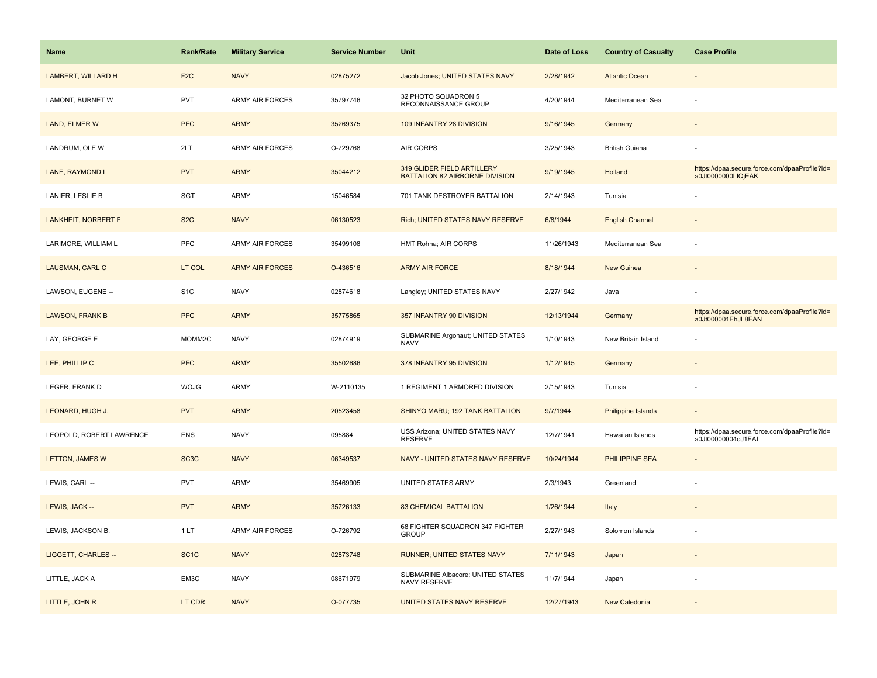| Name                       | <b>Rank/Rate</b>   | <b>Military Service</b> | <b>Service Number</b> | Unit                                                         | Date of Loss | <b>Country of Casualty</b> | <b>Case Profile</b>                                                 |
|----------------------------|--------------------|-------------------------|-----------------------|--------------------------------------------------------------|--------------|----------------------------|---------------------------------------------------------------------|
| LAMBERT, WILLARD H         | F <sub>2C</sub>    | <b>NAVY</b>             | 02875272              | Jacob Jones; UNITED STATES NAVY                              | 2/28/1942    | <b>Atlantic Ocean</b>      |                                                                     |
| LAMONT, BURNET W           | PVT                | ARMY AIR FORCES         | 35797746              | 32 PHOTO SQUADRON 5<br>RECONNAISSANCE GROUP                  | 4/20/1944    | Mediterranean Sea          |                                                                     |
| LAND, ELMER W              | <b>PFC</b>         | <b>ARMY</b>             | 35269375              | 109 INFANTRY 28 DIVISION                                     | 9/16/1945    | Germany                    |                                                                     |
| LANDRUM, OLE W             | 2LT                | ARMY AIR FORCES         | O-729768              | AIR CORPS                                                    | 3/25/1943    | <b>British Guiana</b>      |                                                                     |
| LANE, RAYMOND L            | <b>PVT</b>         | <b>ARMY</b>             | 35044212              | 319 GLIDER FIELD ARTILLERY<br>BATTALION 82 AIRBORNE DIVISION | 9/19/1945    | Holland                    | https://dpaa.secure.force.com/dpaaProfile?id=<br>a0Jt0000000LIQjEAK |
| LANIER, LESLIE B           | SGT                | <b>ARMY</b>             | 15046584              | 701 TANK DESTROYER BATTALION                                 | 2/14/1943    | Tunisia                    |                                                                     |
| <b>LANKHEIT, NORBERT F</b> | S <sub>2</sub> C   | <b>NAVY</b>             | 06130523              | Rich; UNITED STATES NAVY RESERVE                             | 6/8/1944     | <b>English Channel</b>     |                                                                     |
| LARIMORE, WILLIAM L        | PFC                | <b>ARMY AIR FORCES</b>  | 35499108              | HMT Rohna; AIR CORPS                                         | 11/26/1943   | Mediterranean Sea          | $\overline{\phantom{a}}$                                            |
| LAUSMAN, CARL C            | LT COL             | <b>ARMY AIR FORCES</b>  | O-436516              | <b>ARMY AIR FORCE</b>                                        | 8/18/1944    | <b>New Guinea</b>          |                                                                     |
| LAWSON, EUGENE --          | S <sub>1</sub> C   | <b>NAVY</b>             | 02874618              | Langley; UNITED STATES NAVY                                  | 2/27/1942    | Java                       |                                                                     |
| LAWSON, FRANK B            | <b>PFC</b>         | <b>ARMY</b>             | 35775865              | 357 INFANTRY 90 DIVISION                                     | 12/13/1944   | Germany                    | https://dpaa.secure.force.com/dpaaProfile?id=<br>a0Jt000001EhJL8EAN |
| LAY, GEORGE E              | MOMM <sub>2C</sub> | <b>NAVY</b>             | 02874919              | SUBMARINE Argonaut; UNITED STATES<br><b>NAVY</b>             | 1/10/1943    | New Britain Island         |                                                                     |
| LEE, PHILLIP C             | <b>PFC</b>         | <b>ARMY</b>             | 35502686              | 378 INFANTRY 95 DIVISION                                     | 1/12/1945    | Germany                    |                                                                     |
| LEGER, FRANK D             | <b>WOJG</b>        | ARMY                    | W-2110135             | 1 REGIMENT 1 ARMORED DIVISION                                | 2/15/1943    | Tunisia                    |                                                                     |
| LEONARD, HUGH J.           | <b>PVT</b>         | <b>ARMY</b>             | 20523458              | SHINYO MARU; 192 TANK BATTALION                              | 9/7/1944     | Philippine Islands         |                                                                     |
| LEOPOLD, ROBERT LAWRENCE   | <b>ENS</b>         | <b>NAVY</b>             | 095884                | USS Arizona; UNITED STATES NAVY<br><b>RESERVE</b>            | 12/7/1941    | Hawaiian Islands           | https://dpaa.secure.force.com/dpaaProfile?id=<br>a0Jt00000004oJ1EAI |
| <b>LETTON, JAMES W</b>     | SC <sub>3</sub> C  | <b>NAVY</b>             | 06349537              | NAVY - UNITED STATES NAVY RESERVE                            | 10/24/1944   | PHILIPPINE SEA             |                                                                     |
| LEWIS, CARL --             | <b>PVT</b>         | ARMY                    | 35469905              | UNITED STATES ARMY                                           | 2/3/1943     | Greenland                  |                                                                     |
| LEWIS, JACK --             | <b>PVT</b>         | <b>ARMY</b>             | 35726133              | <b>83 CHEMICAL BATTALION</b>                                 | 1/26/1944    | Italy                      |                                                                     |
| LEWIS, JACKSON B.          | 1LT                | <b>ARMY AIR FORCES</b>  | O-726792              | 68 FIGHTER SQUADRON 347 FIGHTER<br><b>GROUP</b>              | 2/27/1943    | Solomon Islands            |                                                                     |
| LIGGETT, CHARLES --        | SC <sub>1</sub> C  | <b>NAVY</b>             | 02873748              | RUNNER; UNITED STATES NAVY                                   | 7/11/1943    | Japan                      | $\overline{\phantom{a}}$                                            |
| LITTLE, JACK A             | EM3C               | <b>NAVY</b>             | 08671979              | SUBMARINE Albacore; UNITED STATES<br>NAVY RESERVE            | 11/7/1944    | Japan                      |                                                                     |
| LITTLE, JOHN R             | LT CDR             | <b>NAVY</b>             | O-077735              | UNITED STATES NAVY RESERVE                                   | 12/27/1943   | New Caledonia              |                                                                     |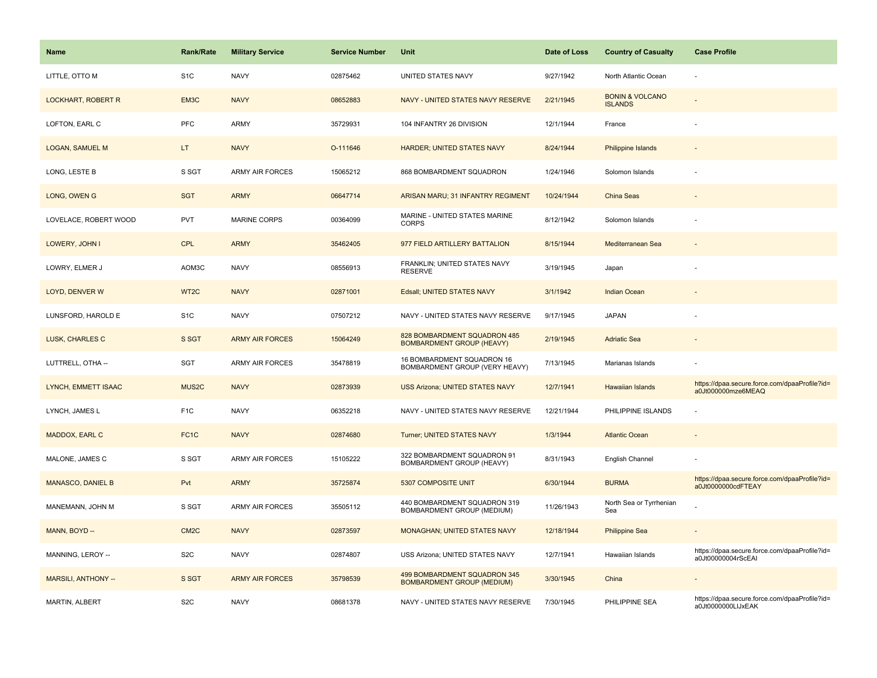| Name                      | <b>Rank/Rate</b>   | <b>Military Service</b> | <b>Service Number</b> | Unit                                                              | Date of Loss | <b>Country of Casualty</b>                   | <b>Case Profile</b>                                                 |
|---------------------------|--------------------|-------------------------|-----------------------|-------------------------------------------------------------------|--------------|----------------------------------------------|---------------------------------------------------------------------|
| LITTLE, OTTO M            | S <sub>1</sub> C   | <b>NAVY</b>             | 02875462              | UNITED STATES NAVY                                                | 9/27/1942    | North Atlantic Ocean                         |                                                                     |
| <b>LOCKHART, ROBERT R</b> | EM3C               | <b>NAVY</b>             | 08652883              | NAVY - UNITED STATES NAVY RESERVE                                 | 2/21/1945    | <b>BONIN &amp; VOLCANO</b><br><b>ISLANDS</b> |                                                                     |
| LOFTON, EARL C            | PFC                | <b>ARMY</b>             | 35729931              | 104 INFANTRY 26 DIVISION                                          | 12/1/1944    | France                                       |                                                                     |
| <b>LOGAN, SAMUEL M</b>    | LT.                | <b>NAVY</b>             | O-111646              | <b>HARDER; UNITED STATES NAVY</b>                                 | 8/24/1944    | <b>Philippine Islands</b>                    |                                                                     |
| LONG, LESTE B             | S SGT              | ARMY AIR FORCES         | 15065212              | 868 BOMBARDMENT SQUADRON                                          | 1/24/1946    | Solomon Islands                              |                                                                     |
| LONG, OWEN G              | <b>SGT</b>         | <b>ARMY</b>             | 06647714              | ARISAN MARU; 31 INFANTRY REGIMENT                                 | 10/24/1944   | China Seas                                   |                                                                     |
| LOVELACE, ROBERT WOOD     | <b>PVT</b>         | <b>MARINE CORPS</b>     | 00364099              | MARINE - UNITED STATES MARINE<br><b>CORPS</b>                     | 8/12/1942    | Solomon Islands                              |                                                                     |
| LOWERY, JOHN I            | <b>CPL</b>         | <b>ARMY</b>             | 35462405              | 977 FIELD ARTILLERY BATTALION                                     | 8/15/1944    | Mediterranean Sea                            |                                                                     |
| LOWRY, ELMER J            | AOM3C              | <b>NAVY</b>             | 08556913              | FRANKLIN; UNITED STATES NAVY<br><b>RESERVE</b>                    | 3/19/1945    | Japan                                        |                                                                     |
| LOYD, DENVER W            | WT2C               | <b>NAVY</b>             | 02871001              | Edsall; UNITED STATES NAVY                                        | 3/1/1942     | <b>Indian Ocean</b>                          |                                                                     |
| LUNSFORD, HAROLD E        | S <sub>1</sub> C   | <b>NAVY</b>             | 07507212              | NAVY - UNITED STATES NAVY RESERVE                                 | 9/17/1945    | <b>JAPAN</b>                                 |                                                                     |
| LUSK, CHARLES C           | S SGT              | <b>ARMY AIR FORCES</b>  | 15064249              | 828 BOMBARDMENT SQUADRON 485<br><b>BOMBARDMENT GROUP (HEAVY)</b>  | 2/19/1945    | <b>Adriatic Sea</b>                          |                                                                     |
| LUTTRELL, OTHA --         | SGT                | <b>ARMY AIR FORCES</b>  | 35478819              | 16 BOMBARDMENT SQUADRON 16<br>BOMBARDMENT GROUP (VERY HEAVY)      | 7/13/1945    | Marianas Islands                             |                                                                     |
| LYNCH, EMMETT ISAAC       | MUS <sub>2</sub> C | <b>NAVY</b>             | 02873939              | USS Arizona; UNITED STATES NAVY                                   | 12/7/1941    | Hawaiian Islands                             | https://dpaa.secure.force.com/dpaaProfile?id=<br>a0Jt000000mze6MEAQ |
| LYNCH, JAMES L            | F <sub>1</sub> C   | <b>NAVY</b>             | 06352218              | NAVY - UNITED STATES NAVY RESERVE                                 | 12/21/1944   | PHILIPPINE ISLANDS                           |                                                                     |
| MADDOX, EARL C            | FC <sub>1</sub> C  | <b>NAVY</b>             | 02874680              | Turner; UNITED STATES NAVY                                        | 1/3/1944     | <b>Atlantic Ocean</b>                        |                                                                     |
| MALONE, JAMES C           | S SGT              | ARMY AIR FORCES         | 15105222              | 322 BOMBARDMENT SQUADRON 91<br>BOMBARDMENT GROUP (HEAVY)          | 8/31/1943    | English Channel                              |                                                                     |
| <b>MANASCO, DANIEL B</b>  | Pvt                | <b>ARMY</b>             | 35725874              | 5307 COMPOSITE UNIT                                               | 6/30/1944    | <b>BURMA</b>                                 | https://dpaa.secure.force.com/dpaaProfile?id=<br>a0Jt0000000cdFTEAY |
| MANEMANN, JOHN M          | S SGT              | ARMY AIR FORCES         | 35505112              | 440 BOMBARDMENT SQUADRON 319<br>BOMBARDMENT GROUP (MEDIUM)        | 11/26/1943   | North Sea or Tyrrhenian<br>Sea               |                                                                     |
| MANN, BOYD --             | CM <sub>2</sub> C  | <b>NAVY</b>             | 02873597              | <b>MONAGHAN; UNITED STATES NAVY</b>                               | 12/18/1944   | <b>Philippine Sea</b>                        |                                                                     |
| MANNING, LEROY --         | S <sub>2</sub> C   | <b>NAVY</b>             | 02874807              | USS Arizona; UNITED STATES NAVY                                   | 12/7/1941    | Hawaiian Islands                             | https://dpaa.secure.force.com/dpaaProfile?id=<br>a0Jt00000004rScEAI |
| MARSILI, ANTHONY --       | S SGT              | <b>ARMY AIR FORCES</b>  | 35798539              | 499 BOMBARDMENT SQUADRON 345<br><b>BOMBARDMENT GROUP (MEDIUM)</b> | 3/30/1945    | China                                        |                                                                     |
| MARTIN, ALBERT            | S <sub>2</sub> C   | <b>NAVY</b>             | 08681378              | NAVY - UNITED STATES NAVY RESERVE                                 | 7/30/1945    | PHILIPPINE SEA                               | https://dpaa.secure.force.com/dpaaProfile?id=<br>a0Jt0000000LIJxEAK |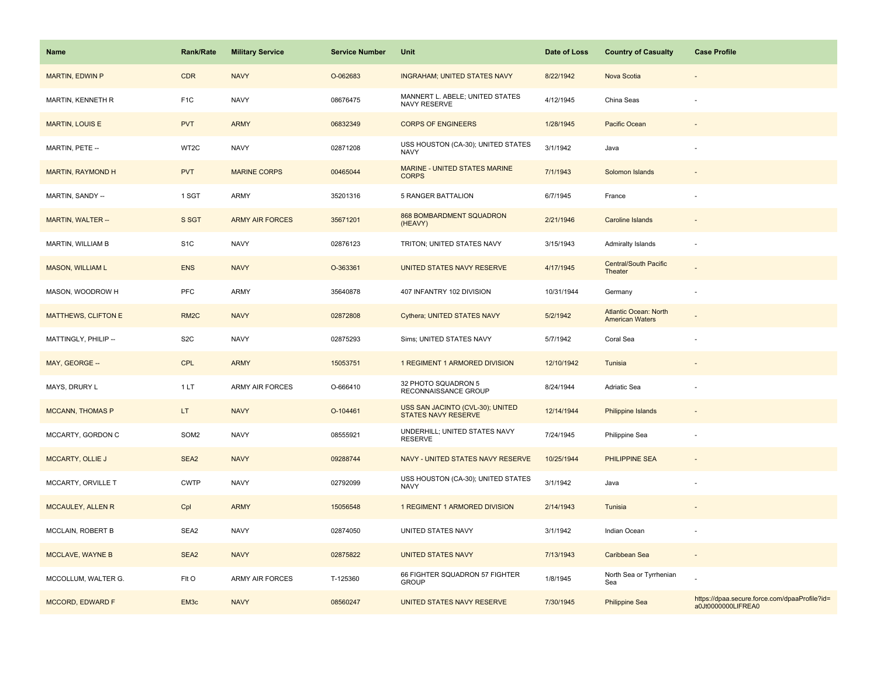| Name                       | <b>Rank/Rate</b>  | <b>Military Service</b> | <b>Service Number</b> | Unit                                                           | Date of Loss | <b>Country of Casualty</b>                             | <b>Case Profile</b>                                                 |
|----------------------------|-------------------|-------------------------|-----------------------|----------------------------------------------------------------|--------------|--------------------------------------------------------|---------------------------------------------------------------------|
| <b>MARTIN, EDWIN P</b>     | <b>CDR</b>        | <b>NAVY</b>             | O-062683              | <b>INGRAHAM; UNITED STATES NAVY</b>                            | 8/22/1942    | Nova Scotia                                            |                                                                     |
| MARTIN, KENNETH R          | F <sub>1</sub> C  | <b>NAVY</b>             | 08676475              | MANNERT L. ABELE; UNITED STATES<br>NAVY RESERVE                | 4/12/1945    | China Seas                                             |                                                                     |
| <b>MARTIN, LOUIS E</b>     | <b>PVT</b>        | <b>ARMY</b>             | 06832349              | <b>CORPS OF ENGINEERS</b>                                      | 1/28/1945    | Pacific Ocean                                          |                                                                     |
| MARTIN, PETE --            | WT2C              | <b>NAVY</b>             | 02871208              | USS HOUSTON (CA-30); UNITED STATES<br><b>NAVY</b>              | 3/1/1942     | Java                                                   |                                                                     |
| <b>MARTIN, RAYMOND H</b>   | <b>PVT</b>        | <b>MARINE CORPS</b>     | 00465044              | MARINE - UNITED STATES MARINE<br><b>CORPS</b>                  | 7/1/1943     | Solomon Islands                                        |                                                                     |
| MARTIN, SANDY --           | 1 SGT             | ARMY                    | 35201316              | <b>5 RANGER BATTALION</b>                                      | 6/7/1945     | France                                                 |                                                                     |
| MARTIN, WALTER --          | S SGT             | <b>ARMY AIR FORCES</b>  | 35671201              | 868 BOMBARDMENT SQUADRON<br>(HEAVY)                            | 2/21/1946    | Caroline Islands                                       |                                                                     |
| MARTIN, WILLIAM B          | S <sub>1</sub> C  | <b>NAVY</b>             | 02876123              | TRITON; UNITED STATES NAVY                                     | 3/15/1943    | Admiralty Islands                                      |                                                                     |
| <b>MASON, WILLIAM L</b>    | <b>ENS</b>        | <b>NAVY</b>             | O-363361              | UNITED STATES NAVY RESERVE                                     | 4/17/1945    | <b>Central/South Pacific</b><br>Theater                |                                                                     |
| MASON, WOODROW H           | <b>PFC</b>        | ARMY                    | 35640878              | 407 INFANTRY 102 DIVISION                                      | 10/31/1944   | Germany                                                |                                                                     |
| <b>MATTHEWS, CLIFTON E</b> | RM <sub>2</sub> C | <b>NAVY</b>             | 02872808              | Cythera; UNITED STATES NAVY                                    | 5/2/1942     | <b>Atlantic Ocean: North</b><br><b>American Waters</b> |                                                                     |
| MATTINGLY, PHILIP --       | S <sub>2</sub> C  | <b>NAVY</b>             | 02875293              | Sims; UNITED STATES NAVY                                       | 5/7/1942     | Coral Sea                                              |                                                                     |
| MAY, GEORGE --             | <b>CPL</b>        | <b>ARMY</b>             | 15053751              | 1 REGIMENT 1 ARMORED DIVISION                                  | 12/10/1942   | Tunisia                                                |                                                                     |
| MAYS, DRURY L              | 1LT               | <b>ARMY AIR FORCES</b>  | O-666410              | 32 PHOTO SQUADRON 5<br>RECONNAISSANCE GROUP                    | 8/24/1944    | Adriatic Sea                                           |                                                                     |
| <b>MCCANN, THOMAS P</b>    | LT.               | <b>NAVY</b>             | O-104461              | USS SAN JACINTO (CVL-30); UNITED<br><b>STATES NAVY RESERVE</b> | 12/14/1944   | <b>Philippine Islands</b>                              |                                                                     |
| MCCARTY, GORDON C          | SOM2              | <b>NAVY</b>             | 08555921              | UNDERHILL; UNITED STATES NAVY<br><b>RESERVE</b>                | 7/24/1945    | Philippine Sea                                         |                                                                     |
| <b>MCCARTY, OLLIE J</b>    | SEA <sub>2</sub>  | <b>NAVY</b>             | 09288744              | NAVY - UNITED STATES NAVY RESERVE                              | 10/25/1944   | <b>PHILIPPINE SEA</b>                                  |                                                                     |
| MCCARTY, ORVILLE T         | <b>CWTP</b>       | <b>NAVY</b>             | 02792099              | USS HOUSTON (CA-30); UNITED STATES<br><b>NAVY</b>              | 3/1/1942     | Java                                                   |                                                                     |
| <b>MCCAULEY, ALLEN R</b>   | Cpl               | <b>ARMY</b>             | 15056548              | 1 REGIMENT 1 ARMORED DIVISION                                  | 2/14/1943    | Tunisia                                                |                                                                     |
| MCCLAIN, ROBERT B          | SEA2              | <b>NAVY</b>             | 02874050              | UNITED STATES NAVY                                             | 3/1/1942     | Indian Ocean                                           |                                                                     |
| MCCLAVE, WAYNE B           | SEA2              | <b>NAVY</b>             | 02875822              | <b>UNITED STATES NAVY</b>                                      | 7/13/1943    | Caribbean Sea                                          |                                                                     |
| MCCOLLUM, WALTER G.        | FIt O             | <b>ARMY AIR FORCES</b>  | T-125360              | 66 FIGHTER SQUADRON 57 FIGHTER<br><b>GROUP</b>                 | 1/8/1945     | North Sea or Tyrrhenian<br>Sea                         |                                                                     |
| <b>MCCORD, EDWARD F</b>    | EM <sub>3</sub> c | <b>NAVY</b>             | 08560247              | UNITED STATES NAVY RESERVE                                     | 7/30/1945    | <b>Philippine Sea</b>                                  | https://dpaa.secure.force.com/dpaaProfile?id=<br>a0Jt0000000LIFREA0 |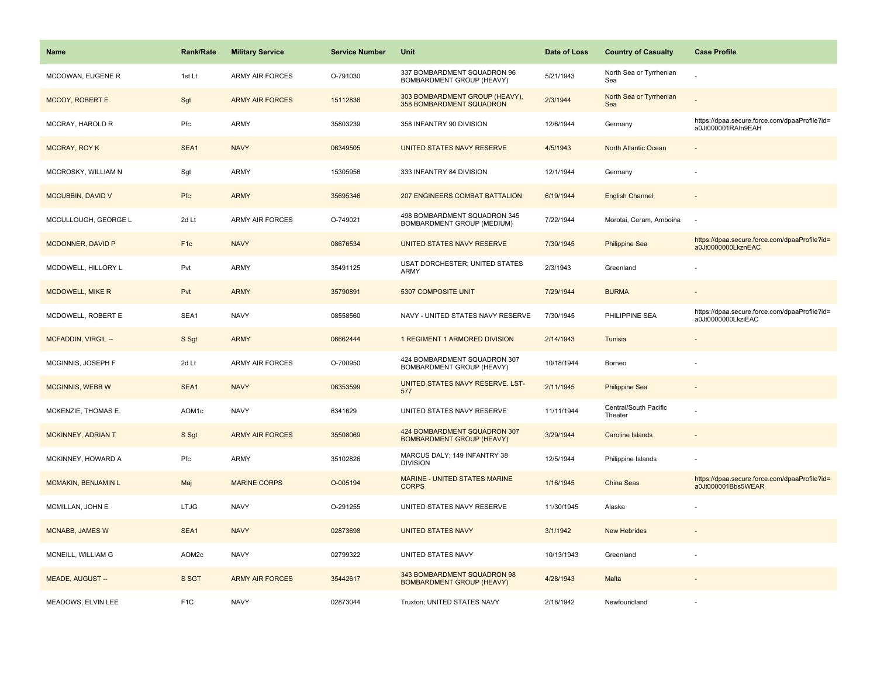| <b>Name</b>             | <b>Rank/Rate</b> | <b>Military Service</b> | <b>Service Number</b> | Unit                                                             | Date of Loss | <b>Country of Casualty</b>       | <b>Case Profile</b>                                                 |
|-------------------------|------------------|-------------------------|-----------------------|------------------------------------------------------------------|--------------|----------------------------------|---------------------------------------------------------------------|
| MCCOWAN, EUGENE R       | 1st Lt           | <b>ARMY AIR FORCES</b>  | O-791030              | 337 BOMBARDMENT SQUADRON 96<br>BOMBARDMENT GROUP (HEAVY)         | 5/21/1943    | North Sea or Tyrrhenian<br>Sea   |                                                                     |
| <b>MCCOY, ROBERT E</b>  | Sgt              | <b>ARMY AIR FORCES</b>  | 15112836              | 303 BOMBARDMENT GROUP (HEAVY),<br>358 BOMBARDMENT SQUADRON       | 2/3/1944     | North Sea or Tyrrhenian<br>Sea   |                                                                     |
| MCCRAY, HAROLD R        | Pfc              | ARMY                    | 35803239              | 358 INFANTRY 90 DIVISION                                         | 12/6/1944    | Germany                          | https://dpaa.secure.force.com/dpaaProfile?id=<br>a0Jt000001RAIn9EAH |
| <b>MCCRAY, ROY K</b>    | SEA1             | <b>NAVY</b>             | 06349505              | UNITED STATES NAVY RESERVE                                       | 4/5/1943     | North Atlantic Ocean             |                                                                     |
| MCCROSKY, WILLIAM N     | Sgt              | ARMY                    | 15305956              | 333 INFANTRY 84 DIVISION                                         | 12/1/1944    | Germany                          |                                                                     |
| MCCUBBIN, DAVID V       | Pfc              | <b>ARMY</b>             | 35695346              | <b>207 ENGINEERS COMBAT BATTALION</b>                            | 6/19/1944    | <b>English Channel</b>           |                                                                     |
| MCCULLOUGH, GEORGE L    | 2d Lt            | ARMY AIR FORCES         | O-749021              | 498 BOMBARDMENT SQUADRON 345<br>BOMBARDMENT GROUP (MEDIUM)       | 7/22/1944    | Morotai, Ceram, Amboina          |                                                                     |
| MCDONNER, DAVID P       | F <sub>1c</sub>  | <b>NAVY</b>             | 08676534              | UNITED STATES NAVY RESERVE                                       | 7/30/1945    | <b>Philippine Sea</b>            | https://dpaa.secure.force.com/dpaaProfile?id=<br>a0Jt0000000LkznEAC |
| MCDOWELL, HILLORY L     | Pvt              | ARMY                    | 35491125              | USAT DORCHESTER; UNITED STATES<br><b>ARMY</b>                    | 2/3/1943     | Greenland                        |                                                                     |
| <b>MCDOWELL, MIKE R</b> | Pvt              | <b>ARMY</b>             | 35790891              | 5307 COMPOSITE UNIT                                              | 7/29/1944    | <b>BURMA</b>                     |                                                                     |
| MCDOWELL, ROBERT E      | SEA1             | <b>NAVY</b>             | 08558560              | NAVY - UNITED STATES NAVY RESERVE                                | 7/30/1945    | PHILIPPINE SEA                   | https://dpaa.secure.force.com/dpaaProfile?id=<br>a0Jt0000000LkziEAC |
| MCFADDIN, VIRGIL --     | S Sgt            | <b>ARMY</b>             | 06662444              | 1 REGIMENT 1 ARMORED DIVISION                                    | 2/14/1943    | Tunisia                          |                                                                     |
| MCGINNIS, JOSEPH F      | 2d Lt            | <b>ARMY AIR FORCES</b>  | O-700950              | 424 BOMBARDMENT SQUADRON 307<br>BOMBARDMENT GROUP (HEAVY)        | 10/18/1944   | Borneo                           |                                                                     |
| <b>MCGINNIS, WEBB W</b> | SEA1             | <b>NAVY</b>             | 06353599              | UNITED STATES NAVY RESERVE. LST-<br>577                          | 2/11/1945    | <b>Philippine Sea</b>            |                                                                     |
| MCKENZIE, THOMAS E.     | AOM1c            | <b>NAVY</b>             | 6341629               | UNITED STATES NAVY RESERVE                                       | 11/11/1944   | Central/South Pacific<br>Theater |                                                                     |
| MCKINNEY, ADRIAN T      | S Sgt            | <b>ARMY AIR FORCES</b>  | 35508069              | 424 BOMBARDMENT SQUADRON 307<br><b>BOMBARDMENT GROUP (HEAVY)</b> | 3/29/1944    | <b>Caroline Islands</b>          |                                                                     |
| MCKINNEY, HOWARD A      | Pfc              | <b>ARMY</b>             | 35102826              | MARCUS DALY; 149 INFANTRY 38<br><b>DIVISION</b>                  | 12/5/1944    | Philippine Islands               |                                                                     |
| MCMAKIN, BENJAMIN L     | Maj              | <b>MARINE CORPS</b>     | O-005194              | MARINE - UNITED STATES MARINE<br><b>CORPS</b>                    | 1/16/1945    | <b>China Seas</b>                | https://dpaa.secure.force.com/dpaaProfile?id=<br>a0Jt000001Bbs5WEAR |
| MCMILLAN, JOHN E        | <b>LTJG</b>      | <b>NAVY</b>             | O-291255              | UNITED STATES NAVY RESERVE                                       | 11/30/1945   | Alaska                           |                                                                     |
| MCNABB, JAMES W         | SEA1             | <b>NAVY</b>             | 02873698              | <b>UNITED STATES NAVY</b>                                        | 3/1/1942     | <b>New Hebrides</b>              |                                                                     |
| MCNEILL, WILLIAM G      | AOM2c            | <b>NAVY</b>             | 02799322              | UNITED STATES NAVY                                               | 10/13/1943   | Greenland                        |                                                                     |
| MEADE, AUGUST --        | S SGT            | <b>ARMY AIR FORCES</b>  | 35442617              | 343 BOMBARDMENT SQUADRON 98<br><b>BOMBARDMENT GROUP (HEAVY)</b>  | 4/28/1943    | Malta                            |                                                                     |
| MEADOWS, ELVIN LEE      | F <sub>1</sub> C | <b>NAVY</b>             | 02873044              | Truxton; UNITED STATES NAVY                                      | 2/18/1942    | Newfoundland                     |                                                                     |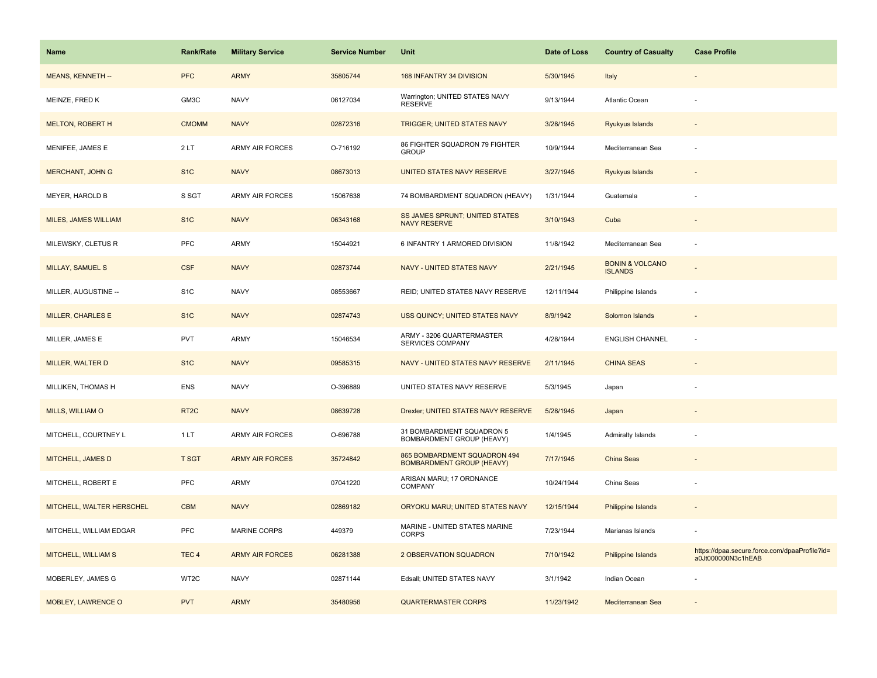| <b>Name</b>               | <b>Rank/Rate</b>  | <b>Military Service</b> | <b>Service Number</b> | Unit                                                             | Date of Loss | <b>Country of Casualty</b>                   | <b>Case Profile</b>                                                 |
|---------------------------|-------------------|-------------------------|-----------------------|------------------------------------------------------------------|--------------|----------------------------------------------|---------------------------------------------------------------------|
| MEANS, KENNETH --         | <b>PFC</b>        | <b>ARMY</b>             | 35805744              | 168 INFANTRY 34 DIVISION                                         | 5/30/1945    | Italy                                        |                                                                     |
| MEINZE, FRED K            | GM3C              | <b>NAVY</b>             | 06127034              | Warrington; UNITED STATES NAVY<br><b>RESERVE</b>                 | 9/13/1944    | Atlantic Ocean                               |                                                                     |
| <b>MELTON, ROBERT H</b>   | <b>CMOMM</b>      | <b>NAVY</b>             | 02872316              | <b>TRIGGER; UNITED STATES NAVY</b>                               | 3/28/1945    | Ryukyus Islands                              |                                                                     |
| MENIFEE, JAMES E          | 2LT               | <b>ARMY AIR FORCES</b>  | O-716192              | 86 FIGHTER SQUADRON 79 FIGHTER<br><b>GROUP</b>                   | 10/9/1944    | Mediterranean Sea                            |                                                                     |
| <b>MERCHANT, JOHN G</b>   | S <sub>1</sub> C  | <b>NAVY</b>             | 08673013              | UNITED STATES NAVY RESERVE                                       | 3/27/1945    | Ryukyus Islands                              |                                                                     |
| MEYER, HAROLD B           | S SGT             | <b>ARMY AIR FORCES</b>  | 15067638              | 74 BOMBARDMENT SQUADRON (HEAVY)                                  | 1/31/1944    | Guatemala                                    |                                                                     |
| MILES, JAMES WILLIAM      | S <sub>1</sub> C  | <b>NAVY</b>             | 06343168              | <b>SS JAMES SPRUNT; UNITED STATES</b><br><b>NAVY RESERVE</b>     | 3/10/1943    | Cuba                                         | $\sim$                                                              |
| MILEWSKY, CLETUS R        | PFC               | ARMY                    | 15044921              | 6 INFANTRY 1 ARMORED DIVISION                                    | 11/8/1942    | Mediterranean Sea                            |                                                                     |
| MILLAY, SAMUEL S          | <b>CSF</b>        | <b>NAVY</b>             | 02873744              | NAVY - UNITED STATES NAVY                                        | 2/21/1945    | <b>BONIN &amp; VOLCANO</b><br><b>ISLANDS</b> |                                                                     |
| MILLER, AUGUSTINE --      | S <sub>1</sub> C  | <b>NAVY</b>             | 08553667              | REID; UNITED STATES NAVY RESERVE                                 | 12/11/1944   | Philippine Islands                           |                                                                     |
| <b>MILLER, CHARLES E</b>  | S <sub>1</sub> C  | <b>NAVY</b>             | 02874743              | USS QUINCY; UNITED STATES NAVY                                   | 8/9/1942     | Solomon Islands                              |                                                                     |
| MILLER, JAMES E           | <b>PVT</b>        | <b>ARMY</b>             | 15046534              | ARMY - 3206 QUARTERMASTER<br><b>SERVICES COMPANY</b>             | 4/28/1944    | <b>ENGLISH CHANNEL</b>                       |                                                                     |
| MILLER, WALTER D          | S <sub>1C</sub>   | <b>NAVY</b>             | 09585315              | NAVY - UNITED STATES NAVY RESERVE                                | 2/11/1945    | <b>CHINA SEAS</b>                            |                                                                     |
| MILLIKEN, THOMAS H        | ENS               | <b>NAVY</b>             | O-396889              | UNITED STATES NAVY RESERVE                                       | 5/3/1945     | Japan                                        |                                                                     |
| MILLS, WILLIAM O          | RT <sub>2</sub> C | <b>NAVY</b>             | 08639728              | Drexler; UNITED STATES NAVY RESERVE                              | 5/28/1945    | Japan                                        |                                                                     |
| MITCHELL, COURTNEY L      | 1 LT              | ARMY AIR FORCES         | O-696788              | 31 BOMBARDMENT SQUADRON 5<br>BOMBARDMENT GROUP (HEAVY)           | 1/4/1945     | Admiralty Islands                            |                                                                     |
| MITCHELL, JAMES D         | <b>T SGT</b>      | <b>ARMY AIR FORCES</b>  | 35724842              | 865 BOMBARDMENT SQUADRON 494<br><b>BOMBARDMENT GROUP (HEAVY)</b> | 7/17/1945    | China Seas                                   |                                                                     |
| MITCHELL, ROBERT E        | <b>PFC</b>        | ARMY                    | 07041220              | ARISAN MARU; 17 ORDNANCE<br><b>COMPANY</b>                       | 10/24/1944   | China Seas                                   |                                                                     |
| MITCHELL, WALTER HERSCHEL | <b>CBM</b>        | <b>NAVY</b>             | 02869182              | ORYOKU MARU; UNITED STATES NAVY                                  | 12/15/1944   | Philippine Islands                           |                                                                     |
| MITCHELL, WILLIAM EDGAR   | <b>PFC</b>        | <b>MARINE CORPS</b>     | 449379                | MARINE - UNITED STATES MARINE<br><b>CORPS</b>                    | 7/23/1944    | Marianas Islands                             |                                                                     |
| MITCHELL, WILLIAM S       | TEC <sub>4</sub>  | <b>ARMY AIR FORCES</b>  | 06281388              | 2 OBSERVATION SQUADRON                                           | 7/10/1942    | Philippine Islands                           | https://dpaa.secure.force.com/dpaaProfile?id=<br>a0Jt000000N3c1hEAB |
| MOBERLEY, JAMES G         | WT2C              | <b>NAVY</b>             | 02871144              | Edsall; UNITED STATES NAVY                                       | 3/1/1942     | Indian Ocean                                 |                                                                     |
| MOBLEY, LAWRENCE O        | <b>PVT</b>        | <b>ARMY</b>             | 35480956              | <b>QUARTERMASTER CORPS</b>                                       | 11/23/1942   | Mediterranean Sea                            |                                                                     |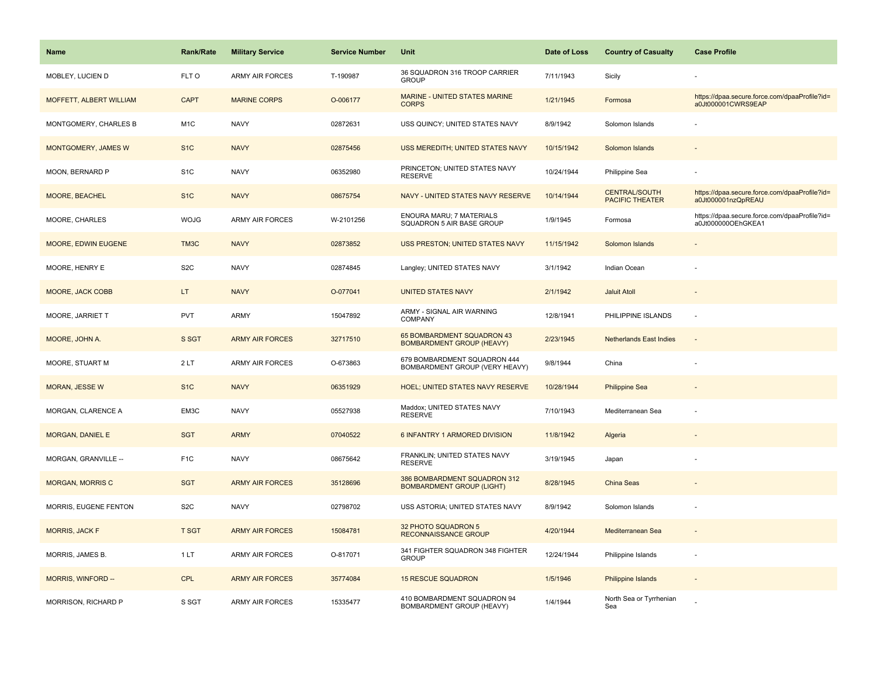| <b>Name</b>             | <b>Rank/Rate</b> | <b>Military Service</b> | <b>Service Number</b> | Unit                                                             | Date of Loss | <b>Country of Casualty</b>                     | <b>Case Profile</b>                                                 |
|-------------------------|------------------|-------------------------|-----------------------|------------------------------------------------------------------|--------------|------------------------------------------------|---------------------------------------------------------------------|
| MOBLEY, LUCIEN D        | FLT O            | <b>ARMY AIR FORCES</b>  | T-190987              | 36 SQUADRON 316 TROOP CARRIER<br><b>GROUP</b>                    | 7/11/1943    | Sicily                                         |                                                                     |
| MOFFETT, ALBERT WILLIAM | <b>CAPT</b>      | <b>MARINE CORPS</b>     | O-006177              | MARINE - UNITED STATES MARINE<br><b>CORPS</b>                    | 1/21/1945    | Formosa                                        | https://dpaa.secure.force.com/dpaaProfile?id=<br>a0Jt000001CWRS9EAP |
| MONTGOMERY, CHARLES B   | M <sub>1</sub> C | <b>NAVY</b>             | 02872631              | USS QUINCY; UNITED STATES NAVY                                   | 8/9/1942     | Solomon Islands                                |                                                                     |
| MONTGOMERY, JAMES W     | S <sub>1</sub> C | <b>NAVY</b>             | 02875456              | USS MEREDITH; UNITED STATES NAVY                                 | 10/15/1942   | Solomon Islands                                |                                                                     |
| MOON, BERNARD P         | S <sub>1</sub> C | <b>NAVY</b>             | 06352980              | PRINCETON; UNITED STATES NAVY<br><b>RESERVE</b>                  | 10/24/1944   | Philippine Sea                                 |                                                                     |
| MOORE, BEACHEL          | S <sub>1</sub> C | <b>NAVY</b>             | 08675754              | NAVY - UNITED STATES NAVY RESERVE                                | 10/14/1944   | <b>CENTRAL/SOUTH</b><br><b>PACIFIC THEATER</b> | https://dpaa.secure.force.com/dpaaProfile?id=<br>a0Jt000001nzQpREAU |
| MOORE, CHARLES          | <b>WOJG</b>      | ARMY AIR FORCES         | W-2101256             | ENOURA MARU; 7 MATERIALS<br>SQUADRON 5 AIR BASE GROUP            | 1/9/1945     | Formosa                                        | https://dpaa.secure.force.com/dpaaProfile?id=<br>a0Jt000000OEhGKEA1 |
| MOORE, EDWIN EUGENE     | TM3C             | <b>NAVY</b>             | 02873852              | <b>USS PRESTON; UNITED STATES NAVY</b>                           | 11/15/1942   | Solomon Islands                                |                                                                     |
| MOORE, HENRY E          | S <sub>2</sub> C | <b>NAVY</b>             | 02874845              | Langley; UNITED STATES NAVY                                      | 3/1/1942     | Indian Ocean                                   |                                                                     |
| MOORE, JACK COBB        | LT.              | <b>NAVY</b>             | O-077041              | <b>UNITED STATES NAVY</b>                                        | 2/1/1942     | <b>Jaluit Atoll</b>                            |                                                                     |
| MOORE, JARRIET T        | <b>PVT</b>       | <b>ARMY</b>             | 15047892              | ARMY - SIGNAL AIR WARNING<br><b>COMPANY</b>                      | 12/8/1941    | PHILIPPINE ISLANDS                             | ÷.                                                                  |
| MOORE, JOHN A.          | S SGT            | <b>ARMY AIR FORCES</b>  | 32717510              | 65 BOMBARDMENT SQUADRON 43<br><b>BOMBARDMENT GROUP (HEAVY)</b>   | 2/23/1945    | <b>Netherlands East Indies</b>                 | $\sim$                                                              |
| MOORE, STUART M         | 2LT              | <b>ARMY AIR FORCES</b>  | O-673863              | 679 BOMBARDMENT SQUADRON 444<br>BOMBARDMENT GROUP (VERY HEAVY)   | 9/8/1944     | China                                          |                                                                     |
| <b>MORAN, JESSE W</b>   | S <sub>1</sub> C | <b>NAVY</b>             | 06351929              | HOEL; UNITED STATES NAVY RESERVE                                 | 10/28/1944   | <b>Philippine Sea</b>                          |                                                                     |
| MORGAN, CLARENCE A      | EM3C             | <b>NAVY</b>             | 05527938              | Maddox; UNITED STATES NAVY<br><b>RESERVE</b>                     | 7/10/1943    | Mediterranean Sea                              | ÷,                                                                  |
| MORGAN, DANIEL E        | <b>SGT</b>       | <b>ARMY</b>             | 07040522              | 6 INFANTRY 1 ARMORED DIVISION                                    | 11/8/1942    | Algeria                                        |                                                                     |
| MORGAN, GRANVILLE --    | F <sub>1</sub> C | <b>NAVY</b>             | 08675642              | FRANKLIN; UNITED STATES NAVY<br><b>RESERVE</b>                   | 3/19/1945    | Japan                                          |                                                                     |
| <b>MORGAN, MORRIS C</b> | <b>SGT</b>       | <b>ARMY AIR FORCES</b>  | 35128696              | 386 BOMBARDMENT SQUADRON 312<br><b>BOMBARDMENT GROUP (LIGHT)</b> | 8/28/1945    | China Seas                                     |                                                                     |
| MORRIS, EUGENE FENTON   | S <sub>2</sub> C | <b>NAVY</b>             | 02798702              | USS ASTORIA; UNITED STATES NAVY                                  | 8/9/1942     | Solomon Islands                                | ÷,                                                                  |
| <b>MORRIS, JACK F</b>   | <b>T SGT</b>     | <b>ARMY AIR FORCES</b>  | 15084781              | 32 PHOTO SQUADRON 5<br><b>RECONNAISSANCE GROUP</b>               | 4/20/1944    | Mediterranean Sea                              |                                                                     |
| MORRIS, JAMES B.        | 1LT              | <b>ARMY AIR FORCES</b>  | O-817071              | 341 FIGHTER SQUADRON 348 FIGHTER<br><b>GROUP</b>                 | 12/24/1944   | Philippine Islands                             | $\overline{\phantom{a}}$                                            |
| MORRIS, WINFORD --      | <b>CPL</b>       | <b>ARMY AIR FORCES</b>  | 35774084              | <b>15 RESCUE SQUADRON</b>                                        | 1/5/1946     | <b>Philippine Islands</b>                      |                                                                     |
| MORRISON, RICHARD P     | S SGT            | <b>ARMY AIR FORCES</b>  | 15335477              | 410 BOMBARDMENT SQUADRON 94<br><b>BOMBARDMENT GROUP (HEAVY)</b>  | 1/4/1944     | North Sea or Tyrrhenian<br>Sea                 |                                                                     |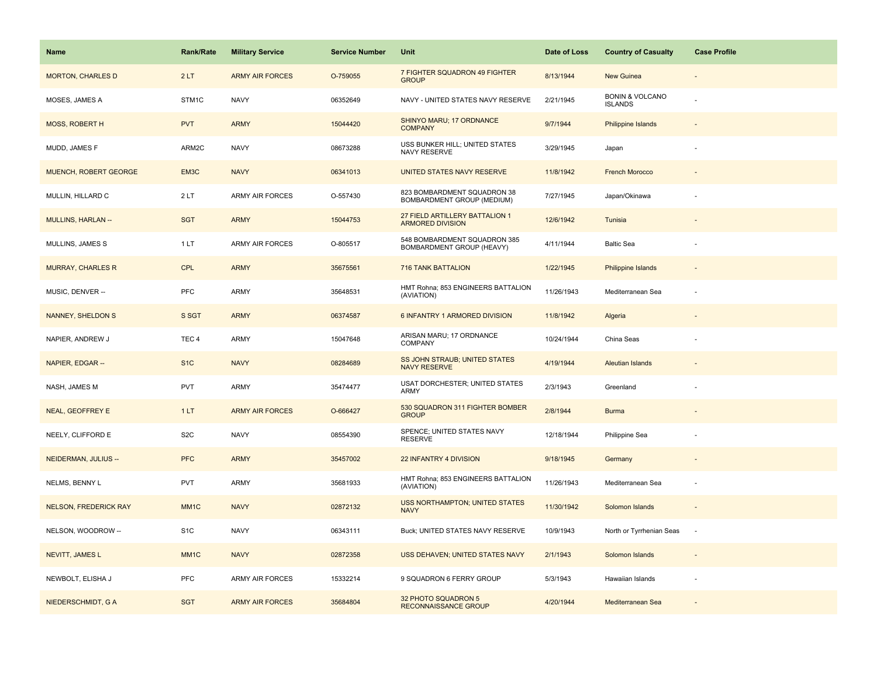| <b>Name</b>                  | Rank/Rate         | <b>Military Service</b> | <b>Service Number</b> | Unit                                                      | Date of Loss | <b>Country of Casualty</b>                   | <b>Case Profile</b>      |
|------------------------------|-------------------|-------------------------|-----------------------|-----------------------------------------------------------|--------------|----------------------------------------------|--------------------------|
| <b>MORTON, CHARLES D</b>     | 2LT               | <b>ARMY AIR FORCES</b>  | O-759055              | 7 FIGHTER SQUADRON 49 FIGHTER<br><b>GROUP</b>             | 8/13/1944    | <b>New Guinea</b>                            |                          |
| MOSES, JAMES A               | STM1C             | <b>NAVY</b>             | 06352649              | NAVY - UNITED STATES NAVY RESERVE                         | 2/21/1945    | <b>BONIN &amp; VOLCANO</b><br><b>ISLANDS</b> |                          |
| <b>MOSS, ROBERT H</b>        | <b>PVT</b>        | <b>ARMY</b>             | 15044420              | SHINYO MARU; 17 ORDNANCE<br><b>COMPANY</b>                | 9/7/1944     | <b>Philippine Islands</b>                    |                          |
| MUDD, JAMES F                | ARM2C             | <b>NAVY</b>             | 08673288              | USS BUNKER HILL; UNITED STATES<br>NAVY RESERVE            | 3/29/1945    | Japan                                        |                          |
| <b>MUENCH, ROBERT GEORGE</b> | EM <sub>3</sub> C | <b>NAVY</b>             | 06341013              | UNITED STATES NAVY RESERVE                                | 11/8/1942    | <b>French Morocco</b>                        |                          |
| MULLIN, HILLARD C            | 2LT               | ARMY AIR FORCES         | O-557430              | 823 BOMBARDMENT SQUADRON 38<br>BOMBARDMENT GROUP (MEDIUM) | 7/27/1945    | Japan/Okinawa                                |                          |
| <b>MULLINS, HARLAN --</b>    | <b>SGT</b>        | <b>ARMY</b>             | 15044753              | 27 FIELD ARTILLERY BATTALION 1<br><b>ARMORED DIVISION</b> | 12/6/1942    | Tunisia                                      |                          |
| MULLINS, JAMES S             | 1LT               | <b>ARMY AIR FORCES</b>  | O-805517              | 548 BOMBARDMENT SQUADRON 385<br>BOMBARDMENT GROUP (HEAVY) | 4/11/1944    | <b>Baltic Sea</b>                            |                          |
| <b>MURRAY, CHARLES R</b>     | <b>CPL</b>        | <b>ARMY</b>             | 35675561              | <b>716 TANK BATTALION</b>                                 | 1/22/1945    | <b>Philippine Islands</b>                    |                          |
| MUSIC, DENVER --             | <b>PFC</b>        | <b>ARMY</b>             | 35648531              | HMT Rohna; 853 ENGINEERS BATTALION<br>(AVIATION)          | 11/26/1943   | Mediterranean Sea                            | ÷.                       |
| <b>NANNEY, SHELDON S</b>     | S SGT             | <b>ARMY</b>             | 06374587              | 6 INFANTRY 1 ARMORED DIVISION                             | 11/8/1942    | Algeria                                      |                          |
| NAPIER, ANDREW J             | TEC <sub>4</sub>  | <b>ARMY</b>             | 15047648              | ARISAN MARU; 17 ORDNANCE<br>COMPANY                       | 10/24/1944   | China Seas                                   |                          |
| NAPIER, EDGAR --             | S <sub>1</sub> C  | <b>NAVY</b>             | 08284689              | SS JOHN STRAUB; UNITED STATES<br><b>NAVY RESERVE</b>      | 4/19/1944    | <b>Aleutian Islands</b>                      | $\overline{a}$           |
| NASH, JAMES M                | <b>PVT</b>        | ARMY                    | 35474477              | <b>USAT DORCHESTER; UNITED STATES</b><br>ARMY             | 2/3/1943     | Greenland                                    |                          |
| NEAL, GEOFFREY E             | 1LT               | <b>ARMY AIR FORCES</b>  | O-666427              | 530 SQUADRON 311 FIGHTER BOMBER<br><b>GROUP</b>           | 2/8/1944     | <b>Burma</b>                                 |                          |
| NEELY, CLIFFORD E            | S <sub>2</sub> C  | <b>NAVY</b>             | 08554390              | SPENCE; UNITED STATES NAVY<br><b>RESERVE</b>              | 12/18/1944   | Philippine Sea                               |                          |
| NEIDERMAN, JULIUS --         | <b>PFC</b>        | <b>ARMY</b>             | 35457002              | 22 INFANTRY 4 DIVISION                                    | 9/18/1945    | Germany                                      |                          |
| NELMS, BENNY L               | <b>PVT</b>        | ARMY                    | 35681933              | HMT Rohna; 853 ENGINEERS BATTALION<br>(AVIATION)          | 11/26/1943   | Mediterranean Sea                            | ÷,                       |
| <b>NELSON, FREDERICK RAY</b> | MM <sub>1</sub> C | <b>NAVY</b>             | 02872132              | <b>USS NORTHAMPTON; UNITED STATES</b><br><b>NAVY</b>      | 11/30/1942   | Solomon Islands                              |                          |
| NELSON, WOODROW --           | S <sub>1</sub> C  | <b>NAVY</b>             | 06343111              | Buck; UNITED STATES NAVY RESERVE                          | 10/9/1943    | North or Tyrrhenian Seas                     | ÷,                       |
| NEVITT, JAMES L              | MM <sub>1</sub> C | <b>NAVY</b>             | 02872358              | USS DEHAVEN; UNITED STATES NAVY                           | 2/1/1943     | Solomon Islands                              | $\overline{\phantom{a}}$ |
| NEWBOLT, ELISHA J            | <b>PFC</b>        | <b>ARMY AIR FORCES</b>  | 15332214              | 9 SQUADRON 6 FERRY GROUP                                  | 5/3/1943     | Hawaiian Islands                             | ÷                        |
| NIEDERSCHMIDT, G A           | <b>SGT</b>        | <b>ARMY AIR FORCES</b>  | 35684804              | 32 PHOTO SQUADRON 5<br><b>RECONNAISSANCE GROUP</b>        | 4/20/1944    | Mediterranean Sea                            |                          |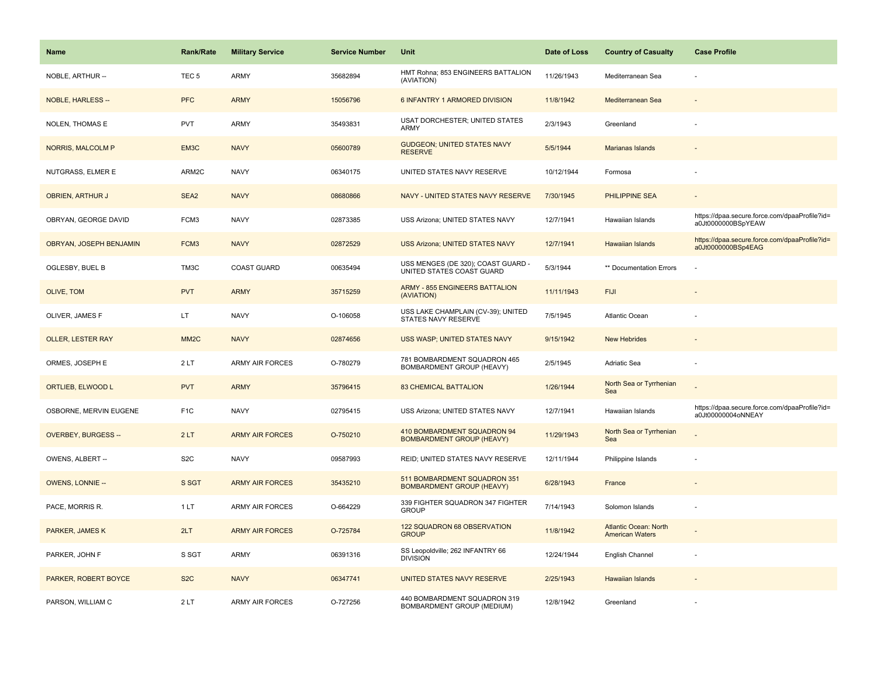| <b>Name</b>                | <b>Rank/Rate</b>  | <b>Military Service</b> | <b>Service Number</b> | Unit                                                             | Date of Loss | <b>Country of Casualty</b>                             | <b>Case Profile</b>                                                 |
|----------------------------|-------------------|-------------------------|-----------------------|------------------------------------------------------------------|--------------|--------------------------------------------------------|---------------------------------------------------------------------|
| NOBLE, ARTHUR --           | TEC <sub>5</sub>  | ARMY                    | 35682894              | HMT Rohna; 853 ENGINEERS BATTALION<br>(AVIATION)                 | 11/26/1943   | Mediterranean Sea                                      |                                                                     |
| <b>NOBLE, HARLESS --</b>   | <b>PFC</b>        | <b>ARMY</b>             | 15056796              | 6 INFANTRY 1 ARMORED DIVISION                                    | 11/8/1942    | Mediterranean Sea                                      |                                                                     |
| NOLEN, THOMAS E            | <b>PVT</b>        | ARMY                    | 35493831              | USAT DORCHESTER; UNITED STATES<br>ARMY                           | 2/3/1943     | Greenland                                              |                                                                     |
| <b>NORRIS, MALCOLM P</b>   | EM3C              | <b>NAVY</b>             | 05600789              | <b>GUDGEON; UNITED STATES NAVY</b><br><b>RESERVE</b>             | 5/5/1944     | Marianas Islands                                       |                                                                     |
| NUTGRASS, ELMER E          | ARM2C             | <b>NAVY</b>             | 06340175              | UNITED STATES NAVY RESERVE                                       | 10/12/1944   | Formosa                                                |                                                                     |
| <b>OBRIEN, ARTHUR J</b>    | SEA <sub>2</sub>  | <b>NAVY</b>             | 08680866              | NAVY - UNITED STATES NAVY RESERVE                                | 7/30/1945    | <b>PHILIPPINE SEA</b>                                  |                                                                     |
| OBRYAN, GEORGE DAVID       | FCM3              | <b>NAVY</b>             | 02873385              | USS Arizona; UNITED STATES NAVY                                  | 12/7/1941    | Hawaiian Islands                                       | https://dpaa.secure.force.com/dpaaProfile?id=<br>a0Jt0000000BSpYEAW |
| OBRYAN, JOSEPH BENJAMIN    | FCM3              | <b>NAVY</b>             | 02872529              | <b>USS Arizona; UNITED STATES NAVY</b>                           | 12/7/1941    | <b>Hawaiian Islands</b>                                | https://dpaa.secure.force.com/dpaaProfile?id=<br>a0Jt0000000BSp4EAG |
| OGLESBY, BUEL B            | TM3C              | <b>COAST GUARD</b>      | 00635494              | USS MENGES (DE 320); COAST GUARD -<br>UNITED STATES COAST GUARD  | 5/3/1944     | ** Documentation Errors                                |                                                                     |
| OLIVE, TOM                 | <b>PVT</b>        | <b>ARMY</b>             | 35715259              | <b>ARMY - 855 ENGINEERS BATTALION</b><br>(AVIATION)              | 11/11/1943   | <b>FIJI</b>                                            |                                                                     |
| OLIVER, JAMES F            | LT.               | <b>NAVY</b>             | O-106058              | USS LAKE CHAMPLAIN (CV-39); UNITED<br>STATES NAVY RESERVE        | 7/5/1945     | <b>Atlantic Ocean</b>                                  |                                                                     |
| <b>OLLER, LESTER RAY</b>   | MM <sub>2</sub> C | <b>NAVY</b>             | 02874656              | USS WASP; UNITED STATES NAVY                                     | 9/15/1942    | <b>New Hebrides</b>                                    |                                                                     |
| ORMES, JOSEPH E            | 2LT               | <b>ARMY AIR FORCES</b>  | O-780279              | 781 BOMBARDMENT SQUADRON 465<br>BOMBARDMENT GROUP (HEAVY)        | 2/5/1945     | Adriatic Sea                                           |                                                                     |
| ORTLIEB, ELWOOD L          | <b>PVT</b>        | <b>ARMY</b>             | 35796415              | <b>83 CHEMICAL BATTALION</b>                                     | 1/26/1944    | North Sea or Tyrrhenian<br>Sea                         |                                                                     |
| OSBORNE, MERVIN EUGENE     | F <sub>1</sub> C  | <b>NAVY</b>             | 02795415              | USS Arizona; UNITED STATES NAVY                                  | 12/7/1941    | Hawaiian Islands                                       | https://dpaa.secure.force.com/dpaaProfile?id=<br>a0Jt00000004oNNEAY |
| <b>OVERBEY, BURGESS --</b> | 2LT               | <b>ARMY AIR FORCES</b>  | O-750210              | 410 BOMBARDMENT SQUADRON 94<br><b>BOMBARDMENT GROUP (HEAVY)</b>  | 11/29/1943   | North Sea or Tyrrhenian<br>Sea                         |                                                                     |
| OWENS, ALBERT --           | S <sub>2</sub> C  | <b>NAVY</b>             | 09587993              | REID; UNITED STATES NAVY RESERVE                                 | 12/11/1944   | Philippine Islands                                     |                                                                     |
| <b>OWENS, LONNIE --</b>    | S SGT             | <b>ARMY AIR FORCES</b>  | 35435210              | 511 BOMBARDMENT SQUADRON 351<br><b>BOMBARDMENT GROUP (HEAVY)</b> | 6/28/1943    | France                                                 |                                                                     |
| PACE, MORRIS R.            | 1LT               | <b>ARMY AIR FORCES</b>  | O-664229              | 339 FIGHTER SQUADRON 347 FIGHTER<br><b>GROUP</b>                 | 7/14/1943    | Solomon Islands                                        |                                                                     |
| PARKER, JAMES K            | 2LT               | <b>ARMY AIR FORCES</b>  | O-725784              | 122 SQUADRON 68 OBSERVATION<br><b>GROUP</b>                      | 11/8/1942    | <b>Atlantic Ocean: North</b><br><b>American Waters</b> |                                                                     |
| PARKER, JOHN F             | S SGT             | <b>ARMY</b>             | 06391316              | SS Leopoldville; 262 INFANTRY 66<br><b>DIVISION</b>              | 12/24/1944   | English Channel                                        |                                                                     |
| PARKER, ROBERT BOYCE       | S <sub>2</sub> C  | <b>NAVY</b>             | 06347741              | UNITED STATES NAVY RESERVE                                       | 2/25/1943    | <b>Hawaiian Islands</b>                                |                                                                     |
| PARSON, WILLIAM C          | 2LT               | <b>ARMY AIR FORCES</b>  | O-727256              | 440 BOMBARDMENT SQUADRON 319<br>BOMBARDMENT GROUP (MEDIUM)       | 12/8/1942    | Greenland                                              |                                                                     |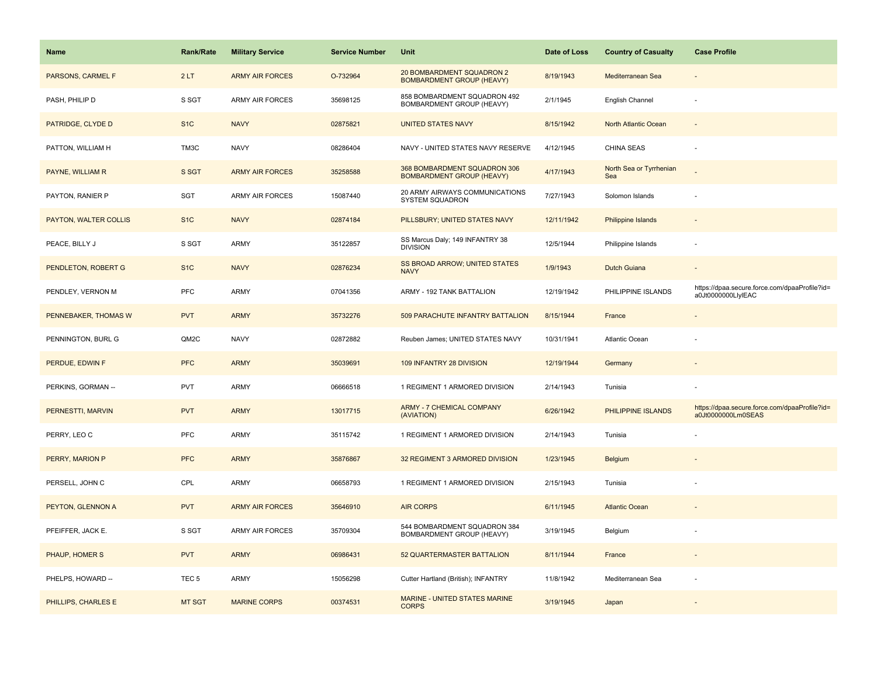| <b>Name</b>           | <b>Rank/Rate</b> | <b>Military Service</b> | <b>Service Number</b> | <b>Unit</b>                                                      | Date of Loss | <b>Country of Casualty</b>     | <b>Case Profile</b>                                                 |
|-----------------------|------------------|-------------------------|-----------------------|------------------------------------------------------------------|--------------|--------------------------------|---------------------------------------------------------------------|
| PARSONS, CARMEL F     | 2LT              | <b>ARMY AIR FORCES</b>  | O-732964              | 20 BOMBARDMENT SQUADRON 2<br><b>BOMBARDMENT GROUP (HEAVY)</b>    | 8/19/1943    | Mediterranean Sea              |                                                                     |
| PASH, PHILIP D        | S SGT            | <b>ARMY AIR FORCES</b>  | 35698125              | 858 BOMBARDMENT SQUADRON 492<br>BOMBARDMENT GROUP (HEAVY)        | 2/1/1945     | English Channel                |                                                                     |
| PATRIDGE, CLYDE D     | S <sub>1C</sub>  | <b>NAVY</b>             | 02875821              | <b>UNITED STATES NAVY</b>                                        | 8/15/1942    | North Atlantic Ocean           |                                                                     |
| PATTON, WILLIAM H     | TM3C             | <b>NAVY</b>             | 08286404              | NAVY - UNITED STATES NAVY RESERVE                                | 4/12/1945    | CHINA SEAS                     |                                                                     |
| PAYNE, WILLIAM R      | S SGT            | <b>ARMY AIR FORCES</b>  | 35258588              | 368 BOMBARDMENT SQUADRON 306<br><b>BOMBARDMENT GROUP (HEAVY)</b> | 4/17/1943    | North Sea or Tyrrhenian<br>Sea |                                                                     |
| PAYTON, RANIER P      | SGT              | ARMY AIR FORCES         | 15087440              | 20 ARMY AIRWAYS COMMUNICATIONS<br>SYSTEM SQUADRON                | 7/27/1943    | Solomon Islands                |                                                                     |
| PAYTON, WALTER COLLIS | S <sub>1</sub> C | <b>NAVY</b>             | 02874184              | PILLSBURY; UNITED STATES NAVY                                    | 12/11/1942   | Philippine Islands             |                                                                     |
| PEACE, BILLY J        | S SGT            | ARMY                    | 35122857              | SS Marcus Daly; 149 INFANTRY 38<br><b>DIVISION</b>               | 12/5/1944    | Philippine Islands             |                                                                     |
| PENDLETON, ROBERT G   | S <sub>1C</sub>  | <b>NAVY</b>             | 02876234              | SS BROAD ARROW; UNITED STATES<br><b>NAVY</b>                     | 1/9/1943     | <b>Dutch Guiana</b>            |                                                                     |
| PENDLEY, VERNON M     | PFC              | ARMY                    | 07041356              | ARMY - 192 TANK BATTALION                                        | 12/19/1942   | PHILIPPINE ISLANDS             | https://dpaa.secure.force.com/dpaaProfile?id=<br>a0Jt0000000LlyIEAC |
| PENNEBAKER, THOMAS W  | <b>PVT</b>       | <b>ARMY</b>             | 35732276              | 509 PARACHUTE INFANTRY BATTALION                                 | 8/15/1944    | France                         |                                                                     |
| PENNINGTON, BURL G    | QM2C             | <b>NAVY</b>             | 02872882              | Reuben James; UNITED STATES NAVY                                 | 10/31/1941   | Atlantic Ocean                 |                                                                     |
| PERDUE, EDWIN F       | <b>PFC</b>       | <b>ARMY</b>             | 35039691              | 109 INFANTRY 28 DIVISION                                         | 12/19/1944   | Germany                        |                                                                     |
| PERKINS, GORMAN --    | <b>PVT</b>       | ARMY                    | 06666518              | 1 REGIMENT 1 ARMORED DIVISION                                    | 2/14/1943    | Tunisia                        |                                                                     |
| PERNESTTI, MARVIN     | <b>PVT</b>       | <b>ARMY</b>             | 13017715              | <b>ARMY - 7 CHEMICAL COMPANY</b><br>(AVIATION)                   | 6/26/1942    | PHILIPPINE ISLANDS             | https://dpaa.secure.force.com/dpaaProfile?id=<br>a0Jt0000000Lm0SEAS |
| PERRY, LEO C          | PFC              | ARMY                    | 35115742              | 1 REGIMENT 1 ARMORED DIVISION                                    | 2/14/1943    | Tunisia                        |                                                                     |
| PERRY, MARION P       | <b>PFC</b>       | <b>ARMY</b>             | 35876867              | 32 REGIMENT 3 ARMORED DIVISION                                   | 1/23/1945    | <b>Belgium</b>                 |                                                                     |
| PERSELL, JOHN C       | CPL              | ARMY                    | 06658793              | 1 REGIMENT 1 ARMORED DIVISION                                    | 2/15/1943    | Tunisia                        |                                                                     |
| PEYTON, GLENNON A     | <b>PVT</b>       | <b>ARMY AIR FORCES</b>  | 35646910              | <b>AIR CORPS</b>                                                 | 6/11/1945    | <b>Atlantic Ocean</b>          |                                                                     |
| PFEIFFER, JACK E.     | S SGT            | <b>ARMY AIR FORCES</b>  | 35709304              | 544 BOMBARDMENT SQUADRON 384<br>BOMBARDMENT GROUP (HEAVY)        | 3/19/1945    | Belgium                        |                                                                     |
| PHAUP, HOMER S        | <b>PVT</b>       | <b>ARMY</b>             | 06986431              | 52 QUARTERMASTER BATTALION                                       | 8/11/1944    | France                         |                                                                     |
| PHELPS, HOWARD --     | TEC <sub>5</sub> | ARMY                    | 15056298              | Cutter Hartland (British); INFANTRY                              | 11/8/1942    | Mediterranean Sea              |                                                                     |
| PHILLIPS, CHARLES E   | <b>MT SGT</b>    | <b>MARINE CORPS</b>     | 00374531              | <b>MARINE - UNITED STATES MARINE</b><br><b>CORPS</b>             | 3/19/1945    | Japan                          |                                                                     |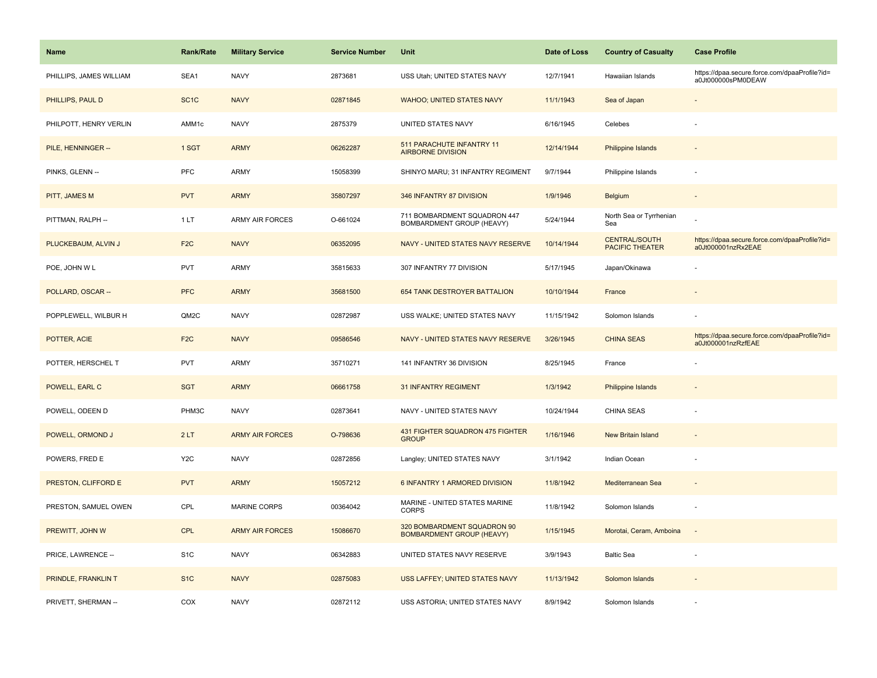| Name                    | <b>Rank/Rate</b>  | <b>Military Service</b> | <b>Service Number</b> | Unit                                                            | Date of Loss | <b>Country of Casualty</b>                     | <b>Case Profile</b>                                                 |
|-------------------------|-------------------|-------------------------|-----------------------|-----------------------------------------------------------------|--------------|------------------------------------------------|---------------------------------------------------------------------|
| PHILLIPS, JAMES WILLIAM | SEA1              | <b>NAVY</b>             | 2873681               | USS Utah; UNITED STATES NAVY                                    | 12/7/1941    | Hawaiian Islands                               | https://dpaa.secure.force.com/dpaaProfile?id=<br>a0Jt000000sPM0DEAW |
| PHILLIPS, PAUL D        | SC <sub>1</sub> C | <b>NAVY</b>             | 02871845              | <b>WAHOO; UNITED STATES NAVY</b>                                | 11/1/1943    | Sea of Japan                                   |                                                                     |
| PHILPOTT, HENRY VERLIN  | AMM1c             | <b>NAVY</b>             | 2875379               | UNITED STATES NAVY                                              | 6/16/1945    | Celebes                                        |                                                                     |
| PILE, HENNINGER --      | 1 SGT             | <b>ARMY</b>             | 06262287              | 511 PARACHUTE INFANTRY 11<br><b>AIRBORNE DIVISION</b>           | 12/14/1944   | <b>Philippine Islands</b>                      |                                                                     |
| PINKS, GLENN --         | PFC               | ARMY                    | 15058399              | SHINYO MARU; 31 INFANTRY REGIMENT                               | 9/7/1944     | Philippine Islands                             |                                                                     |
| PITT, JAMES M           | <b>PVT</b>        | <b>ARMY</b>             | 35807297              | 346 INFANTRY 87 DIVISION                                        | 1/9/1946     | Belgium                                        | $\blacksquare$                                                      |
| PITTMAN, RALPH --       | 1LT               | <b>ARMY AIR FORCES</b>  | O-661024              | 711 BOMBARDMENT SQUADRON 447<br>BOMBARDMENT GROUP (HEAVY)       | 5/24/1944    | North Sea or Tyrrhenian<br>Sea                 |                                                                     |
| PLUCKEBAUM, ALVIN J     | F <sub>2</sub> C  | <b>NAVY</b>             | 06352095              | NAVY - UNITED STATES NAVY RESERVE                               | 10/14/1944   | <b>CENTRAL/SOUTH</b><br><b>PACIFIC THEATER</b> | https://dpaa.secure.force.com/dpaaProfile?id=<br>a0Jt000001nzRx2EAE |
| POE, JOHN W L           | PVT               | ARMY                    | 35815633              | 307 INFANTRY 77 DIVISION                                        | 5/17/1945    | Japan/Okinawa                                  |                                                                     |
| POLLARD, OSCAR --       | <b>PFC</b>        | <b>ARMY</b>             | 35681500              | 654 TANK DESTROYER BATTALION                                    | 10/10/1944   | France                                         |                                                                     |
| POPPLEWELL, WILBUR H    | QM2C              | <b>NAVY</b>             | 02872987              | USS WALKE; UNITED STATES NAVY                                   | 11/15/1942   | Solomon Islands                                |                                                                     |
| POTTER, ACIE            | F <sub>2</sub> C  | <b>NAVY</b>             | 09586546              | NAVY - UNITED STATES NAVY RESERVE                               | 3/26/1945    | <b>CHINA SEAS</b>                              | https://dpaa.secure.force.com/dpaaProfile?id=<br>a0Jt000001nzRzfEAE |
| POTTER, HERSCHEL T      | <b>PVT</b>        | ARMY                    | 35710271              | 141 INFANTRY 36 DIVISION                                        | 8/25/1945    | France                                         |                                                                     |
| POWELL, EARL C          | <b>SGT</b>        | <b>ARMY</b>             | 06661758              | <b>31 INFANTRY REGIMENT</b>                                     | 1/3/1942     | <b>Philippine Islands</b>                      |                                                                     |
| POWELL, ODEEN D         | PHM3C             | <b>NAVY</b>             | 02873641              | NAVY - UNITED STATES NAVY                                       | 10/24/1944   | CHINA SEAS                                     |                                                                     |
| POWELL, ORMOND J        | 2LT               | <b>ARMY AIR FORCES</b>  | O-798636              | 431 FIGHTER SQUADRON 475 FIGHTER<br><b>GROUP</b>                | 1/16/1946    | <b>New Britain Island</b>                      |                                                                     |
| POWERS, FRED E          | Y <sub>2</sub> C  | <b>NAVY</b>             | 02872856              | Langley; UNITED STATES NAVY                                     | 3/1/1942     | Indian Ocean                                   |                                                                     |
| PRESTON, CLIFFORD E     | <b>PVT</b>        | <b>ARMY</b>             | 15057212              | 6 INFANTRY 1 ARMORED DIVISION                                   | 11/8/1942    | Mediterranean Sea                              |                                                                     |
| PRESTON, SAMUEL OWEN    | CPL               | <b>MARINE CORPS</b>     | 00364042              | MARINE - UNITED STATES MARINE<br>CORPS                          | 11/8/1942    | Solomon Islands                                | ÷,                                                                  |
| PREWITT, JOHN W         | <b>CPL</b>        | <b>ARMY AIR FORCES</b>  | 15086670              | 320 BOMBARDMENT SQUADRON 90<br><b>BOMBARDMENT GROUP (HEAVY)</b> | 1/15/1945    | Morotai, Ceram, Amboina                        | $\sim$                                                              |
| PRICE, LAWRENCE --      | S <sub>1</sub> C  | <b>NAVY</b>             | 06342883              | UNITED STATES NAVY RESERVE                                      | 3/9/1943     | <b>Baltic Sea</b>                              | ÷,                                                                  |
| PRINDLE, FRANKLIN T     | S <sub>1</sub> C  | <b>NAVY</b>             | 02875083              | USS LAFFEY; UNITED STATES NAVY                                  | 11/13/1942   | Solomon Islands                                |                                                                     |
| PRIVETT, SHERMAN --     | COX               | <b>NAVY</b>             | 02872112              | USS ASTORIA; UNITED STATES NAVY                                 | 8/9/1942     | Solomon Islands                                |                                                                     |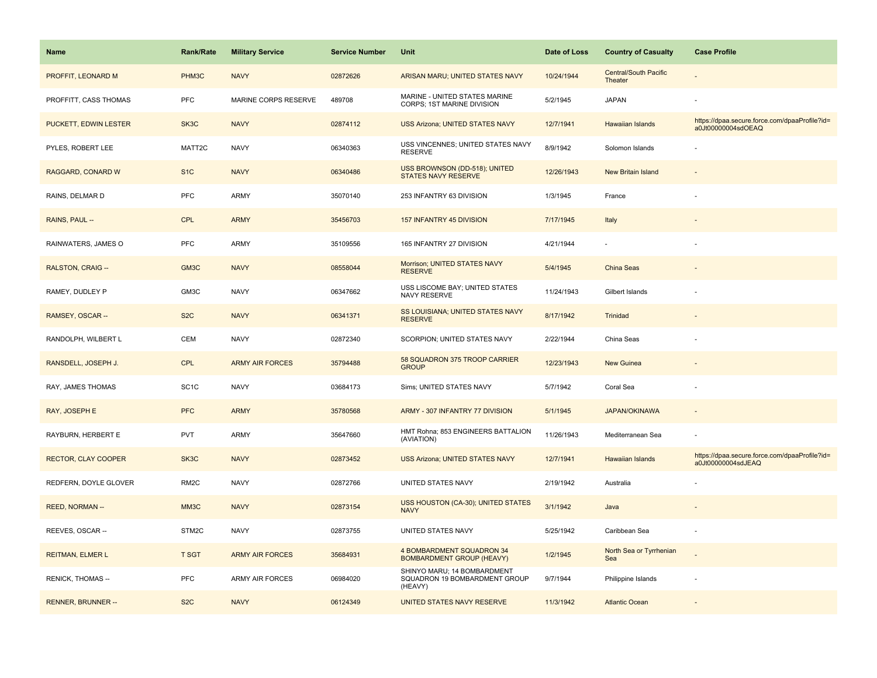| <b>Name</b>               | <b>Rank/Rate</b>  | <b>Military Service</b> | <b>Service Number</b> | Unit                                                                    | Date of Loss | <b>Country of Casualty</b>              | <b>Case Profile</b>                                                 |
|---------------------------|-------------------|-------------------------|-----------------------|-------------------------------------------------------------------------|--------------|-----------------------------------------|---------------------------------------------------------------------|
| PROFFIT, LEONARD M        | PHM3C             | <b>NAVY</b>             | 02872626              | ARISAN MARU; UNITED STATES NAVY                                         | 10/24/1944   | <b>Central/South Pacific</b><br>Theater |                                                                     |
| PROFFITT, CASS THOMAS     | PFC               | MARINE CORPS RESERVE    | 489708                | MARINE - UNITED STATES MARINE<br><b>CORPS: 1ST MARINE DIVISION</b>      | 5/2/1945     | <b>JAPAN</b>                            |                                                                     |
| PUCKETT, EDWIN LESTER     | SK3C              | <b>NAVY</b>             | 02874112              | <b>USS Arizona; UNITED STATES NAVY</b>                                  | 12/7/1941    | Hawaiian Islands                        | https://dpaa.secure.force.com/dpaaProfile?id=<br>a0Jt00000004sdOEAQ |
| PYLES, ROBERT LEE         | MATT2C            | <b>NAVY</b>             | 06340363              | USS VINCENNES; UNITED STATES NAVY<br><b>RESERVE</b>                     | 8/9/1942     | Solomon Islands                         |                                                                     |
| RAGGARD, CONARD W         | S <sub>1</sub> C  | <b>NAVY</b>             | 06340486              | USS BROWNSON (DD-518); UNITED<br><b>STATES NAVY RESERVE</b>             | 12/26/1943   | New Britain Island                      |                                                                     |
| RAINS, DELMAR D           | PFC               | ARMY                    | 35070140              | 253 INFANTRY 63 DIVISION                                                | 1/3/1945     | France                                  |                                                                     |
| RAINS, PAUL --            | <b>CPL</b>        | <b>ARMY</b>             | 35456703              | 157 INFANTRY 45 DIVISION                                                | 7/17/1945    | Italy                                   |                                                                     |
| RAINWATERS, JAMES O       | <b>PFC</b>        | ARMY                    | 35109556              | 165 INFANTRY 27 DIVISION                                                | 4/21/1944    | ×.                                      |                                                                     |
| <b>RALSTON, CRAIG--</b>   | GM3C              | <b>NAVY</b>             | 08558044              | Morrison; UNITED STATES NAVY<br><b>RESERVE</b>                          | 5/4/1945     | <b>China Seas</b>                       |                                                                     |
| RAMEY, DUDLEY P           | GM3C              | <b>NAVY</b>             | 06347662              | USS LISCOME BAY; UNITED STATES<br>NAVY RESERVE                          | 11/24/1943   | Gilbert Islands                         |                                                                     |
| RAMSEY, OSCAR --          | S <sub>2</sub> C  | <b>NAVY</b>             | 06341371              | SS LOUISIANA; UNITED STATES NAVY<br><b>RESERVE</b>                      | 8/17/1942    | Trinidad                                |                                                                     |
| RANDOLPH, WILBERT L       | CEM               | <b>NAVY</b>             | 02872340              | SCORPION; UNITED STATES NAVY                                            | 2/22/1944    | China Seas                              |                                                                     |
| RANSDELL, JOSEPH J.       | <b>CPL</b>        | <b>ARMY AIR FORCES</b>  | 35794488              | 58 SQUADRON 375 TROOP CARRIER<br><b>GROUP</b>                           | 12/23/1943   | <b>New Guinea</b>                       |                                                                     |
| RAY, JAMES THOMAS         | SC <sub>1</sub> C | <b>NAVY</b>             | 03684173              | Sims; UNITED STATES NAVY                                                | 5/7/1942     | Coral Sea                               |                                                                     |
| RAY, JOSEPH E             | <b>PFC</b>        | <b>ARMY</b>             | 35780568              | ARMY - 307 INFANTRY 77 DIVISION                                         | 5/1/1945     | <b>JAPAN/OKINAWA</b>                    |                                                                     |
| RAYBURN, HERBERT E        | <b>PVT</b>        | ARMY                    | 35647660              | HMT Rohna; 853 ENGINEERS BATTALION<br>(AVIATION)                        | 11/26/1943   | Mediterranean Sea                       |                                                                     |
| RECTOR, CLAY COOPER       | SK3C              | <b>NAVY</b>             | 02873452              | USS Arizona; UNITED STATES NAVY                                         | 12/7/1941    | Hawaiian Islands                        | https://dpaa.secure.force.com/dpaaProfile?id=<br>a0Jt00000004sdJEAQ |
| REDFERN, DOYLE GLOVER     | RM <sub>2</sub> C | <b>NAVY</b>             | 02872766              | UNITED STATES NAVY                                                      | 2/19/1942    | Australia                               |                                                                     |
| REED, NORMAN --           | MM3C              | <b>NAVY</b>             | 02873154              | USS HOUSTON (CA-30); UNITED STATES<br><b>NAVY</b>                       | 3/1/1942     | Java                                    |                                                                     |
| REEVES, OSCAR --          | STM2C             | <b>NAVY</b>             | 02873755              | UNITED STATES NAVY                                                      | 5/25/1942    | Caribbean Sea                           |                                                                     |
| <b>REITMAN, ELMER L</b>   | <b>T SGT</b>      | <b>ARMY AIR FORCES</b>  | 35684931              | <b>4 BOMBARDMENT SQUADRON 34</b><br><b>BOMBARDMENT GROUP (HEAVY)</b>    | 1/2/1945     | North Sea or Tyrrhenian<br>Sea          |                                                                     |
| RENICK, THOMAS --         | <b>PFC</b>        | <b>ARMY AIR FORCES</b>  | 06984020              | SHINYO MARU; 14 BOMBARDMENT<br>SQUADRON 19 BOMBARDMENT GROUP<br>(HEAVY) | 9/7/1944     | Philippine Islands                      |                                                                     |
| <b>RENNER, BRUNNER --</b> | S <sub>2</sub> C  | <b>NAVY</b>             | 06124349              | UNITED STATES NAVY RESERVE                                              | 11/3/1942    | <b>Atlantic Ocean</b>                   |                                                                     |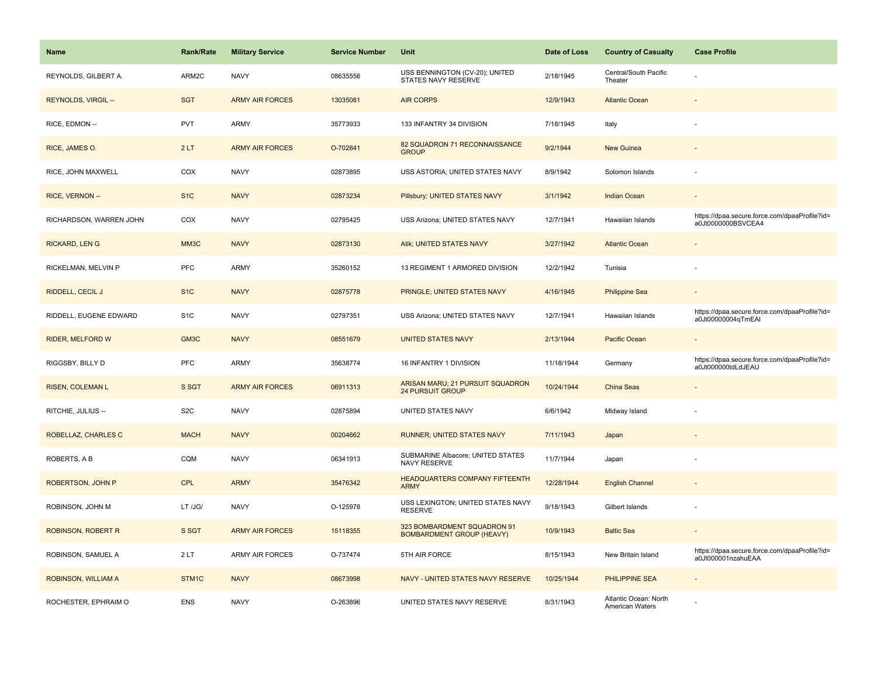| <b>Name</b>               | <b>Rank/Rate</b> | <b>Military Service</b> | <b>Service Number</b> | Unit                                                            | Date of Loss | <b>Country of Casualty</b>               | <b>Case Profile</b>                                                 |
|---------------------------|------------------|-------------------------|-----------------------|-----------------------------------------------------------------|--------------|------------------------------------------|---------------------------------------------------------------------|
| REYNOLDS, GILBERT A.      | ARM2C            | <b>NAVY</b>             | 08635556              | USS BENNINGTON (CV-20); UNITED<br>STATES NAVY RESERVE           | 2/18/1945    | Central/South Pacific<br>Theater         |                                                                     |
| REYNOLDS, VIRGIL --       | <b>SGT</b>       | <b>ARMY AIR FORCES</b>  | 13035081              | <b>AIR CORPS</b>                                                | 12/9/1943    | <b>Atlantic Ocean</b>                    |                                                                     |
| RICE, EDMON --            | <b>PVT</b>       | <b>ARMY</b>             | 35773933              | 133 INFANTRY 34 DIVISION                                        | 7/18/1945    | Italy                                    |                                                                     |
| RICE, JAMES O.            | 2LT              | <b>ARMY AIR FORCES</b>  | O-702841              | 82 SQUADRON 71 RECONNAISSANCE<br><b>GROUP</b>                   | 9/2/1944     | <b>New Guinea</b>                        |                                                                     |
| RICE, JOHN MAXWELL        | COX              | <b>NAVY</b>             | 02873895              | USS ASTORIA; UNITED STATES NAVY                                 | 8/9/1942     | Solomon Islands                          |                                                                     |
| RICE, VERNON --           | S <sub>1</sub> C | <b>NAVY</b>             | 02873234              | Pillsbury; UNITED STATES NAVY                                   | 3/1/1942     | Indian Ocean                             |                                                                     |
| RICHARDSON, WARREN JOHN   | COX              | <b>NAVY</b>             | 02795425              | USS Arizona; UNITED STATES NAVY                                 | 12/7/1941    | Hawaiian Islands                         | https://dpaa.secure.force.com/dpaaProfile?id=<br>a0Jt0000000BSVCEA4 |
| <b>RICKARD, LEN G</b>     | MM3C             | <b>NAVY</b>             | 02873130              | Atik; UNITED STATES NAVY                                        | 3/27/1942    | <b>Atlantic Ocean</b>                    |                                                                     |
| RICKELMAN, MELVIN P       | PFC              | <b>ARMY</b>             | 35260152              | 13 REGIMENT 1 ARMORED DIVISION                                  | 12/2/1942    | Tunisia                                  |                                                                     |
| RIDDELL, CECIL J          | S <sub>1</sub> C | <b>NAVY</b>             | 02875778              | PRINGLE; UNITED STATES NAVY                                     | 4/16/1945    | <b>Philippine Sea</b>                    |                                                                     |
| RIDDELL, EUGENE EDWARD    | S <sub>1</sub> C | <b>NAVY</b>             | 02797351              | USS Arizona; UNITED STATES NAVY                                 | 12/7/1941    | Hawaiian Islands                         | https://dpaa.secure.force.com/dpaaProfile?id=<br>a0Jt00000004qTmEAI |
| <b>RIDER, MELFORD W</b>   | GM3C             | <b>NAVY</b>             | 08551679              | <b>UNITED STATES NAVY</b>                                       | 2/13/1944    | Pacific Ocean                            |                                                                     |
| RIGGSBY, BILLY D          | PFC              | <b>ARMY</b>             | 35638774              | 16 INFANTRY 1 DIVISION                                          | 11/18/1944   | Germany                                  | https://dpaa.secure.force.com/dpaaProfile?id=<br>a0Jt000000tdLdJEAU |
| <b>RISEN, COLEMAN L</b>   | S SGT            | <b>ARMY AIR FORCES</b>  | 06911313              | ARISAN MARU; 21 PURSUIT SQUADRON<br><b>24 PURSUIT GROUP</b>     | 10/24/1944   | China Seas                               |                                                                     |
| RITCHIE, JULIUS --        | S <sub>2</sub> C | <b>NAVY</b>             | 02875894              | UNITED STATES NAVY                                              | 6/6/1942     | Midway Island                            |                                                                     |
| ROBELLAZ, CHARLES C       | <b>MACH</b>      | <b>NAVY</b>             | 00204662              | RUNNER; UNITED STATES NAVY                                      | 7/11/1943    | Japan                                    |                                                                     |
| ROBERTS, A B              | CQM              | <b>NAVY</b>             | 06341913              | SUBMARINE Albacore; UNITED STATES<br>NAVY RESERVE               | 11/7/1944    | Japan                                    |                                                                     |
| ROBERTSON, JOHN P         | CPL              | <b>ARMY</b>             | 35476342              | HEADQUARTERS COMPANY FIFTEENTH<br><b>ARMY</b>                   | 12/28/1944   | <b>English Channel</b>                   |                                                                     |
| ROBINSON, JOHN M          | LT /JG/          | <b>NAVY</b>             | O-125978              | USS LEXINGTON; UNITED STATES NAVY<br><b>RESERVE</b>             | 9/18/1943    | Gilbert Islands                          |                                                                     |
| <b>ROBINSON, ROBERT R</b> | S SGT            | <b>ARMY AIR FORCES</b>  | 15118355              | 323 BOMBARDMENT SQUADRON 91<br><b>BOMBARDMENT GROUP (HEAVY)</b> | 10/9/1943    | <b>Baltic Sea</b>                        | $\sim$                                                              |
| ROBINSON, SAMUEL A        | 2LT              | <b>ARMY AIR FORCES</b>  | O-737474              | 5TH AIR FORCE                                                   | 8/15/1943    | New Britain Island                       | https://dpaa.secure.force.com/dpaaProfile?id=<br>a0Jt000001nzahuEAA |
| ROBINSON, WILLIAM A       | STM1C            | <b>NAVY</b>             | 08673998              | NAVY - UNITED STATES NAVY RESERVE                               | 10/25/1944   | <b>PHILIPPINE SEA</b>                    |                                                                     |
| ROCHESTER, EPHRAIM O      | <b>ENS</b>       | <b>NAVY</b>             | O-263896              | UNITED STATES NAVY RESERVE                                      | 8/31/1943    | Atlantic Ocean: North<br>American Waters |                                                                     |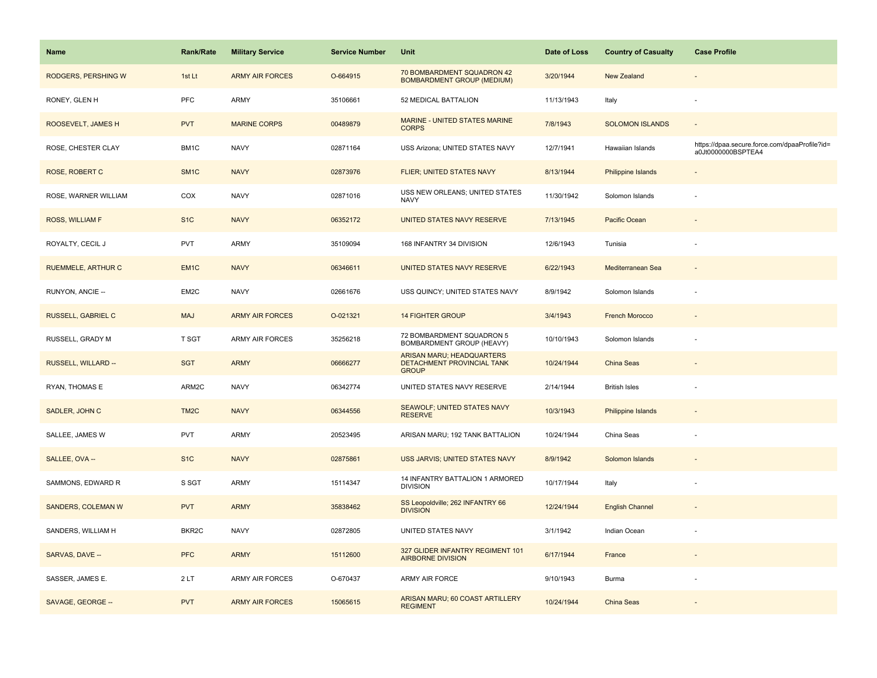| Name                      | <b>Rank/Rate</b>  | <b>Military Service</b> | <b>Service Number</b> | Unit                                                                           | Date of Loss | <b>Country of Casualty</b> | <b>Case Profile</b>                                                 |
|---------------------------|-------------------|-------------------------|-----------------------|--------------------------------------------------------------------------------|--------------|----------------------------|---------------------------------------------------------------------|
| RODGERS, PERSHING W       | 1st Lt            | <b>ARMY AIR FORCES</b>  | O-664915              | 70 BOMBARDMENT SQUADRON 42<br><b>BOMBARDMENT GROUP (MEDIUM)</b>                | 3/20/1944    | New Zealand                |                                                                     |
| RONEY, GLEN H             | PFC               | ARMY                    | 35106661              | 52 MEDICAL BATTALION                                                           | 11/13/1943   | Italy                      | $\sim$                                                              |
| ROOSEVELT, JAMES H        | <b>PVT</b>        | <b>MARINE CORPS</b>     | 00489879              | MARINE - UNITED STATES MARINE<br><b>CORPS</b>                                  | 7/8/1943     | <b>SOLOMON ISLANDS</b>     |                                                                     |
| ROSE, CHESTER CLAY        | BM1C              | <b>NAVY</b>             | 02871164              | USS Arizona; UNITED STATES NAVY                                                | 12/7/1941    | Hawaiian Islands           | https://dpaa.secure.force.com/dpaaProfile?id=<br>a0Jt0000000BSPTEA4 |
| ROSE, ROBERT C            | SM <sub>1</sub> C | <b>NAVY</b>             | 02873976              | FLIER; UNITED STATES NAVY                                                      | 8/13/1944    | <b>Philippine Islands</b>  |                                                                     |
| ROSE, WARNER WILLIAM      | COX               | <b>NAVY</b>             | 02871016              | USS NEW ORLEANS; UNITED STATES<br><b>NAVY</b>                                  | 11/30/1942   | Solomon Islands            |                                                                     |
| ROSS, WILLIAM F           | S <sub>1</sub> C  | <b>NAVY</b>             | 06352172              | UNITED STATES NAVY RESERVE                                                     | 7/13/1945    | Pacific Ocean              |                                                                     |
| ROYALTY, CECIL J          | <b>PVT</b>        | <b>ARMY</b>             | 35109094              | 168 INFANTRY 34 DIVISION                                                       | 12/6/1943    | Tunisia                    |                                                                     |
| <b>RUEMMELE, ARTHUR C</b> | EM <sub>1C</sub>  | <b>NAVY</b>             | 06346611              | UNITED STATES NAVY RESERVE                                                     | 6/22/1943    | Mediterranean Sea          |                                                                     |
| RUNYON, ANCIE --          | EM2C              | <b>NAVY</b>             | 02661676              | USS QUINCY; UNITED STATES NAVY                                                 | 8/9/1942     | Solomon Islands            |                                                                     |
| <b>RUSSELL, GABRIEL C</b> | <b>MAJ</b>        | <b>ARMY AIR FORCES</b>  | O-021321              | <b>14 FIGHTER GROUP</b>                                                        | 3/4/1943     | <b>French Morocco</b>      |                                                                     |
| RUSSELL, GRADY M          | <b>T SGT</b>      | <b>ARMY AIR FORCES</b>  | 35256218              | 72 BOMBARDMENT SQUADRON 5<br>BOMBARDMENT GROUP (HEAVY)                         | 10/10/1943   | Solomon Islands            |                                                                     |
| RUSSELL, WILLARD --       | <b>SGT</b>        | <b>ARMY</b>             | 06666277              | <b>ARISAN MARU: HEADQUARTERS</b><br>DETACHMENT PROVINCIAL TANK<br><b>GROUP</b> | 10/24/1944   | China Seas                 |                                                                     |
| RYAN, THOMAS E            | ARM2C             | <b>NAVY</b>             | 06342774              | UNITED STATES NAVY RESERVE                                                     | 2/14/1944    | <b>British Isles</b>       |                                                                     |
| SADLER, JOHN C            | TM <sub>2</sub> C | <b>NAVY</b>             | 06344556              | SEAWOLF; UNITED STATES NAVY<br><b>RESERVE</b>                                  | 10/3/1943    | Philippine Islands         |                                                                     |
| SALLEE, JAMES W           | PVT               | <b>ARMY</b>             | 20523495              | ARISAN MARU; 192 TANK BATTALION                                                | 10/24/1944   | China Seas                 |                                                                     |
| SALLEE, OVA --            | S <sub>1</sub> C  | <b>NAVY</b>             | 02875861              | USS JARVIS; UNITED STATES NAVY                                                 | 8/9/1942     | Solomon Islands            |                                                                     |
| SAMMONS, EDWARD R         | S SGT             | <b>ARMY</b>             | 15114347              | 14 INFANTRY BATTALION 1 ARMORED<br><b>DIVISION</b>                             | 10/17/1944   | Italy                      |                                                                     |
| SANDERS, COLEMAN W        | <b>PVT</b>        | <b>ARMY</b>             | 35838462              | SS Leopoldville; 262 INFANTRY 66<br><b>DIVISION</b>                            | 12/24/1944   | <b>English Channel</b>     |                                                                     |
| SANDERS, WILLIAM H        | BKR2C             | <b>NAVY</b>             | 02872805              | UNITED STATES NAVY                                                             | 3/1/1942     | Indian Ocean               |                                                                     |
| SARVAS, DAVE --           | <b>PFC</b>        | <b>ARMY</b>             | 15112600              | 327 GLIDER INFANTRY REGIMENT 101<br><b>AIRBORNE DIVISION</b>                   | 6/17/1944    | France                     |                                                                     |
| SASSER, JAMES E.          | 2LT               | <b>ARMY AIR FORCES</b>  | O-670437              | ARMY AIR FORCE                                                                 | 9/10/1943    | Burma                      |                                                                     |
| SAVAGE, GEORGE --         | <b>PVT</b>        | <b>ARMY AIR FORCES</b>  | 15065615              | ARISAN MARU; 60 COAST ARTILLERY<br><b>REGIMENT</b>                             | 10/24/1944   | China Seas                 |                                                                     |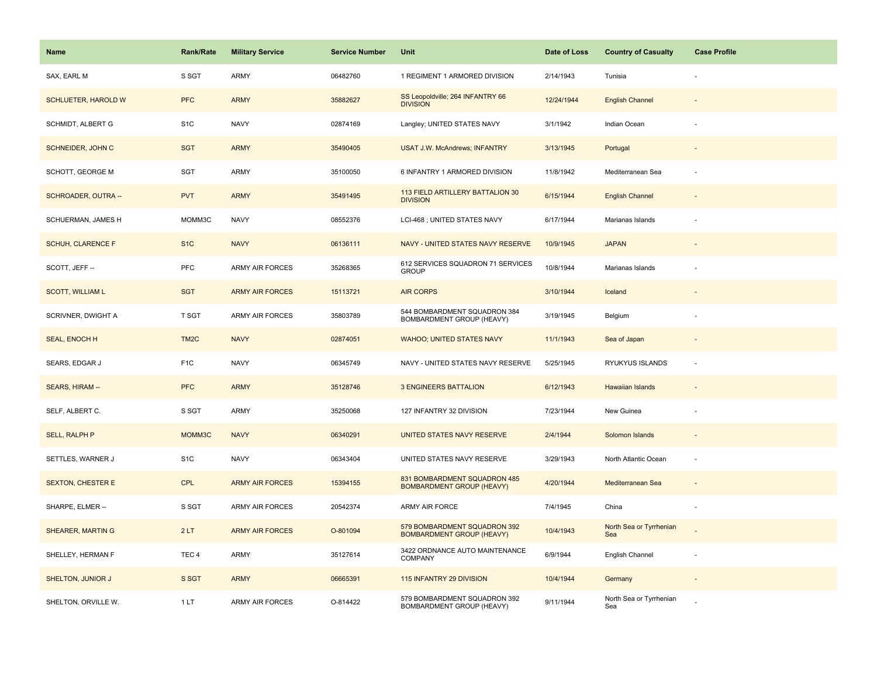| <b>Name</b>                | Rank/Rate         | <b>Military Service</b> | <b>Service Number</b> | Unit                                                             | Date of Loss | <b>Country of Casualty</b>     | <b>Case Profile</b>      |
|----------------------------|-------------------|-------------------------|-----------------------|------------------------------------------------------------------|--------------|--------------------------------|--------------------------|
| SAX, EARL M                | S SGT             | <b>ARMY</b>             | 06482760              | 1 REGIMENT 1 ARMORED DIVISION                                    | 2/14/1943    | Tunisia                        |                          |
| <b>SCHLUETER, HAROLD W</b> | <b>PFC</b>        | <b>ARMY</b>             | 35882627              | SS Leopoldville; 264 INFANTRY 66<br><b>DIVISION</b>              | 12/24/1944   | <b>English Channel</b>         |                          |
| <b>SCHMIDT, ALBERT G</b>   | S <sub>1</sub> C  | <b>NAVY</b>             | 02874169              | Langley; UNITED STATES NAVY                                      | 3/1/1942     | Indian Ocean                   |                          |
| SCHNEIDER, JOHN C          | <b>SGT</b>        | <b>ARMY</b>             | 35490405              | <b>USAT J.W. McAndrews; INFANTRY</b>                             | 3/13/1945    | Portugal                       |                          |
| SCHOTT, GEORGE M           | SGT               | ARMY                    | 35100050              | 6 INFANTRY 1 ARMORED DIVISION                                    | 11/8/1942    | Mediterranean Sea              |                          |
| SCHROADER, OUTRA --        | <b>PVT</b>        | <b>ARMY</b>             | 35491495              | 113 FIELD ARTILLERY BATTALION 30<br><b>DIVISION</b>              | 6/15/1944    | <b>English Channel</b>         | $\overline{\phantom{a}}$ |
| SCHUERMAN, JAMES H         | MOMM3C            | <b>NAVY</b>             | 08552376              | LCI-468 ; UNITED STATES NAVY                                     | 6/17/1944    | Marianas Islands               |                          |
| SCHUH, CLARENCE F          | S <sub>1</sub> C  | <b>NAVY</b>             | 06136111              | NAVY - UNITED STATES NAVY RESERVE                                | 10/9/1945    | <b>JAPAN</b>                   |                          |
| SCOTT, JEFF --             | PFC               | <b>ARMY AIR FORCES</b>  | 35268365              | 612 SERVICES SQUADRON 71 SERVICES<br><b>GROUP</b>                | 10/8/1944    | Marianas Islands               |                          |
| <b>SCOTT, WILLIAM L</b>    | <b>SGT</b>        | <b>ARMY AIR FORCES</b>  | 15113721              | <b>AIR CORPS</b>                                                 | 3/10/1944    | Iceland                        |                          |
| SCRIVNER, DWIGHT A         | T SGT             | <b>ARMY AIR FORCES</b>  | 35803789              | 544 BOMBARDMENT SQUADRON 384<br>BOMBARDMENT GROUP (HEAVY)        | 3/19/1945    | Belgium                        |                          |
| SEAL, ENOCH H              | TM <sub>2</sub> C | <b>NAVY</b>             | 02874051              | WAHOO; UNITED STATES NAVY                                        | 11/1/1943    | Sea of Japan                   |                          |
| SEARS, EDGAR J             | F <sub>1</sub> C  | <b>NAVY</b>             | 06345749              | NAVY - UNITED STATES NAVY RESERVE                                | 5/25/1945    | RYUKYUS ISLANDS                | ÷,                       |
| <b>SEARS, HIRAM--</b>      | <b>PFC</b>        | <b>ARMY</b>             | 35128746              | <b>3 ENGINEERS BATTALION</b>                                     | 6/12/1943    | <b>Hawaiian Islands</b>        | $\sim$                   |
| SELF, ALBERT C.            | S SGT             | <b>ARMY</b>             | 35250068              | 127 INFANTRY 32 DIVISION                                         | 7/23/1944    | New Guinea                     |                          |
| <b>SELL, RALPH P</b>       | MOMM3C            | <b>NAVY</b>             | 06340291              | UNITED STATES NAVY RESERVE                                       | 2/4/1944     | Solomon Islands                |                          |
| SETTLES, WARNER J          | S <sub>1</sub> C  | <b>NAVY</b>             | 06343404              | UNITED STATES NAVY RESERVE                                       | 3/29/1943    | North Atlantic Ocean           |                          |
| <b>SEXTON, CHESTER E</b>   | <b>CPL</b>        | <b>ARMY AIR FORCES</b>  | 15394155              | 831 BOMBARDMENT SQUADRON 485<br><b>BOMBARDMENT GROUP (HEAVY)</b> | 4/20/1944    | Mediterranean Sea              |                          |
| SHARPE, ELMER --           | S SGT             | <b>ARMY AIR FORCES</b>  | 20542374              | <b>ARMY AIR FORCE</b>                                            | 7/4/1945     | China                          |                          |
| <b>SHEARER, MARTIN G</b>   | 2LT               | <b>ARMY AIR FORCES</b>  | O-801094              | 579 BOMBARDMENT SQUADRON 392<br><b>BOMBARDMENT GROUP (HEAVY)</b> | 10/4/1943    | North Sea or Tyrrhenian<br>Sea |                          |
| SHELLEY, HERMAN F          | TEC <sub>4</sub>  | <b>ARMY</b>             | 35127614              | 3422 ORDNANCE AUTO MAINTENANCE<br><b>COMPANY</b>                 | 6/9/1944     | English Channel                | ÷,                       |
| SHELTON, JUNIOR J          | S SGT             | <b>ARMY</b>             | 06665391              | 115 INFANTRY 29 DIVISION                                         | 10/4/1944    | Germany                        | $\sim$                   |
| SHELTON, ORVILLE W.        | 1LT               | <b>ARMY AIR FORCES</b>  | O-814422              | 579 BOMBARDMENT SQUADRON 392<br>BOMBARDMENT GROUP (HEAVY)        | 9/11/1944    | North Sea or Tyrrhenian<br>Sea |                          |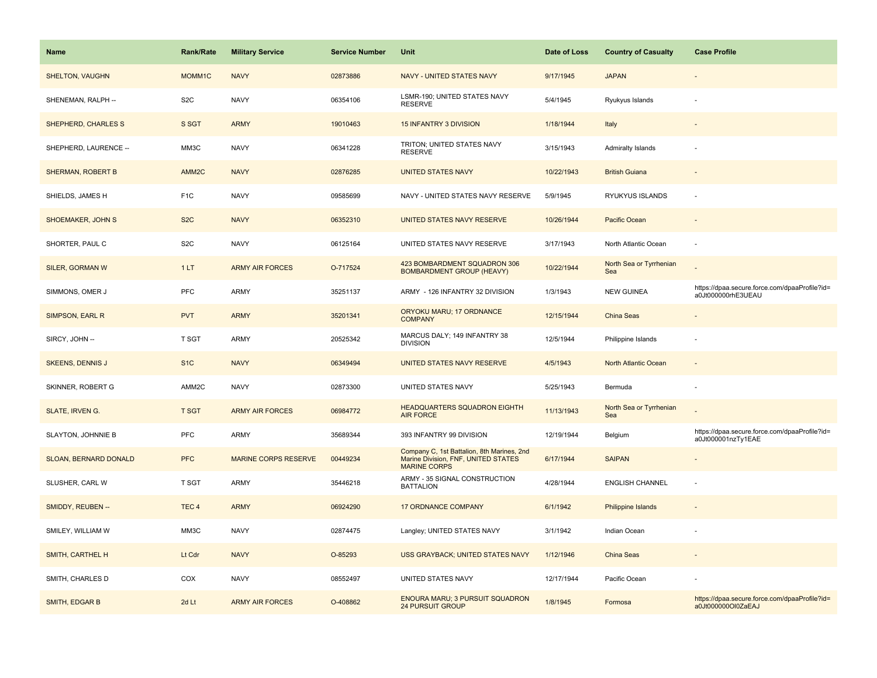| Name                      | <b>Rank/Rate</b> | <b>Military Service</b>     | <b>Service Number</b> | Unit                                                                                                     | Date of Loss | <b>Country of Casualty</b>     | <b>Case Profile</b>                                                 |
|---------------------------|------------------|-----------------------------|-----------------------|----------------------------------------------------------------------------------------------------------|--------------|--------------------------------|---------------------------------------------------------------------|
| <b>SHELTON, VAUGHN</b>    | MOMM1C           | <b>NAVY</b>                 | 02873886              | <b>NAVY - UNITED STATES NAVY</b>                                                                         | 9/17/1945    | <b>JAPAN</b>                   |                                                                     |
| SHENEMAN, RALPH --        | S <sub>2</sub> C | <b>NAVY</b>                 | 06354106              | LSMR-190; UNITED STATES NAVY<br><b>RESERVE</b>                                                           | 5/4/1945     | Ryukyus Islands                |                                                                     |
| SHEPHERD, CHARLES S       | S SGT            | <b>ARMY</b>                 | 19010463              | <b>15 INFANTRY 3 DIVISION</b>                                                                            | 1/18/1944    | Italy                          |                                                                     |
| SHEPHERD, LAURENCE --     | MM3C             | <b>NAVY</b>                 | 06341228              | TRITON; UNITED STATES NAVY<br><b>RESERVE</b>                                                             | 3/15/1943    | <b>Admiralty Islands</b>       |                                                                     |
| <b>SHERMAN, ROBERT B</b>  | AMM2C            | <b>NAVY</b>                 | 02876285              | UNITED STATES NAVY                                                                                       | 10/22/1943   | <b>British Guiana</b>          |                                                                     |
| SHIELDS, JAMES H          | F <sub>1</sub> C | <b>NAVY</b>                 | 09585699              | NAVY - UNITED STATES NAVY RESERVE                                                                        | 5/9/1945     | RYUKYUS ISLANDS                |                                                                     |
| <b>SHOEMAKER, JOHN S</b>  | S <sub>2</sub> C | <b>NAVY</b>                 | 06352310              | UNITED STATES NAVY RESERVE                                                                               | 10/26/1944   | Pacific Ocean                  |                                                                     |
| SHORTER, PAUL C           | S <sub>2</sub> C | <b>NAVY</b>                 | 06125164              | UNITED STATES NAVY RESERVE                                                                               | 3/17/1943    | North Atlantic Ocean           | $\overline{\phantom{a}}$                                            |
| <b>SILER, GORMAN W</b>    | 1LT              | <b>ARMY AIR FORCES</b>      | O-717524              | 423 BOMBARDMENT SQUADRON 306<br><b>BOMBARDMENT GROUP (HEAVY)</b>                                         | 10/22/1944   | North Sea or Tyrrhenian<br>Sea |                                                                     |
| SIMMONS, OMER J           | PFC              | <b>ARMY</b>                 | 35251137              | ARMY - 126 INFANTRY 32 DIVISION                                                                          | 1/3/1943     | <b>NEW GUINEA</b>              | https://dpaa.secure.force.com/dpaaProfile?id=<br>a0Jt000000rhE3UEAU |
| SIMPSON, EARL R           | <b>PVT</b>       | <b>ARMY</b>                 | 35201341              | ORYOKU MARU; 17 ORDNANCE<br><b>COMPANY</b>                                                               | 12/15/1944   | China Seas                     |                                                                     |
| SIRCY, JOHN --            | T SGT            | <b>ARMY</b>                 | 20525342              | MARCUS DALY; 149 INFANTRY 38<br><b>DIVISION</b>                                                          | 12/5/1944    | Philippine Islands             |                                                                     |
| <b>SKEENS, DENNIS J</b>   | S <sub>1C</sub>  | <b>NAVY</b>                 | 06349494              | UNITED STATES NAVY RESERVE                                                                               | 4/5/1943     | <b>North Atlantic Ocean</b>    |                                                                     |
| SKINNER, ROBERT G         | AMM2C            | <b>NAVY</b>                 | 02873300              | UNITED STATES NAVY                                                                                       | 5/25/1943    | Bermuda                        |                                                                     |
| SLATE, IRVEN G.           | <b>T SGT</b>     | <b>ARMY AIR FORCES</b>      | 06984772              | HEADQUARTERS SQUADRON EIGHTH<br><b>AIR FORCE</b>                                                         | 11/13/1943   | North Sea or Tyrrhenian<br>Sea |                                                                     |
| <b>SLAYTON, JOHNNIE B</b> | PFC              | <b>ARMY</b>                 | 35689344              | 393 INFANTRY 99 DIVISION                                                                                 | 12/19/1944   | Belgium                        | https://dpaa.secure.force.com/dpaaProfile?id=<br>a0Jt000001nzTy1EAE |
| SLOAN, BERNARD DONALD     | <b>PFC</b>       | <b>MARINE CORPS RESERVE</b> | 00449234              | Company C, 1st Battalion, 8th Marines, 2nd<br>Marine Division, FNF, UNITED STATES<br><b>MARINE CORPS</b> | 6/17/1944    | <b>SAIPAN</b>                  |                                                                     |
| SLUSHER, CARL W           | T SGT            | <b>ARMY</b>                 | 35446218              | ARMY - 35 SIGNAL CONSTRUCTION<br><b>BATTALION</b>                                                        | 4/28/1944    | <b>ENGLISH CHANNEL</b>         |                                                                     |
| SMIDDY, REUBEN --         | TEC <sub>4</sub> | <b>ARMY</b>                 | 06924290              | <b>17 ORDNANCE COMPANY</b>                                                                               | 6/1/1942     | Philippine Islands             |                                                                     |
| SMILEY, WILLIAM W         | MM3C             | <b>NAVY</b>                 | 02874475              | Langley; UNITED STATES NAVY                                                                              | 3/1/1942     | Indian Ocean                   |                                                                     |
| SMITH, CARTHEL H          | Lt Cdr           | <b>NAVY</b>                 | O-85293               | USS GRAYBACK; UNITED STATES NAVY                                                                         | 1/12/1946    | China Seas                     |                                                                     |
| SMITH, CHARLES D          | COX              | <b>NAVY</b>                 | 08552497              | UNITED STATES NAVY                                                                                       | 12/17/1944   | Pacific Ocean                  |                                                                     |
| SMITH, EDGAR B            | 2d Lt            | <b>ARMY AIR FORCES</b>      | O-408862              | <b>ENOURA MARU; 3 PURSUIT SQUADRON</b><br><b>24 PURSUIT GROUP</b>                                        | 1/8/1945     | Formosa                        | https://dpaa.secure.force.com/dpaaProfile?id=<br>a0Jt000000Ol0ZaEAJ |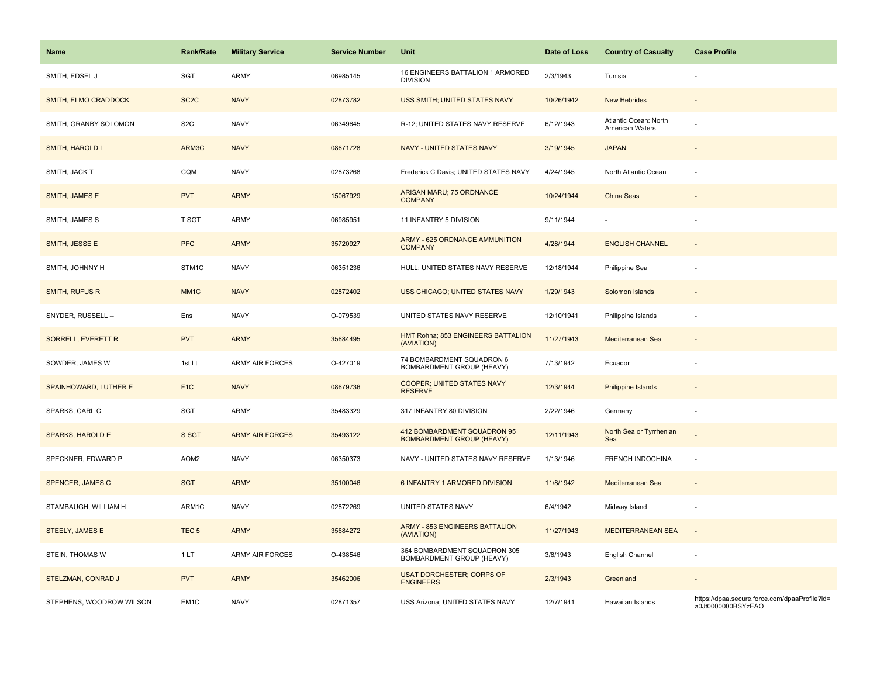| Name                      | <b>Rank/Rate</b>  | <b>Military Service</b> | <b>Service Number</b> | Unit                                                            | Date of Loss | <b>Country of Casualty</b>               | <b>Case Profile</b>                                                 |
|---------------------------|-------------------|-------------------------|-----------------------|-----------------------------------------------------------------|--------------|------------------------------------------|---------------------------------------------------------------------|
| SMITH, EDSEL J            | SGT               | <b>ARMY</b>             | 06985145              | 16 ENGINEERS BATTALION 1 ARMORED<br><b>DIVISION</b>             | 2/3/1943     | Tunisia                                  |                                                                     |
| SMITH, ELMO CRADDOCK      | SC <sub>2</sub> C | <b>NAVY</b>             | 02873782              | USS SMITH; UNITED STATES NAVY                                   | 10/26/1942   | <b>New Hebrides</b>                      |                                                                     |
| SMITH, GRANBY SOLOMON     | S <sub>2</sub> C  | <b>NAVY</b>             | 06349645              | R-12; UNITED STATES NAVY RESERVE                                | 6/12/1943    | Atlantic Ocean: North<br>American Waters |                                                                     |
| <b>SMITH, HAROLD L</b>    | ARM3C             | <b>NAVY</b>             | 08671728              | <b>NAVY - UNITED STATES NAVY</b>                                | 3/19/1945    | <b>JAPAN</b>                             |                                                                     |
| SMITH, JACK T             | CQM               | <b>NAVY</b>             | 02873268              | Frederick C Davis; UNITED STATES NAVY                           | 4/24/1945    | North Atlantic Ocean                     |                                                                     |
| SMITH, JAMES E            | <b>PVT</b>        | <b>ARMY</b>             | 15067929              | ARISAN MARU; 75 ORDNANCE<br><b>COMPANY</b>                      | 10/24/1944   | China Seas                               |                                                                     |
| SMITH, JAMES S            | T SGT             | <b>ARMY</b>             | 06985951              | 11 INFANTRY 5 DIVISION                                          | 9/11/1944    |                                          | $\sim$                                                              |
| SMITH, JESSE E            | <b>PFC</b>        | <b>ARMY</b>             | 35720927              | ARMY - 625 ORDNANCE AMMUNITION<br><b>COMPANY</b>                | 4/28/1944    | <b>ENGLISH CHANNEL</b>                   | $\sim$                                                              |
| SMITH, JOHNNY H           | STM1C             | <b>NAVY</b>             | 06351236              | HULL; UNITED STATES NAVY RESERVE                                | 12/18/1944   | Philippine Sea                           |                                                                     |
| <b>SMITH, RUFUS R</b>     | MM <sub>1C</sub>  | <b>NAVY</b>             | 02872402              | USS CHICAGO; UNITED STATES NAVY                                 | 1/29/1943    | Solomon Islands                          |                                                                     |
| SNYDER, RUSSELL --        | Ens               | <b>NAVY</b>             | O-079539              | UNITED STATES NAVY RESERVE                                      | 12/10/1941   | Philippine Islands                       |                                                                     |
| <b>SORRELL, EVERETT R</b> | <b>PVT</b>        | <b>ARMY</b>             | 35684495              | HMT Rohna; 853 ENGINEERS BATTALION<br>(AVIATION)                | 11/27/1943   | Mediterranean Sea                        |                                                                     |
| SOWDER, JAMES W           | 1st Lt            | <b>ARMY AIR FORCES</b>  | O-427019              | 74 BOMBARDMENT SQUADRON 6<br>BOMBARDMENT GROUP (HEAVY)          | 7/13/1942    | Ecuador                                  |                                                                     |
| SPAINHOWARD, LUTHER E     | F <sub>1</sub> C  | <b>NAVY</b>             | 08679736              | COOPER; UNITED STATES NAVY<br><b>RESERVE</b>                    | 12/3/1944    | Philippine Islands                       | $\sim$                                                              |
| SPARKS, CARL C            | SGT               | <b>ARMY</b>             | 35483329              | 317 INFANTRY 80 DIVISION                                        | 2/22/1946    | Germany                                  | ÷.                                                                  |
| <b>SPARKS, HAROLD E</b>   | S SGT             | <b>ARMY AIR FORCES</b>  | 35493122              | 412 BOMBARDMENT SQUADRON 95<br><b>BOMBARDMENT GROUP (HEAVY)</b> | 12/11/1943   | North Sea or Tyrrhenian<br>Sea           |                                                                     |
| SPECKNER, EDWARD P        | AOM <sub>2</sub>  | <b>NAVY</b>             | 06350373              | NAVY - UNITED STATES NAVY RESERVE                               | 1/13/1946    | FRENCH INDOCHINA                         | ÷,                                                                  |
| SPENCER, JAMES C          | <b>SGT</b>        | <b>ARMY</b>             | 35100046              | 6 INFANTRY 1 ARMORED DIVISION                                   | 11/8/1942    | Mediterranean Sea                        |                                                                     |
| STAMBAUGH, WILLIAM H      | ARM1C             | <b>NAVY</b>             | 02872269              | UNITED STATES NAVY                                              | 6/4/1942     | Midway Island                            |                                                                     |
| <b>STEELY, JAMES E</b>    | TEC <sub>5</sub>  | <b>ARMY</b>             | 35684272              | ARMY - 853 ENGINEERS BATTALION<br>(AVIATION)                    | 11/27/1943   | <b>MEDITERRANEAN SEA</b>                 | $\sim$                                                              |
| STEIN, THOMAS W           | 1 LT              | <b>ARMY AIR FORCES</b>  | O-438546              | 364 BOMBARDMENT SQUADRON 305<br>BOMBARDMENT GROUP (HEAVY)       | 3/8/1943     | English Channel                          | ÷,                                                                  |
| STELZMAN, CONRAD J        | <b>PVT</b>        | <b>ARMY</b>             | 35462006              | <b>USAT DORCHESTER; CORPS OF</b><br><b>ENGINEERS</b>            | 2/3/1943     | Greenland                                | $\sim$                                                              |
| STEPHENS, WOODROW WILSON  | EM <sub>1</sub> C | <b>NAVY</b>             | 02871357              | <b>USS Arizona: UNITED STATES NAVY</b>                          | 12/7/1941    | Hawaiian Islands                         | https://dpaa.secure.force.com/dpaaProfile?id=<br>a0Jt0000000BSYzEAO |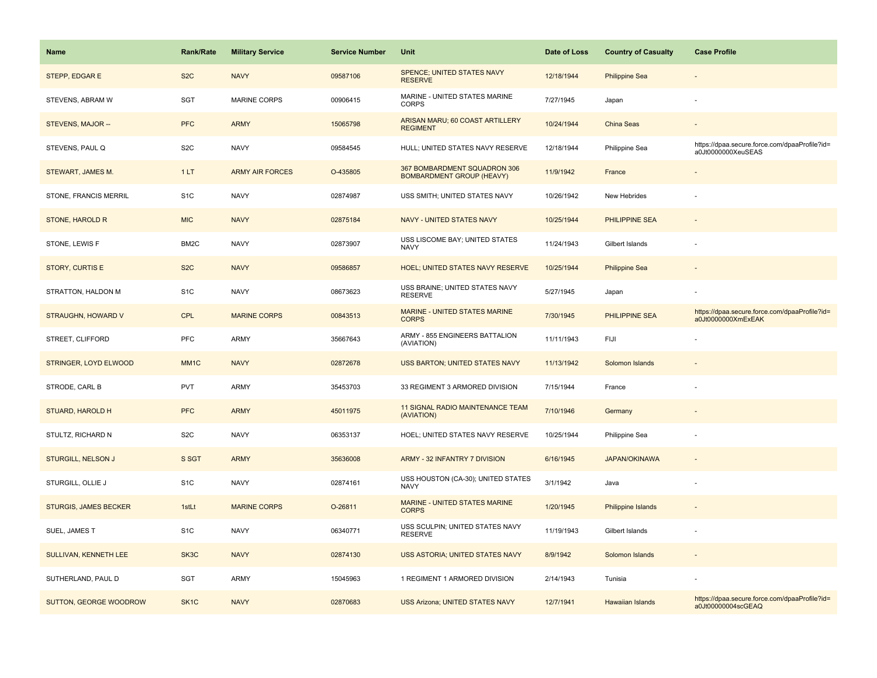| Name                         | <b>Rank/Rate</b>  | <b>Military Service</b> | <b>Service Number</b> | Unit                                                             | Date of Loss | <b>Country of Casualty</b> | <b>Case Profile</b>                                                 |
|------------------------------|-------------------|-------------------------|-----------------------|------------------------------------------------------------------|--------------|----------------------------|---------------------------------------------------------------------|
| STEPP, EDGAR E               | S <sub>2</sub> C  | <b>NAVY</b>             | 09587106              | SPENCE; UNITED STATES NAVY<br><b>RESERVE</b>                     | 12/18/1944   | <b>Philippine Sea</b>      |                                                                     |
| STEVENS, ABRAM W             | SGT               | MARINE CORPS            | 00906415              | MARINE - UNITED STATES MARINE<br><b>CORPS</b>                    | 7/27/1945    | Japan                      |                                                                     |
| STEVENS, MAJOR --            | <b>PFC</b>        | <b>ARMY</b>             | 15065798              | ARISAN MARU; 60 COAST ARTILLERY<br><b>REGIMENT</b>               | 10/24/1944   | China Seas                 |                                                                     |
| STEVENS, PAUL Q              | S <sub>2</sub> C  | <b>NAVY</b>             | 09584545              | HULL; UNITED STATES NAVY RESERVE                                 | 12/18/1944   | Philippine Sea             | https://dpaa.secure.force.com/dpaaProfile?id=<br>a0Jt0000000XeuSEAS |
| STEWART, JAMES M.            | 1LT               | <b>ARMY AIR FORCES</b>  | O-435805              | 367 BOMBARDMENT SQUADRON 306<br><b>BOMBARDMENT GROUP (HEAVY)</b> | 11/9/1942    | France                     |                                                                     |
| STONE, FRANCIS MERRIL        | S <sub>1</sub> C  | <b>NAVY</b>             | 02874987              | USS SMITH; UNITED STATES NAVY                                    | 10/26/1942   | New Hebrides               |                                                                     |
| STONE, HAROLD R              | <b>MIC</b>        | <b>NAVY</b>             | 02875184              | NAVY - UNITED STATES NAVY                                        | 10/25/1944   | PHILIPPINE SEA             |                                                                     |
| STONE, LEWIS F               | BM <sub>2</sub> C | <b>NAVY</b>             | 02873907              | USS LISCOME BAY; UNITED STATES<br><b>NAVY</b>                    | 11/24/1943   | Gilbert Islands            |                                                                     |
| <b>STORY, CURTIS E</b>       | S <sub>2</sub> C  | <b>NAVY</b>             | 09586857              | <b>HOEL; UNITED STATES NAVY RESERVE</b>                          | 10/25/1944   | <b>Philippine Sea</b>      |                                                                     |
| STRATTON, HALDON M           | S <sub>1</sub> C  | <b>NAVY</b>             | 08673623              | USS BRAINE; UNITED STATES NAVY<br><b>RESERVE</b>                 | 5/27/1945    | Japan                      |                                                                     |
| <b>STRAUGHN, HOWARD V</b>    | <b>CPL</b>        | <b>MARINE CORPS</b>     | 00843513              | MARINE - UNITED STATES MARINE<br><b>CORPS</b>                    | 7/30/1945    | PHILIPPINE SEA             | https://dpaa.secure.force.com/dpaaProfile?id=<br>a0Jt0000000XmExEAK |
| STREET, CLIFFORD             | PFC               | <b>ARMY</b>             | 35667643              | ARMY - 855 ENGINEERS BATTALION<br>(AVIATION)                     | 11/11/1943   | FIJI                       |                                                                     |
| STRINGER, LOYD ELWOOD        | MM <sub>1</sub> C | <b>NAVY</b>             | 02872678              | USS BARTON; UNITED STATES NAVY                                   | 11/13/1942   | Solomon Islands            |                                                                     |
| STRODE, CARL B               | <b>PVT</b>        | <b>ARMY</b>             | 35453703              | 33 REGIMENT 3 ARMORED DIVISION                                   | 7/15/1944    | France                     |                                                                     |
| STUARD, HAROLD H             | <b>PFC</b>        | <b>ARMY</b>             | 45011975              | 11 SIGNAL RADIO MAINTENANCE TEAM<br>(AVIATION)                   | 7/10/1946    | Germany                    |                                                                     |
| STULTZ, RICHARD N            | S <sub>2</sub> C  | <b>NAVY</b>             | 06353137              | HOEL; UNITED STATES NAVY RESERVE                                 | 10/25/1944   | Philippine Sea             |                                                                     |
| <b>STURGILL, NELSON J</b>    | S SGT             | <b>ARMY</b>             | 35636008              | ARMY - 32 INFANTRY 7 DIVISION                                    | 6/16/1945    | <b>JAPAN/OKINAWA</b>       |                                                                     |
| STURGILL, OLLIE J            | S <sub>1</sub> C  | <b>NAVY</b>             | 02874161              | USS HOUSTON (CA-30); UNITED STATES<br><b>NAVY</b>                | 3/1/1942     | Java                       |                                                                     |
| <b>STURGIS, JAMES BECKER</b> | 1stLt             | <b>MARINE CORPS</b>     | O-26811               | MARINE - UNITED STATES MARINE<br><b>CORPS</b>                    | 1/20/1945    | Philippine Islands         |                                                                     |
| SUEL, JAMES T                | S <sub>1</sub> C  | <b>NAVY</b>             | 06340771              | USS SCULPIN; UNITED STATES NAVY<br><b>RESERVE</b>                | 11/19/1943   | Gilbert Islands            |                                                                     |
| SULLIVAN, KENNETH LEE        | SK3C              | <b>NAVY</b>             | 02874130              | USS ASTORIA; UNITED STATES NAVY                                  | 8/9/1942     | Solomon Islands            |                                                                     |
| SUTHERLAND, PAUL D           | SGT               | <b>ARMY</b>             | 15045963              | 1 REGIMENT 1 ARMORED DIVISION                                    | 2/14/1943    | Tunisia                    |                                                                     |
| SUTTON, GEORGE WOODROW       | SK <sub>1</sub> C | <b>NAVY</b>             | 02870683              | <b>USS Arizona; UNITED STATES NAVY</b>                           | 12/7/1941    | Hawaiian Islands           | https://dpaa.secure.force.com/dpaaProfile?id=<br>a0Jt00000004scGEAQ |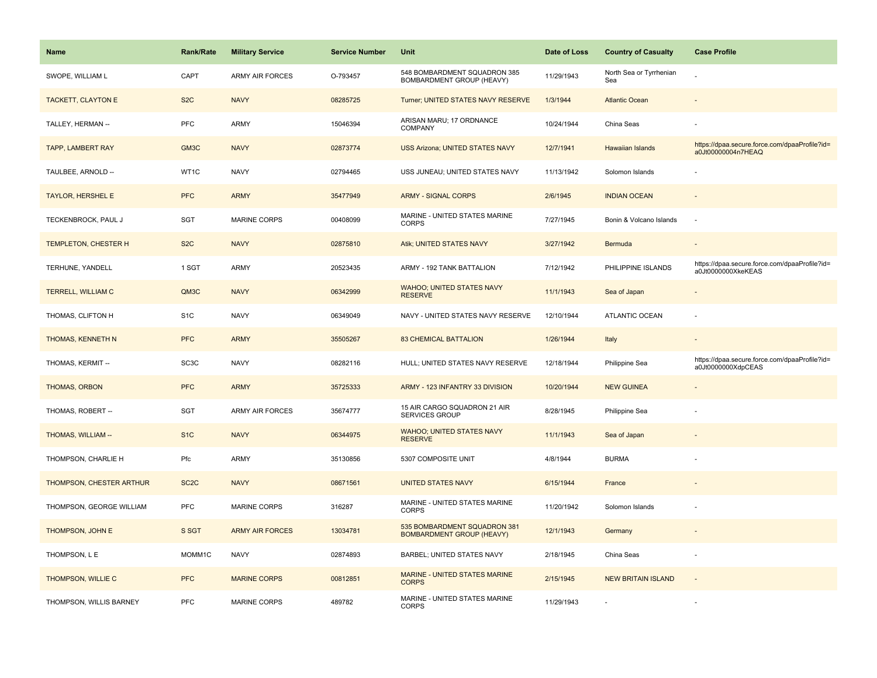| Name                     | <b>Rank/Rate</b>  | <b>Military Service</b> | <b>Service Number</b> | Unit                                                             | Date of Loss | <b>Country of Casualty</b>     | <b>Case Profile</b>                                                 |
|--------------------------|-------------------|-------------------------|-----------------------|------------------------------------------------------------------|--------------|--------------------------------|---------------------------------------------------------------------|
| SWOPE, WILLIAM L         | CAPT              | <b>ARMY AIR FORCES</b>  | O-793457              | 548 BOMBARDMENT SQUADRON 385<br>BOMBARDMENT GROUP (HEAVY)        | 11/29/1943   | North Sea or Tyrrhenian<br>Sea |                                                                     |
| TACKETT, CLAYTON E       | S <sub>2</sub> C  | <b>NAVY</b>             | 08285725              | Turner; UNITED STATES NAVY RESERVE                               | 1/3/1944     | <b>Atlantic Ocean</b>          |                                                                     |
| TALLEY, HERMAN --        | PFC               | <b>ARMY</b>             | 15046394              | ARISAN MARU; 17 ORDNANCE<br>COMPANY                              | 10/24/1944   | China Seas                     |                                                                     |
| <b>TAPP, LAMBERT RAY</b> | GM <sub>3</sub> C | <b>NAVY</b>             | 02873774              | <b>USS Arizona; UNITED STATES NAVY</b>                           | 12/7/1941    | <b>Hawaiian Islands</b>        | https://dpaa.secure.force.com/dpaaProfile?id=<br>a0Jt00000004n7HEAQ |
| TAULBEE, ARNOLD --       | WT1C              | <b>NAVY</b>             | 02794465              | USS JUNEAU; UNITED STATES NAVY                                   | 11/13/1942   | Solomon Islands                |                                                                     |
| <b>TAYLOR, HERSHEL E</b> | <b>PFC</b>        | <b>ARMY</b>             | 35477949              | <b>ARMY - SIGNAL CORPS</b>                                       | 2/6/1945     | <b>INDIAN OCEAN</b>            |                                                                     |
| TECKENBROCK, PAUL J      | SGT               | MARINE CORPS            | 00408099              | MARINE - UNITED STATES MARINE<br><b>CORPS</b>                    | 7/27/1945    | Bonin & Volcano Islands        | $\sim$                                                              |
| TEMPLETON, CHESTER H     | S <sub>2</sub> C  | <b>NAVY</b>             | 02875810              | Atik; UNITED STATES NAVY                                         | 3/27/1942    | Bermuda                        |                                                                     |
| TERHUNE, YANDELL         | 1 SGT             | <b>ARMY</b>             | 20523435              | ARMY - 192 TANK BATTALION                                        | 7/12/1942    | PHILIPPINE ISLANDS             | https://dpaa.secure.force.com/dpaaProfile?id=<br>a0Jt0000000XkeKEAS |
| TERRELL, WILLIAM C       | QM3C              | <b>NAVY</b>             | 06342999              | <b>WAHOO; UNITED STATES NAVY</b><br><b>RESERVE</b>               | 11/1/1943    | Sea of Japan                   |                                                                     |
| THOMAS, CLIFTON H        | S <sub>1</sub> C  | <b>NAVY</b>             | 06349049              | NAVY - UNITED STATES NAVY RESERVE                                | 12/10/1944   | <b>ATLANTIC OCEAN</b>          |                                                                     |
| <b>THOMAS, KENNETH N</b> | <b>PFC</b>        | <b>ARMY</b>             | 35505267              | <b>83 CHEMICAL BATTALION</b>                                     | 1/26/1944    | Italy                          | $\overline{\phantom{a}}$                                            |
| THOMAS, KERMIT --        | SC <sub>3</sub> C | <b>NAVY</b>             | 08282116              | HULL; UNITED STATES NAVY RESERVE                                 | 12/18/1944   | Philippine Sea                 | https://dpaa.secure.force.com/dpaaProfile?id=<br>a0Jt0000000XdpCEAS |
| THOMAS, ORBON            | <b>PFC</b>        | <b>ARMY</b>             | 35725333              | ARMY - 123 INFANTRY 33 DIVISION                                  | 10/20/1944   | <b>NEW GUINEA</b>              |                                                                     |
| THOMAS, ROBERT --        | SGT               | <b>ARMY AIR FORCES</b>  | 35674777              | 15 AIR CARGO SQUADRON 21 AIR<br>SERVICES GROUP                   | 8/28/1945    | Philippine Sea                 |                                                                     |
| THOMAS, WILLIAM --       | S <sub>1C</sub>   | <b>NAVY</b>             | 06344975              | <b>WAHOO; UNITED STATES NAVY</b><br><b>RESERVE</b>               | 11/1/1943    | Sea of Japan                   |                                                                     |
| THOMPSON, CHARLIE H      | Pfc               | <b>ARMY</b>             | 35130856              | 5307 COMPOSITE UNIT                                              | 4/8/1944     | <b>BURMA</b>                   |                                                                     |
| THOMPSON, CHESTER ARTHUR | SC <sub>2</sub> C | <b>NAVY</b>             | 08671561              | <b>UNITED STATES NAVY</b>                                        | 6/15/1944    | France                         |                                                                     |
| THOMPSON, GEORGE WILLIAM | PFC               | MARINE CORPS            | 316287                | MARINE - UNITED STATES MARINE<br><b>CORPS</b>                    | 11/20/1942   | Solomon Islands                |                                                                     |
| THOMPSON, JOHN E         | S SGT             | <b>ARMY AIR FORCES</b>  | 13034781              | 535 BOMBARDMENT SQUADRON 381<br><b>BOMBARDMENT GROUP (HEAVY)</b> | 12/1/1943    | Germany                        |                                                                     |
| THOMPSON, L E            | MOMM1C            | <b>NAVY</b>             | 02874893              | BARBEL; UNITED STATES NAVY                                       | 2/18/1945    | China Seas                     |                                                                     |
| THOMPSON, WILLIE C       | <b>PFC</b>        | <b>MARINE CORPS</b>     | 00812851              | MARINE - UNITED STATES MARINE<br><b>CORPS</b>                    | 2/15/1945    | <b>NEW BRITAIN ISLAND</b>      | $\overline{\phantom{a}}$                                            |
| THOMPSON, WILLIS BARNEY  | PFC               | <b>MARINE CORPS</b>     | 489782                | MARINE - UNITED STATES MARINE<br><b>CORPS</b>                    | 11/29/1943   |                                |                                                                     |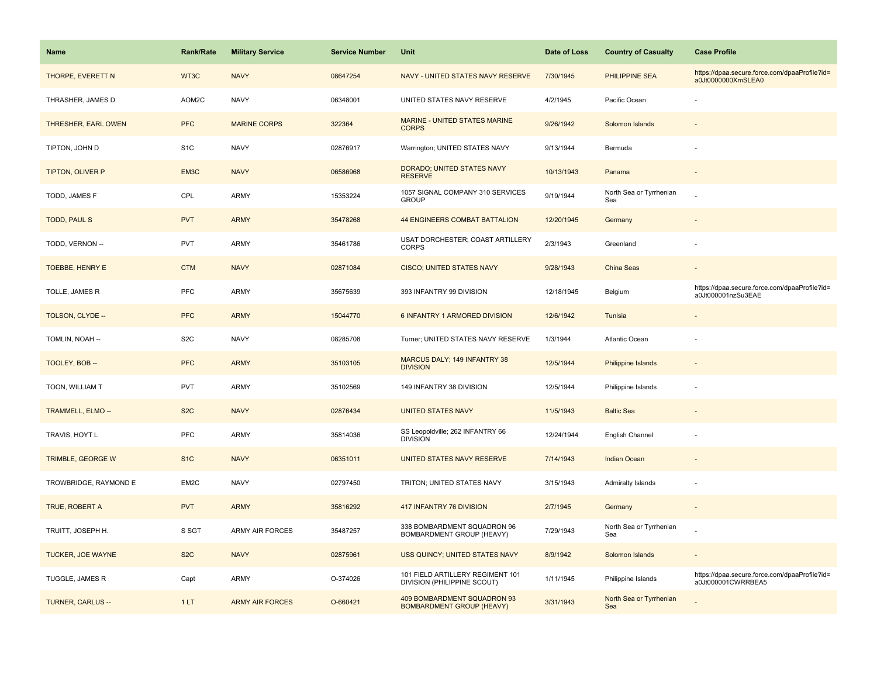| Name                     | <b>Rank/Rate</b> | <b>Military Service</b> | <b>Service Number</b> | Unit                                                            | Date of Loss | <b>Country of Casualty</b>     | <b>Case Profile</b>                                                 |
|--------------------------|------------------|-------------------------|-----------------------|-----------------------------------------------------------------|--------------|--------------------------------|---------------------------------------------------------------------|
| THORPE, EVERETT N        | WT3C             | <b>NAVY</b>             | 08647254              | NAVY - UNITED STATES NAVY RESERVE                               | 7/30/1945    | PHILIPPINE SEA                 | https://dpaa.secure.force.com/dpaaProfile?id=<br>a0Jt0000000XmSLEA0 |
| THRASHER, JAMES D        | AOM2C            | <b>NAVY</b>             | 06348001              | UNITED STATES NAVY RESERVE                                      | 4/2/1945     | Pacific Ocean                  |                                                                     |
| THRESHER, EARL OWEN      | <b>PFC</b>       | <b>MARINE CORPS</b>     | 322364                | <b>MARINE - UNITED STATES MARINE</b><br><b>CORPS</b>            | 9/26/1942    | Solomon Islands                |                                                                     |
| TIPTON, JOHN D           | S <sub>1C</sub>  | <b>NAVY</b>             | 02876917              | Warrington; UNITED STATES NAVY                                  | 9/13/1944    | Bermuda                        |                                                                     |
| TIPTON, OLIVER P         | EM3C             | <b>NAVY</b>             | 06586968              | DORADO; UNITED STATES NAVY<br><b>RESERVE</b>                    | 10/13/1943   | Panama                         |                                                                     |
| TODD, JAMES F            | CPL              | <b>ARMY</b>             | 15353224              | 1057 SIGNAL COMPANY 310 SERVICES<br><b>GROUP</b>                | 9/19/1944    | North Sea or Tyrrhenian<br>Sea |                                                                     |
| <b>TODD, PAUL S</b>      | <b>PVT</b>       | <b>ARMY</b>             | 35478268              | <b>44 ENGINEERS COMBAT BATTALION</b>                            | 12/20/1945   | Germany                        |                                                                     |
| TODD, VERNON --          | PVT              | <b>ARMY</b>             | 35461786              | USAT DORCHESTER; COAST ARTILLERY<br><b>CORPS</b>                | 2/3/1943     | Greenland                      |                                                                     |
| <b>TOEBBE, HENRY E</b>   | <b>CTM</b>       | <b>NAVY</b>             | 02871084              | <b>CISCO; UNITED STATES NAVY</b>                                | 9/28/1943    | China Seas                     |                                                                     |
| TOLLE, JAMES R           | PFC              | ARMY                    | 35675639              | 393 INFANTRY 99 DIVISION                                        | 12/18/1945   | Belgium                        | https://dpaa.secure.force.com/dpaaProfile?id=<br>a0Jt000001nzSu3EAE |
| TOLSON, CLYDE --         | <b>PFC</b>       | <b>ARMY</b>             | 15044770              | 6 INFANTRY 1 ARMORED DIVISION                                   | 12/6/1942    | Tunisia                        |                                                                     |
| TOMLIN, NOAH --          | S <sub>2</sub> C | <b>NAVY</b>             | 08285708              | Turner; UNITED STATES NAVY RESERVE                              | 1/3/1944     | Atlantic Ocean                 |                                                                     |
| TOOLEY, BOB --           | <b>PFC</b>       | <b>ARMY</b>             | 35103105              | MARCUS DALY; 149 INFANTRY 38<br><b>DIVISION</b>                 | 12/5/1944    | <b>Philippine Islands</b>      |                                                                     |
| TOON, WILLIAM T          | PVT              | <b>ARMY</b>             | 35102569              | 149 INFANTRY 38 DIVISION                                        | 12/5/1944    | Philippine Islands             |                                                                     |
| TRAMMELL, ELMO --        | S <sub>2</sub> C | <b>NAVY</b>             | 02876434              | <b>UNITED STATES NAVY</b>                                       | 11/5/1943    | <b>Baltic Sea</b>              |                                                                     |
| TRAVIS, HOYT L           | PFC              | ARMY                    | 35814036              | SS Leopoldville; 262 INFANTRY 66<br><b>DIVISION</b>             | 12/24/1944   | English Channel                |                                                                     |
| TRIMBLE, GEORGE W        | S <sub>1</sub> C | <b>NAVY</b>             | 06351011              | UNITED STATES NAVY RESERVE                                      | 7/14/1943    | <b>Indian Ocean</b>            |                                                                     |
| TROWBRIDGE, RAYMOND E    | EM2C             | <b>NAVY</b>             | 02797450              | TRITON; UNITED STATES NAVY                                      | 3/15/1943    | Admiralty Islands              |                                                                     |
| TRUE, ROBERT A           | <b>PVT</b>       | <b>ARMY</b>             | 35816292              | 417 INFANTRY 76 DIVISION                                        | 2/7/1945     | Germany                        |                                                                     |
| TRUITT, JOSEPH H.        | S SGT            | <b>ARMY AIR FORCES</b>  | 35487257              | 338 BOMBARDMENT SQUADRON 96<br>BOMBARDMENT GROUP (HEAVY)        | 7/29/1943    | North Sea or Tyrrhenian<br>Sea |                                                                     |
| TUCKER, JOE WAYNE        | S <sub>2</sub> C | <b>NAVY</b>             | 02875961              | USS QUINCY; UNITED STATES NAVY                                  | 8/9/1942     | Solomon Islands                |                                                                     |
| TUGGLE, JAMES R          | Capt             | <b>ARMY</b>             | O-374026              | 101 FIELD ARTILLERY REGIMENT 101<br>DIVISION (PHILIPPINE SCOUT) | 1/11/1945    | Philippine Islands             | https://dpaa.secure.force.com/dpaaProfile?id=<br>a0Jt000001CWRRBEA5 |
| <b>TURNER, CARLUS --</b> | 1LT              | <b>ARMY AIR FORCES</b>  | O-660421              | 409 BOMBARDMENT SQUADRON 93<br><b>BOMBARDMENT GROUP (HEAVY)</b> | 3/31/1943    | North Sea or Tyrrhenian<br>Sea |                                                                     |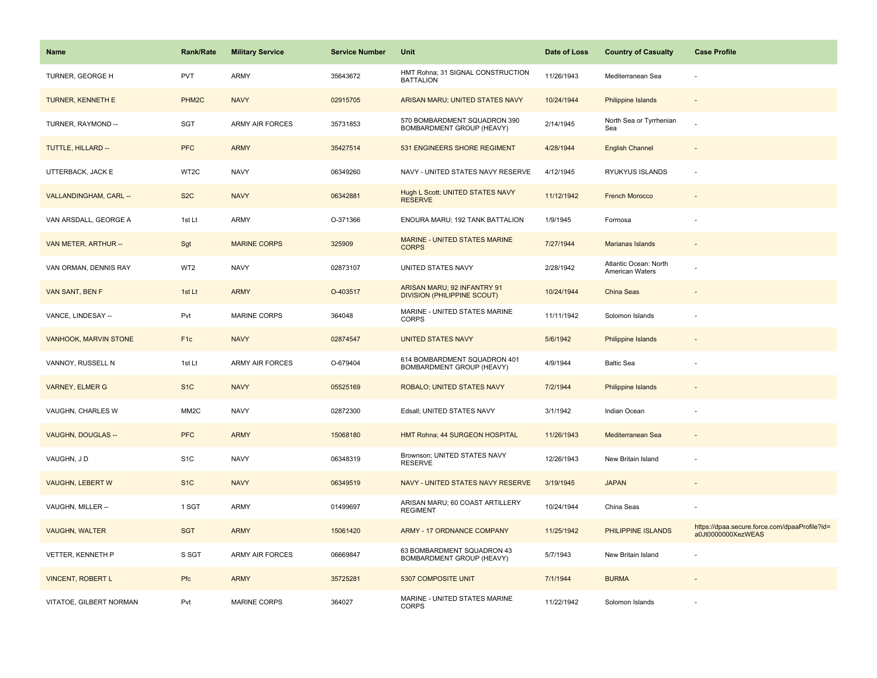| <b>Name</b>                  | <b>Rank/Rate</b>   | <b>Military Service</b> | <b>Service Number</b> | Unit                                                              | Date of Loss | <b>Country of Casualty</b>               | <b>Case Profile</b>                                                 |
|------------------------------|--------------------|-------------------------|-----------------------|-------------------------------------------------------------------|--------------|------------------------------------------|---------------------------------------------------------------------|
| TURNER, GEORGE H             | <b>PVT</b>         | ARMY                    | 35643672              | HMT Rohna; 31 SIGNAL CONSTRUCTION<br><b>BATTALION</b>             | 11/26/1943   | Mediterranean Sea                        |                                                                     |
| TURNER, KENNETH E            | PHM <sub>2</sub> C | <b>NAVY</b>             | 02915705              | ARISAN MARU; UNITED STATES NAVY                                   | 10/24/1944   | <b>Philippine Islands</b>                |                                                                     |
| TURNER, RAYMOND --           | <b>SGT</b>         | ARMY AIR FORCES         | 35731853              | 570 BOMBARDMENT SQUADRON 390<br>BOMBARDMENT GROUP (HEAVY)         | 2/14/1945    | North Sea or Tyrrhenian<br>Sea           |                                                                     |
| TUTTLE, HILLARD --           | <b>PFC</b>         | <b>ARMY</b>             | 35427514              | 531 ENGINEERS SHORE REGIMENT                                      | 4/28/1944    | <b>English Channel</b>                   |                                                                     |
| UTTERBACK, JACK E            | WT2C               | <b>NAVY</b>             | 06349260              | NAVY - UNITED STATES NAVY RESERVE                                 | 4/12/1945    | RYUKYUS ISLANDS                          |                                                                     |
| VALLANDINGHAM, CARL --       | S <sub>2</sub> C   | <b>NAVY</b>             | 06342881              | Hugh L Scott; UNITED STATES NAVY<br><b>RESERVE</b>                | 11/12/1942   | <b>French Morocco</b>                    |                                                                     |
| VAN ARSDALL, GEORGE A        | 1st Lt             | ARMY                    | O-371366              | ENOURA MARU; 192 TANK BATTALION                                   | 1/9/1945     | Formosa                                  |                                                                     |
| VAN METER, ARTHUR --         | Sgt                | <b>MARINE CORPS</b>     | 325909                | MARINE - UNITED STATES MARINE<br><b>CORPS</b>                     | 7/27/1944    | Marianas Islands                         |                                                                     |
| VAN ORMAN, DENNIS RAY        | WT2                | <b>NAVY</b>             | 02873107              | UNITED STATES NAVY                                                | 2/28/1942    | Atlantic Ocean: North<br>American Waters |                                                                     |
| VAN SANT, BEN F              | 1st Lt             | <b>ARMY</b>             | O-403517              | ARISAN MARU; 92 INFANTRY 91<br><b>DIVISION (PHILIPPINE SCOUT)</b> | 10/24/1944   | <b>China Seas</b>                        |                                                                     |
| VANCE, LINDESAY --           | Pvt                | MARINE CORPS            | 364048                | MARINE - UNITED STATES MARINE<br><b>CORPS</b>                     | 11/11/1942   | Solomon Islands                          |                                                                     |
| <b>VANHOOK, MARVIN STONE</b> | F <sub>1c</sub>    | <b>NAVY</b>             | 02874547              | <b>UNITED STATES NAVY</b>                                         | 5/6/1942     | Philippine Islands                       |                                                                     |
| VANNOY, RUSSELL N            | 1st Lt             | <b>ARMY AIR FORCES</b>  | O-679404              | 614 BOMBARDMENT SQUADRON 401<br>BOMBARDMENT GROUP (HEAVY)         | 4/9/1944     | <b>Baltic Sea</b>                        |                                                                     |
| <b>VARNEY, ELMER G</b>       | S <sub>1</sub> C   | <b>NAVY</b>             | 05525169              | ROBALO; UNITED STATES NAVY                                        | 7/2/1944     | Philippine Islands                       |                                                                     |
| VAUGHN, CHARLES W            | MM <sub>2</sub> C  | <b>NAVY</b>             | 02872300              | Edsall; UNITED STATES NAVY                                        | 3/1/1942     | Indian Ocean                             |                                                                     |
| VAUGHN, DOUGLAS --           | <b>PFC</b>         | <b>ARMY</b>             | 15068180              | HMT Rohna; 44 SURGEON HOSPITAL                                    | 11/26/1943   | Mediterranean Sea                        |                                                                     |
| VAUGHN, JD                   | S <sub>1</sub> C   | <b>NAVY</b>             | 06348319              | Brownson; UNITED STATES NAVY<br><b>RESERVE</b>                    | 12/26/1943   | New Britain Island                       |                                                                     |
| <b>VAUGHN, LEBERT W</b>      | S <sub>1</sub> C   | <b>NAVY</b>             | 06349519              | NAVY - UNITED STATES NAVY RESERVE                                 | 3/19/1945    | <b>JAPAN</b>                             |                                                                     |
| VAUGHN, MILLER --            | 1 SGT              | ARMY                    | 01499697              | ARISAN MARU; 60 COAST ARTILLERY<br><b>REGIMENT</b>                | 10/24/1944   | China Seas                               |                                                                     |
| <b>VAUGHN, WALTER</b>        | <b>SGT</b>         | <b>ARMY</b>             | 15061420              | <b>ARMY - 17 ORDNANCE COMPANY</b>                                 | 11/25/1942   | PHILIPPINE ISLANDS                       | https://dpaa.secure.force.com/dpaaProfile?id=<br>a0Jt0000000XezWEAS |
| VETTER, KENNETH P            | S SGT              | <b>ARMY AIR FORCES</b>  | 06669847              | 63 BOMBARDMENT SQUADRON 43<br>BOMBARDMENT GROUP (HEAVY)           | 5/7/1943     | New Britain Island                       |                                                                     |
| <b>VINCENT, ROBERT L</b>     | Pfc                | <b>ARMY</b>             | 35725281              | 5307 COMPOSITE UNIT                                               | 7/1/1944     | <b>BURMA</b>                             |                                                                     |
| VITATOE, GILBERT NORMAN      | Pvt                | MARINE CORPS            | 364027                | MARINE - UNITED STATES MARINE<br><b>CORPS</b>                     | 11/22/1942   | Solomon Islands                          |                                                                     |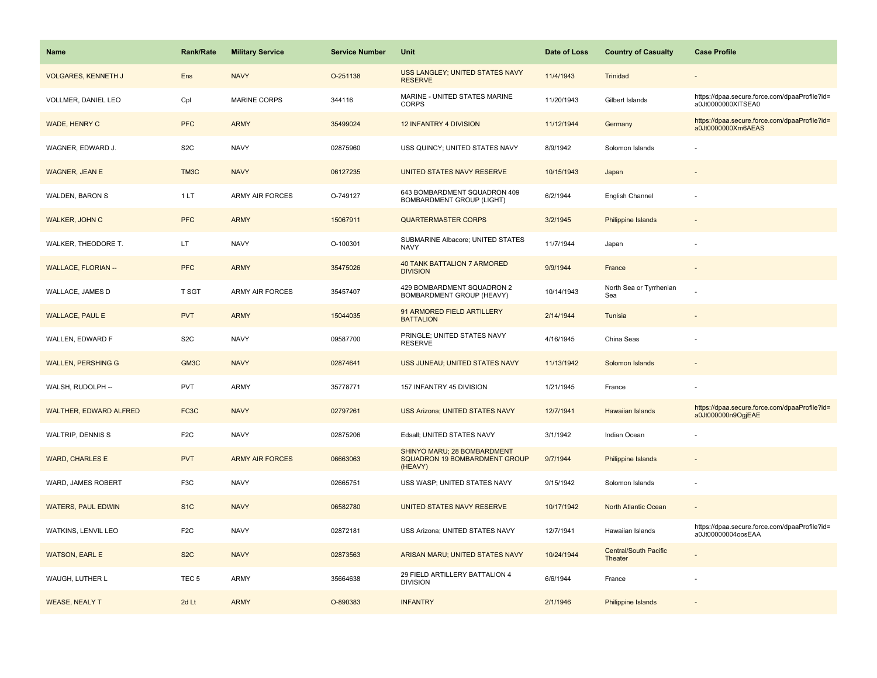| Name                          | <b>Rank/Rate</b>  | <b>Military Service</b> | <b>Service Number</b> | Unit                                                                    | Date of Loss | <b>Country of Casualty</b>              | <b>Case Profile</b>                                                 |
|-------------------------------|-------------------|-------------------------|-----------------------|-------------------------------------------------------------------------|--------------|-----------------------------------------|---------------------------------------------------------------------|
| <b>VOLGARES, KENNETH J</b>    | Ens               | <b>NAVY</b>             | O-251138              | USS LANGLEY; UNITED STATES NAVY<br><b>RESERVE</b>                       | 11/4/1943    | Trinidad                                |                                                                     |
| VOLLMER, DANIEL LEO           | Cpl               | MARINE CORPS            | 344116                | MARINE - UNITED STATES MARINE<br><b>CORPS</b>                           | 11/20/1943   | Gilbert Islands                         | https://dpaa.secure.force.com/dpaaProfile?id=<br>a0Jt0000000XITSEA0 |
| <b>WADE, HENRY C</b>          | <b>PFC</b>        | <b>ARMY</b>             | 35499024              | <b>12 INFANTRY 4 DIVISION</b>                                           | 11/12/1944   | Germany                                 | https://dpaa.secure.force.com/dpaaProfile?id=<br>a0Jt0000000Xm6AEAS |
| WAGNER, EDWARD J.             | S <sub>2</sub> C  | <b>NAVY</b>             | 02875960              | USS QUINCY; UNITED STATES NAVY                                          | 8/9/1942     | Solomon Islands                         |                                                                     |
| <b>WAGNER, JEAN E</b>         | TM3C              | <b>NAVY</b>             | 06127235              | UNITED STATES NAVY RESERVE                                              | 10/15/1943   | Japan                                   |                                                                     |
| WALDEN, BARON S               | 1LT               | <b>ARMY AIR FORCES</b>  | O-749127              | 643 BOMBARDMENT SQUADRON 409<br><b>BOMBARDMENT GROUP (LIGHT)</b>        | 6/2/1944     | English Channel                         |                                                                     |
| <b>WALKER, JOHN C</b>         | <b>PFC</b>        | <b>ARMY</b>             | 15067911              | <b>QUARTERMASTER CORPS</b>                                              | 3/2/1945     | Philippine Islands                      |                                                                     |
| WALKER, THEODORE T.           | LT.               | <b>NAVY</b>             | O-100301              | SUBMARINE Albacore; UNITED STATES<br><b>NAVY</b>                        | 11/7/1944    | Japan                                   |                                                                     |
| <b>WALLACE, FLORIAN --</b>    | <b>PFC</b>        | <b>ARMY</b>             | 35475026              | <b>40 TANK BATTALION 7 ARMORED</b><br><b>DIVISION</b>                   | 9/9/1944     | France                                  |                                                                     |
| WALLACE, JAMES D              | T SGT             | <b>ARMY AIR FORCES</b>  | 35457407              | 429 BOMBARDMENT SQUADRON 2<br>BOMBARDMENT GROUP (HEAVY)                 | 10/14/1943   | North Sea or Tyrrhenian<br>Sea          |                                                                     |
| <b>WALLACE, PAUL E</b>        | <b>PVT</b>        | <b>ARMY</b>             | 15044035              | 91 ARMORED FIELD ARTILLERY<br><b>BATTALION</b>                          | 2/14/1944    | Tunisia                                 |                                                                     |
| WALLEN, EDWARD F              | S <sub>2</sub> C  | <b>NAVY</b>             | 09587700              | PRINGLE; UNITED STATES NAVY<br><b>RESERVE</b>                           | 4/16/1945    | China Seas                              |                                                                     |
| <b>WALLEN, PERSHING G</b>     | GM3C              | <b>NAVY</b>             | 02874641              | USS JUNEAU; UNITED STATES NAVY                                          | 11/13/1942   | Solomon Islands                         |                                                                     |
| WALSH, RUDOLPH --             | <b>PVT</b>        | ARMY                    | 35778771              | 157 INFANTRY 45 DIVISION                                                | 1/21/1945    | France                                  |                                                                     |
| <b>WALTHER, EDWARD ALFRED</b> | FC <sub>3</sub> C | <b>NAVY</b>             | 02797261              | <b>USS Arizona; UNITED STATES NAVY</b>                                  | 12/7/1941    | <b>Hawaiian Islands</b>                 | https://dpaa.secure.force.com/dpaaProfile?id=<br>a0Jt000000n9OqjEAE |
| WALTRIP, DENNIS S             | F <sub>2</sub> C  | <b>NAVY</b>             | 02875206              | Edsall; UNITED STATES NAVY                                              | 3/1/1942     | Indian Ocean                            |                                                                     |
| <b>WARD, CHARLES E</b>        | <b>PVT</b>        | <b>ARMY AIR FORCES</b>  | 06663063              | SHINYO MARU; 28 BOMBARDMENT<br>SQUADRON 19 BOMBARDMENT GROUP<br>(HEAVY) | 9/7/1944     | <b>Philippine Islands</b>               |                                                                     |
| WARD, JAMES ROBERT            | F <sub>3</sub> C  | <b>NAVY</b>             | 02665751              | USS WASP; UNITED STATES NAVY                                            | 9/15/1942    | Solomon Islands                         |                                                                     |
| <b>WATERS, PAUL EDWIN</b>     | S <sub>1</sub> C  | <b>NAVY</b>             | 06582780              | UNITED STATES NAVY RESERVE                                              | 10/17/1942   | North Atlantic Ocean                    |                                                                     |
| WATKINS, LENVIL LEO           | F <sub>2</sub> C  | <b>NAVY</b>             | 02872181              | USS Arizona; UNITED STATES NAVY                                         | 12/7/1941    | Hawaiian Islands                        | https://dpaa.secure.force.com/dpaaProfile?id=<br>a0Jt00000004oosEAA |
| <b>WATSON, EARL E</b>         | S <sub>2</sub> C  | <b>NAVY</b>             | 02873563              | ARISAN MARU; UNITED STATES NAVY                                         | 10/24/1944   | <b>Central/South Pacific</b><br>Theater |                                                                     |
| WAUGH, LUTHER L               | TEC <sub>5</sub>  | <b>ARMY</b>             | 35664638              | 29 FIELD ARTILLERY BATTALION 4<br><b>DIVISION</b>                       | 6/6/1944     | France                                  |                                                                     |
| <b>WEASE, NEALY T</b>         | 2d Lt             | <b>ARMY</b>             | O-890383              | <b>INFANTRY</b>                                                         | 2/1/1946     | Philippine Islands                      |                                                                     |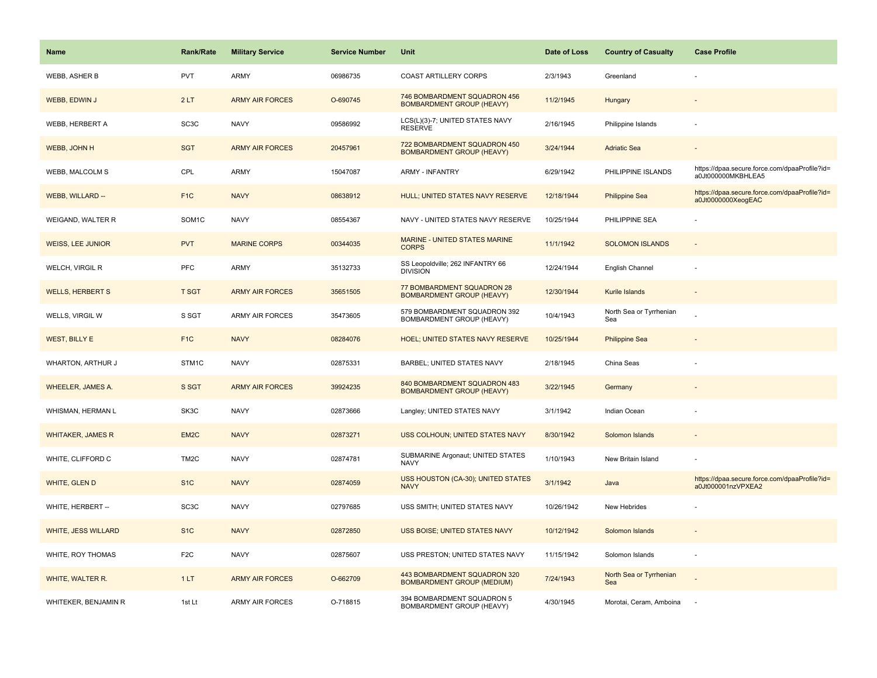| Name                       | <b>Rank/Rate</b>   | <b>Military Service</b> | <b>Service Number</b> | <b>Unit</b>                                                       | Date of Loss | <b>Country of Casualty</b>     | <b>Case Profile</b>                                                 |
|----------------------------|--------------------|-------------------------|-----------------------|-------------------------------------------------------------------|--------------|--------------------------------|---------------------------------------------------------------------|
| WEBB, ASHER B              | <b>PVT</b>         | ARMY                    | 06986735              | <b>COAST ARTILLERY CORPS</b>                                      | 2/3/1943     | Greenland                      |                                                                     |
| WEBB, EDWIN J              | 2LT                | <b>ARMY AIR FORCES</b>  | O-690745              | 746 BOMBARDMENT SQUADRON 456<br><b>BOMBARDMENT GROUP (HEAVY)</b>  | 11/2/1945    | Hungary                        |                                                                     |
| WEBB, HERBERT A            | SC <sub>3</sub> C  | <b>NAVY</b>             | 09586992              | LCS(L)(3)-7; UNITED STATES NAVY<br><b>RESERVE</b>                 | 2/16/1945    | Philippine Islands             |                                                                     |
| WEBB, JOHN H               | <b>SGT</b>         | <b>ARMY AIR FORCES</b>  | 20457961              | 722 BOMBARDMENT SQUADRON 450<br><b>BOMBARDMENT GROUP (HEAVY)</b>  | 3/24/1944    | <b>Adriatic Sea</b>            |                                                                     |
| <b>WEBB, MALCOLM S</b>     | CPL                | ARMY                    | 15047087              | <b>ARMY - INFANTRY</b>                                            | 6/29/1942    | PHILIPPINE ISLANDS             | https://dpaa.secure.force.com/dpaaProfile?id=<br>a0Jt000000MKBHLEA5 |
| <b>WEBB, WILLARD --</b>    | F <sub>1C</sub>    | <b>NAVY</b>             | 08638912              | <b>HULL; UNITED STATES NAVY RESERVE</b>                           | 12/18/1944   | <b>Philippine Sea</b>          | https://dpaa.secure.force.com/dpaaProfile?id=<br>a0Jt0000000XeogEAC |
| WEIGAND, WALTER R          | SOM <sub>1</sub> C | <b>NAVY</b>             | 08554367              | NAVY - UNITED STATES NAVY RESERVE                                 | 10/25/1944   | PHILIPPINE SEA                 |                                                                     |
| <b>WEISS, LEE JUNIOR</b>   | <b>PVT</b>         | <b>MARINE CORPS</b>     | 00344035              | MARINE - UNITED STATES MARINE<br><b>CORPS</b>                     | 11/1/1942    | <b>SOLOMON ISLANDS</b>         | $\overline{\phantom{a}}$                                            |
| WELCH, VIRGIL R            | PFC                | ARMY                    | 35132733              | SS Leopoldville; 262 INFANTRY 66<br><b>DIVISION</b>               | 12/24/1944   | English Channel                |                                                                     |
| <b>WELLS, HERBERT S</b>    | <b>T SGT</b>       | <b>ARMY AIR FORCES</b>  | 35651505              | 77 BOMBARDMENT SQUADRON 28<br><b>BOMBARDMENT GROUP (HEAVY)</b>    | 12/30/1944   | Kurile Islands                 |                                                                     |
| WELLS, VIRGIL W            | S SGT              | <b>ARMY AIR FORCES</b>  | 35473605              | 579 BOMBARDMENT SQUADRON 392<br>BOMBARDMENT GROUP (HEAVY)         | 10/4/1943    | North Sea or Tyrrhenian<br>Sea |                                                                     |
| <b>WEST, BILLY E</b>       | F <sub>1C</sub>    | <b>NAVY</b>             | 08284076              | HOEL; UNITED STATES NAVY RESERVE                                  | 10/25/1944   | <b>Philippine Sea</b>          |                                                                     |
| WHARTON, ARTHUR J          | STM1C              | <b>NAVY</b>             | 02875331              | BARBEL; UNITED STATES NAVY                                        | 2/18/1945    | China Seas                     |                                                                     |
| <b>WHEELER, JAMES A.</b>   | S SGT              | <b>ARMY AIR FORCES</b>  | 39924235              | 840 BOMBARDMENT SQUADRON 483<br><b>BOMBARDMENT GROUP (HEAVY)</b>  | 3/22/1945    | Germany                        |                                                                     |
| WHISMAN, HERMAN L          | SK3C               | <b>NAVY</b>             | 02873666              | Langley; UNITED STATES NAVY                                       | 3/1/1942     | Indian Ocean                   |                                                                     |
| <b>WHITAKER, JAMES R</b>   | EM <sub>2</sub> C  | <b>NAVY</b>             | 02873271              | USS COLHOUN; UNITED STATES NAVY                                   | 8/30/1942    | Solomon Islands                |                                                                     |
| WHITE, CLIFFORD C          | TM <sub>2</sub> C  | <b>NAVY</b>             | 02874781              | SUBMARINE Argonaut; UNITED STATES<br><b>NAVY</b>                  | 1/10/1943    | New Britain Island             |                                                                     |
| WHITE, GLEN D              | S <sub>1</sub> C   | <b>NAVY</b>             | 02874059              | USS HOUSTON (CA-30); UNITED STATES<br><b>NAVY</b>                 | 3/1/1942     | Java                           | https://dpaa.secure.force.com/dpaaProfile?id=<br>a0Jt000001nzVPXEA2 |
| WHITE, HERBERT --          | SC <sub>3</sub> C  | <b>NAVY</b>             | 02797685              | USS SMITH; UNITED STATES NAVY                                     | 10/26/1942   | New Hebrides                   |                                                                     |
| <b>WHITE, JESS WILLARD</b> | S <sub>1</sub> C   | <b>NAVY</b>             | 02872850              | <b>USS BOISE; UNITED STATES NAVY</b>                              | 10/12/1942   | Solomon Islands                |                                                                     |
| WHITE, ROY THOMAS          | F <sub>2</sub> C   | <b>NAVY</b>             | 02875607              | USS PRESTON; UNITED STATES NAVY                                   | 11/15/1942   | Solomon Islands                | ÷,                                                                  |
| WHITE, WALTER R.           | 1LT                | <b>ARMY AIR FORCES</b>  | O-662709              | 443 BOMBARDMENT SQUADRON 320<br><b>BOMBARDMENT GROUP (MEDIUM)</b> | 7/24/1943    | North Sea or Tyrrhenian<br>Sea |                                                                     |
| WHITEKER, BENJAMIN R       | 1st Lt             | <b>ARMY AIR FORCES</b>  | O-718815              | 394 BOMBARDMENT SQUADRON 5<br>BOMBARDMENT GROUP (HEAVY)           | 4/30/1945    | Morotai, Ceram, Amboina        |                                                                     |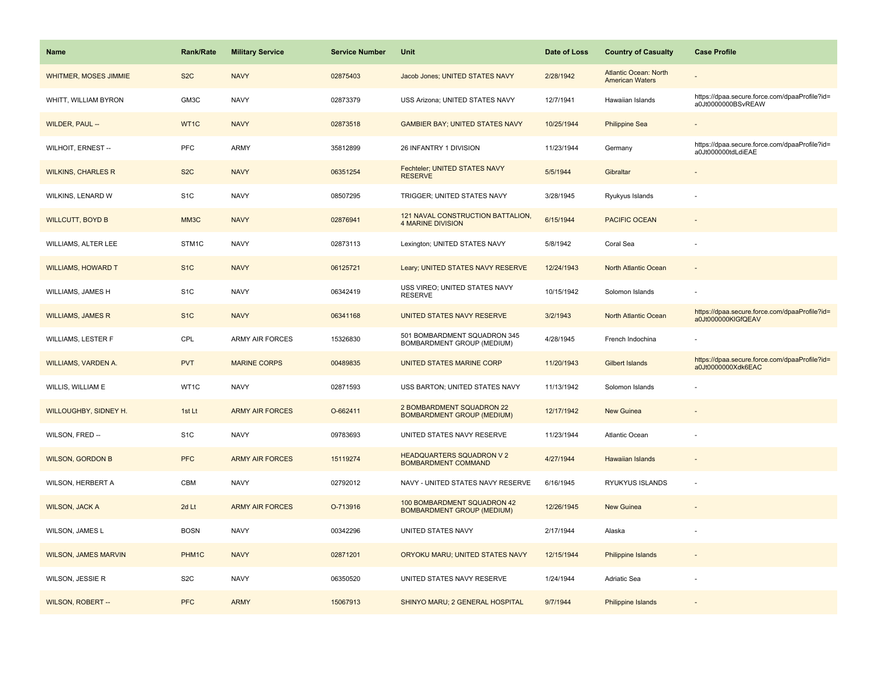| <b>Name</b>                 | <b>Rank/Rate</b> | <b>Military Service</b> | <b>Service Number</b> | Unit                                                             | Date of Loss | <b>Country of Casualty</b>                             | <b>Case Profile</b>                                                 |
|-----------------------------|------------------|-------------------------|-----------------------|------------------------------------------------------------------|--------------|--------------------------------------------------------|---------------------------------------------------------------------|
| WHITMER, MOSES JIMMIE       | S <sub>2</sub> C | <b>NAVY</b>             | 02875403              | Jacob Jones; UNITED STATES NAVY                                  | 2/28/1942    | <b>Atlantic Ocean: North</b><br><b>American Waters</b> |                                                                     |
| WHITT, WILLIAM BYRON        | GM3C             | <b>NAVY</b>             | 02873379              | USS Arizona; UNITED STATES NAVY                                  | 12/7/1941    | Hawaiian Islands                                       | https://dpaa.secure.force.com/dpaaProfile?id=<br>a0Jt0000000BSvREAW |
| WILDER, PAUL --             | WT1C             | <b>NAVY</b>             | 02873518              | <b>GAMBIER BAY; UNITED STATES NAVY</b>                           | 10/25/1944   | <b>Philippine Sea</b>                                  |                                                                     |
| WILHOIT, ERNEST --          | PFC              | <b>ARMY</b>             | 35812899              | 26 INFANTRY 1 DIVISION                                           | 11/23/1944   | Germany                                                | https://dpaa.secure.force.com/dpaaProfile?id=<br>a0Jt000000tdLdiEAE |
| <b>WILKINS, CHARLES R</b>   | S <sub>2</sub> C | <b>NAVY</b>             | 06351254              | Fechteler; UNITED STATES NAVY<br><b>RESERVE</b>                  | 5/5/1944     | Gibraltar                                              |                                                                     |
| WILKINS, LENARD W           | S <sub>1</sub> C | <b>NAVY</b>             | 08507295              | TRIGGER; UNITED STATES NAVY                                      | 3/28/1945    | Ryukyus Islands                                        |                                                                     |
| <b>WILLCUTT, BOYD B</b>     | MM3C             | <b>NAVY</b>             | 02876941              | 121 NAVAL CONSTRUCTION BATTALION,<br><b>4 MARINE DIVISION</b>    | 6/15/1944    | <b>PACIFIC OCEAN</b>                                   | $\sim$                                                              |
| WILLIAMS, ALTER LEE         | STM1C            | <b>NAVY</b>             | 02873113              | Lexington; UNITED STATES NAVY                                    | 5/8/1942     | Coral Sea                                              |                                                                     |
| <b>WILLIAMS, HOWARD T</b>   | S <sub>1</sub> C | <b>NAVY</b>             | 06125721              | Leary; UNITED STATES NAVY RESERVE                                | 12/24/1943   | North Atlantic Ocean                                   |                                                                     |
| WILLIAMS, JAMES H           | S <sub>1</sub> C | <b>NAVY</b>             | 06342419              | USS VIREO; UNITED STATES NAVY<br><b>RESERVE</b>                  | 10/15/1942   | Solomon Islands                                        |                                                                     |
| <b>WILLIAMS, JAMES R</b>    | S <sub>1</sub> C | <b>NAVY</b>             | 06341168              | UNITED STATES NAVY RESERVE                                       | 3/2/1943     | North Atlantic Ocean                                   | https://dpaa.secure.force.com/dpaaProfile?id=<br>a0Jt000000KlGfQEAV |
| <b>WILLIAMS, LESTER F</b>   | CPL              | <b>ARMY AIR FORCES</b>  | 15326830              | 501 BOMBARDMENT SQUADRON 345<br>BOMBARDMENT GROUP (MEDIUM)       | 4/28/1945    | French Indochina                                       |                                                                     |
| <b>WILLIAMS, VARDEN A.</b>  | <b>PVT</b>       | <b>MARINE CORPS</b>     | 00489835              | UNITED STATES MARINE CORP                                        | 11/20/1943   | Gilbert Islands                                        | https://dpaa.secure.force.com/dpaaProfile?id=<br>a0Jt0000000Xdk6EAC |
| WILLIS, WILLIAM E           | WT1C             | <b>NAVY</b>             | 02871593              | USS BARTON; UNITED STATES NAVY                                   | 11/13/1942   | Solomon Islands                                        |                                                                     |
| WILLOUGHBY, SIDNEY H.       | 1st Lt           | <b>ARMY AIR FORCES</b>  | O-662411              | 2 BOMBARDMENT SQUADRON 22<br><b>BOMBARDMENT GROUP (MEDIUM)</b>   | 12/17/1942   | <b>New Guinea</b>                                      |                                                                     |
| WILSON, FRED --             | S <sub>1</sub> C | <b>NAVY</b>             | 09783693              | UNITED STATES NAVY RESERVE                                       | 11/23/1944   | Atlantic Ocean                                         |                                                                     |
| <b>WILSON, GORDON B</b>     | <b>PFC</b>       | <b>ARMY AIR FORCES</b>  | 15119274              | <b>HEADQUARTERS SQUADRON V 2</b><br>BOMBARDMENT COMMAND          | 4/27/1944    | <b>Hawaiian Islands</b>                                |                                                                     |
| WILSON, HERBERT A           | CBM              | <b>NAVY</b>             | 02792012              | NAVY - UNITED STATES NAVY RESERVE                                | 6/16/1945    | RYUKYUS ISLANDS                                        | ÷,                                                                  |
| <b>WILSON, JACK A</b>       | 2d Lt            | <b>ARMY AIR FORCES</b>  | O-713916              | 100 BOMBARDMENT SQUADRON 42<br><b>BOMBARDMENT GROUP (MEDIUM)</b> | 12/26/1945   | <b>New Guinea</b>                                      |                                                                     |
| WILSON, JAMES L             | <b>BOSN</b>      | <b>NAVY</b>             | 00342296              | UNITED STATES NAVY                                               | 2/17/1944    | Alaska                                                 |                                                                     |
| <b>WILSON, JAMES MARVIN</b> | PHM1C            | <b>NAVY</b>             | 02871201              | ORYOKU MARU; UNITED STATES NAVY                                  | 12/15/1944   | <b>Philippine Islands</b>                              |                                                                     |
| WILSON, JESSIE R            | S <sub>2</sub> C | <b>NAVY</b>             | 06350520              | UNITED STATES NAVY RESERVE                                       | 1/24/1944    | Adriatic Sea                                           |                                                                     |
| <b>WILSON, ROBERT --</b>    | <b>PFC</b>       | <b>ARMY</b>             | 15067913              | SHINYO MARU; 2 GENERAL HOSPITAL                                  | 9/7/1944     | Philippine Islands                                     |                                                                     |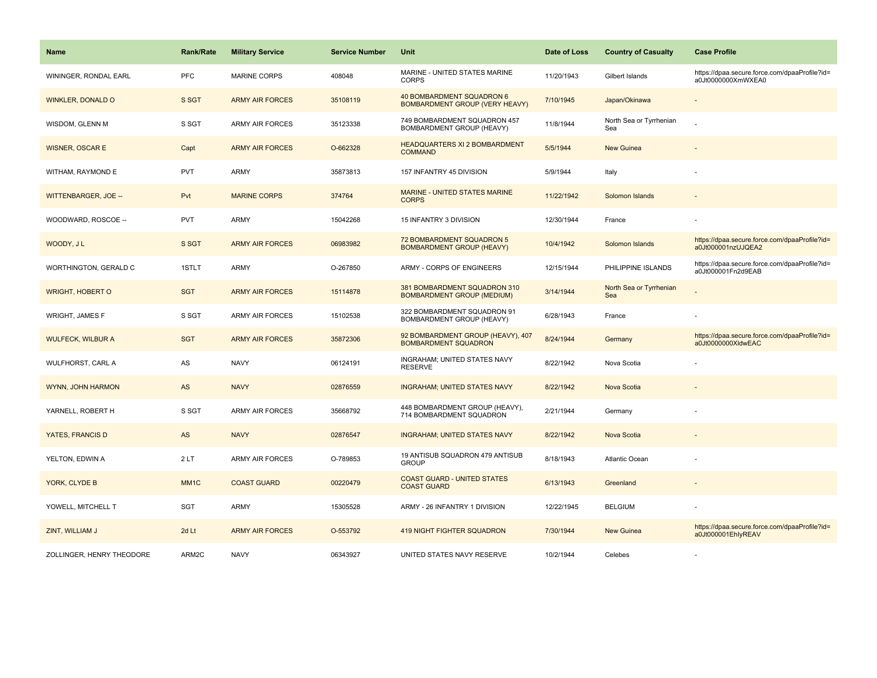| <b>Name</b>               | <b>Rank/Rate</b>  | <b>Military Service</b> | <b>Service Number</b> | Unit                                                               | Date of Loss | <b>Country of Casualty</b>     | <b>Case Profile</b>                                                 |
|---------------------------|-------------------|-------------------------|-----------------------|--------------------------------------------------------------------|--------------|--------------------------------|---------------------------------------------------------------------|
| WININGER, RONDAL EARL     | PFC               | <b>MARINE CORPS</b>     | 408048                | MARINE - UNITED STATES MARINE<br><b>CORPS</b>                      | 11/20/1943   | Gilbert Islands                | https://dpaa.secure.force.com/dpaaProfile?id=<br>a0Jt0000000XmWXEA0 |
| <b>WINKLER, DONALD O</b>  | S SGT             | <b>ARMY AIR FORCES</b>  | 35108119              | 40 BOMBARDMENT SQUADRON 6<br><b>BOMBARDMENT GROUP (VERY HEAVY)</b> | 7/10/1945    | Japan/Okinawa                  |                                                                     |
| WISDOM, GLENN M           | S SGT             | <b>ARMY AIR FORCES</b>  | 35123338              | 749 BOMBARDMENT SQUADRON 457<br>BOMBARDMENT GROUP (HEAVY)          | 11/8/1944    | North Sea or Tyrrhenian<br>Sea |                                                                     |
| <b>WISNER, OSCAR E</b>    | Capt              | <b>ARMY AIR FORCES</b>  | O-662328              | <b>HEADQUARTERS XI 2 BOMBARDMENT</b><br><b>COMMAND</b>             | 5/5/1944     | <b>New Guinea</b>              |                                                                     |
| WITHAM, RAYMOND E         | <b>PVT</b>        | ARMY                    | 35873813              | 157 INFANTRY 45 DIVISION                                           | 5/9/1944     | Italy                          |                                                                     |
| WITTENBARGER, JOE --      | Pvt               | <b>MARINE CORPS</b>     | 374764                | <b>MARINE - UNITED STATES MARINE</b><br><b>CORPS</b>               | 11/22/1942   | Solomon Islands                |                                                                     |
| WOODWARD, ROSCOE --       | PVT               | ARMY                    | 15042268              | 15 INFANTRY 3 DIVISION                                             | 12/30/1944   | France                         |                                                                     |
| WOODY, JL                 | S SGT             | <b>ARMY AIR FORCES</b>  | 06983982              | 72 BOMBARDMENT SQUADRON 5<br><b>BOMBARDMENT GROUP (HEAVY)</b>      | 10/4/1942    | Solomon Islands                | https://dpaa.secure.force.com/dpaaProfile?id=<br>a0Jt000001nzUJQEA2 |
| WORTHINGTON, GERALD C     | 1STLT             | ARMY                    | O-267850              | ARMY - CORPS OF ENGINEERS                                          | 12/15/1944   | PHILIPPINE ISLANDS             | https://dpaa.secure.force.com/dpaaProfile?id=<br>a0Jt000001Fn2d9EAB |
| <b>WRIGHT, HOBERT O</b>   | <b>SGT</b>        | <b>ARMY AIR FORCES</b>  | 15114878              | 381 BOMBARDMENT SQUADRON 310<br><b>BOMBARDMENT GROUP (MEDIUM)</b>  | 3/14/1944    | North Sea or Tyrrhenian<br>Sea |                                                                     |
| <b>WRIGHT, JAMES F</b>    | S SGT             | <b>ARMY AIR FORCES</b>  | 15102538              | 322 BOMBARDMENT SQUADRON 91<br>BOMBARDMENT GROUP (HEAVY)           | 6/28/1943    | France                         |                                                                     |
| <b>WULFECK, WILBUR A</b>  | <b>SGT</b>        | <b>ARMY AIR FORCES</b>  | 35872306              | 92 BOMBARDMENT GROUP (HEAVY), 407<br><b>BOMBARDMENT SQUADRON</b>   | 8/24/1944    | Germany                        | https://dpaa.secure.force.com/dpaaProfile?id=<br>a0Jt0000000XldwEAC |
| WULFHORST, CARL A         | AS                | <b>NAVY</b>             | 06124191              | INGRAHAM; UNITED STATES NAVY<br><b>RESERVE</b>                     | 8/22/1942    | Nova Scotia                    |                                                                     |
| WYNN, JOHN HARMON         | AS                | <b>NAVY</b>             | 02876559              | <b>INGRAHAM; UNITED STATES NAVY</b>                                | 8/22/1942    | Nova Scotia                    |                                                                     |
| YARNELL, ROBERT H         | S SGT             | <b>ARMY AIR FORCES</b>  | 35668792              | 448 BOMBARDMENT GROUP (HEAVY),<br>714 BOMBARDMENT SQUADRON         | 2/21/1944    | Germany                        |                                                                     |
| YATES, FRANCIS D          | AS                | <b>NAVY</b>             | 02876547              | <b>INGRAHAM; UNITED STATES NAVY</b>                                | 8/22/1942    | Nova Scotia                    |                                                                     |
| YELTON, EDWIN A           | 2LT               | <b>ARMY AIR FORCES</b>  | O-789853              | 19 ANTISUB SQUADRON 479 ANTISUB<br><b>GROUP</b>                    | 8/18/1943    | <b>Atlantic Ocean</b>          |                                                                     |
| YORK, CLYDE B             | MM <sub>1</sub> C | <b>COAST GUARD</b>      | 00220479              | <b>COAST GUARD - UNITED STATES</b><br><b>COAST GUARD</b>           | 6/13/1943    | Greenland                      |                                                                     |
| YOWELL, MITCHELL T        | SGT               | ARMY                    | 15305528              | ARMY - 26 INFANTRY 1 DIVISION                                      | 12/22/1945   | <b>BELGIUM</b>                 |                                                                     |
| ZINT, WILLIAM J           | 2d Lt             | <b>ARMY AIR FORCES</b>  | O-553792              | 419 NIGHT FIGHTER SQUADRON                                         | 7/30/1944    | New Guinea                     | https://dpaa.secure.force.com/dpaaProfile?id=<br>a0Jt000001EhlyREAV |
| ZOLLINGER, HENRY THEODORE | ARM2C             | <b>NAVY</b>             | 06343927              | UNITED STATES NAVY RESERVE                                         | 10/2/1944    | Celebes                        |                                                                     |